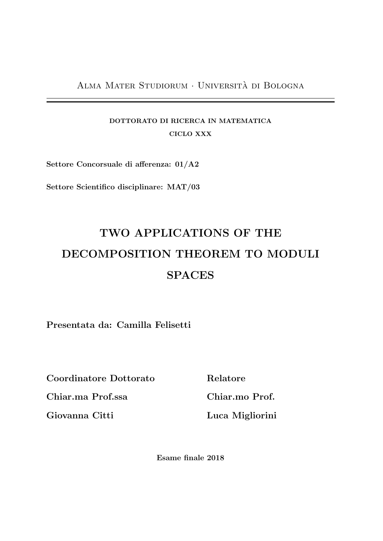Alma Mater Studiorum · Universita di Bologna `

### DOTTORATO DI RICERCA IN MATEMATICA CICLO XXX

Settore Concorsuale di afferenza: 01/A2

Settore Scientifico disciplinare: MAT/03

# TWO APPLICATIONS OF THE DECOMPOSITION THEOREM TO MODULI **SPACES**

Presentata da: Camilla Felisetti

Coordinatore Dottorato

Chiar.ma Prof.ssa

Giovanna Citti

Relatore

Chiar.mo Prof.

Luca Migliorini

Esame finale 2018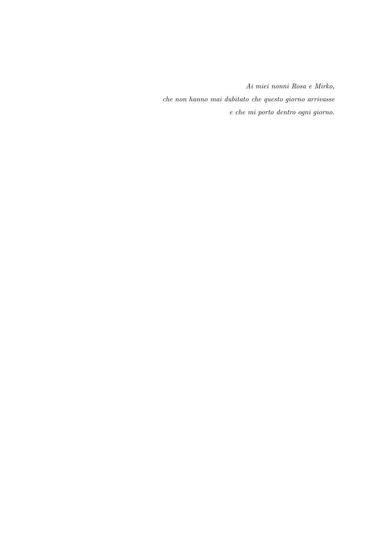Ai miei nonni Rosa e Mirko, che non hanno mai dubitato che questo giorno arrivasse e che mi porto dentro ogni giorno.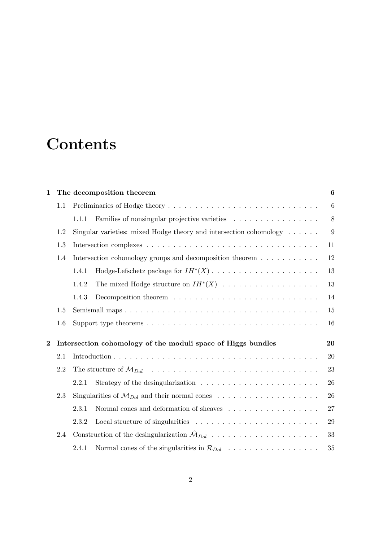# **Contents**

| $\mathbf 1$    | The decomposition theorem | $\boldsymbol{6}$                                                                              |                  |  |  |
|----------------|---------------------------|-----------------------------------------------------------------------------------------------|------------------|--|--|
|                | 1.1                       |                                                                                               | $\boldsymbol{6}$ |  |  |
|                |                           | Families of nonsingular projective varieties<br>1.1.1                                         | 8                |  |  |
|                | 1.2                       | Singular varieties: mixed Hodge theory and intersection cohomology $\dots$ .                  | 9                |  |  |
|                | 1.3                       |                                                                                               | 11               |  |  |
|                | 1.4                       | Intersection cohomology groups and decomposition theorem                                      | 12               |  |  |
|                |                           | 1.4.1                                                                                         | 13               |  |  |
|                |                           | 1.4.2                                                                                         | 13               |  |  |
|                |                           | 1.4.3                                                                                         | 14               |  |  |
|                | 1.5                       |                                                                                               | 15               |  |  |
|                | 1.6                       |                                                                                               | 16               |  |  |
| $\overline{2}$ |                           | Intersection cohomology of the moduli space of Higgs bundles                                  |                  |  |  |
|                | 2.1                       |                                                                                               | 20               |  |  |
|                | 2.2                       |                                                                                               | 23               |  |  |
|                |                           | 2.2.1<br>Strategy of the desingularization $\ldots \ldots \ldots \ldots \ldots \ldots \ldots$ | 26               |  |  |
| 2.3            |                           |                                                                                               | 26               |  |  |
|                |                           | Normal cones and deformation of sheaves<br>2.3.1                                              | 27               |  |  |
|                |                           | 2.3.2                                                                                         | 29               |  |  |
|                | 2.4                       | Construction of the desingularization $\hat{\mathcal{M}}_{Dol}$                               | 33               |  |  |
|                |                           | Normal cones of the singularities in $\mathcal{R}_{Dol}$<br>2.4.1                             | 35               |  |  |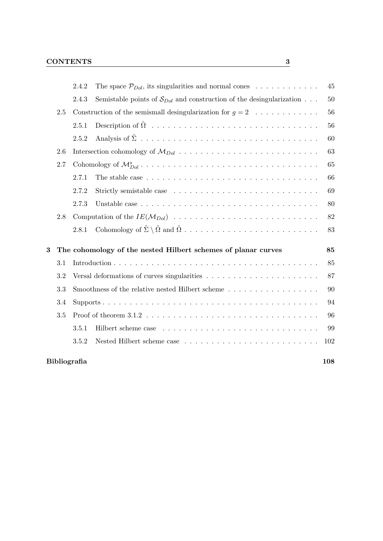|     | 2.4.2 | The space $\mathcal{P}_{Dol}$ , its singularities and normal cones                             | 45                                                                                                                                                                               |  |
|-----|-------|------------------------------------------------------------------------------------------------|----------------------------------------------------------------------------------------------------------------------------------------------------------------------------------|--|
|     | 2.4.3 | Semistable points of $S_{Dol}$ and construction of the desingularization                       | 50                                                                                                                                                                               |  |
| 2.5 |       |                                                                                                | 56                                                                                                                                                                               |  |
|     | 2.5.1 |                                                                                                | 56                                                                                                                                                                               |  |
|     | 2.5.2 |                                                                                                | 60                                                                                                                                                                               |  |
| 2.6 |       |                                                                                                | 63                                                                                                                                                                               |  |
| 2.7 |       | 65                                                                                             |                                                                                                                                                                                  |  |
|     | 2.7.1 | The stable case $\ldots \ldots \ldots \ldots \ldots \ldots \ldots \ldots \ldots \ldots \ldots$ | 66                                                                                                                                                                               |  |
|     | 2.7.2 |                                                                                                | 69                                                                                                                                                                               |  |
|     | 2.7.3 |                                                                                                | 80                                                                                                                                                                               |  |
| 2.8 |       |                                                                                                |                                                                                                                                                                                  |  |
|     | 2.8.1 |                                                                                                | 83                                                                                                                                                                               |  |
|     |       |                                                                                                | 85                                                                                                                                                                               |  |
| 3.1 |       |                                                                                                |                                                                                                                                                                                  |  |
| 3.2 |       | 87                                                                                             |                                                                                                                                                                                  |  |
| 3.3 |       | 90                                                                                             |                                                                                                                                                                                  |  |
| 3.4 |       | 94                                                                                             |                                                                                                                                                                                  |  |
| 3.5 |       | 96                                                                                             |                                                                                                                                                                                  |  |
|     | 3.5.1 |                                                                                                | 99                                                                                                                                                                               |  |
|     | 3.5.2 |                                                                                                | 102                                                                                                                                                                              |  |
|     |       |                                                                                                | 108                                                                                                                                                                              |  |
|     |       | Bibliografia                                                                                   | Construction of the semismall desingularization for $g = 2$<br>The cohomology of the nested Hilbert schemes of planar curves<br>Smoothness of the relative nested Hilbert scheme |  |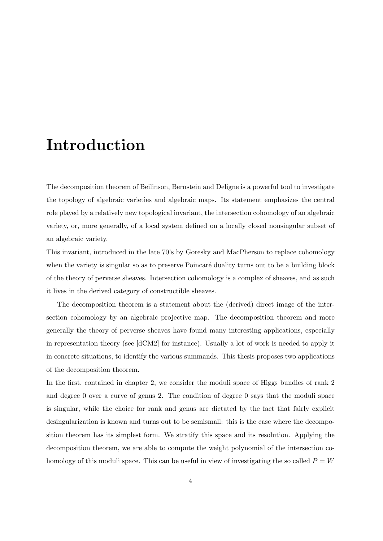# Introduction

The decomposition theorem of Beilinson, Bernstein and Deligne is a powerful tool to investigate the topology of algebraic varieties and algebraic maps. Its statement emphasizes the central role played by a relatively new topological invariant, the intersection cohomology of an algebraic variety, or, more generally, of a local system defined on a locally closed nonsingular subset of an algebraic variety.

This invariant, introduced in the late 70's by Goresky and MacPherson to replace cohomology when the variety is singular so as to preserve Poincaré duality turns out to be a building block of the theory of perverse sheaves. Intersection cohomology is a complex of sheaves, and as such it lives in the derived category of constructible sheaves.

The decomposition theorem is a statement about the (derived) direct image of the intersection cohomology by an algebraic projective map. The decomposition theorem and more generally the theory of perverse sheaves have found many interesting applications, especially in representation theory (see [dCM2] for instance). Usually a lot of work is needed to apply it in concrete situations, to identify the various summands. This thesis proposes two applications of the decomposition theorem.

In the first, contained in chapter 2, we consider the moduli space of Higgs bundles of rank 2 and degree 0 over a curve of genus 2. The condition of degree 0 says that the moduli space is singular, while the choice for rank and genus are dictated by the fact that fairly explicit desingularization is known and turns out to be semismall: this is the case where the decomposition theorem has its simplest form. We stratify this space and its resolution. Applying the decomposition theorem, we are able to compute the weight polynomial of the intersection cohomology of this moduli space. This can be useful in view of investigating the so called  $P = W$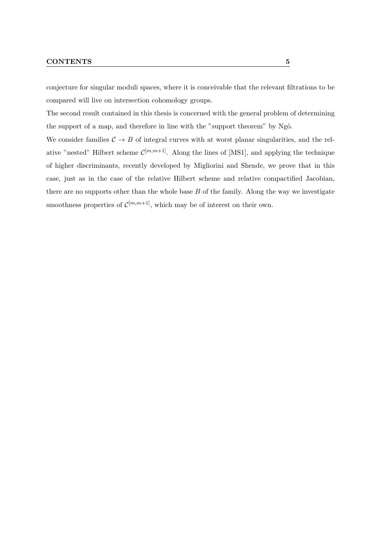#### CONTENTS 5

conjecture for singular moduli spaces, where it is conceivable that the relevant filtrations to be compared will live on intersection cohomology groups.

The second result contained in this thesis is concerned with the general problem of determining the support of a map, and therefore in line with the "support theorem" by Ngô.

We consider families  $C \rightarrow B$  of integral curves with at worst planar singularities, and the relative "nested" Hilbert scheme  $\mathcal{C}^{[m,m+1]}$ . Along the lines of [MS1], and applying the technique of higher discriminants, recently developed by Migliorini and Shende, we prove that in this case, just as in the case of the relative Hilbert scheme and relative compactified Jacobian, there are no supports other than the whole base  $B$  of the family. Along the way we investigate smoothness properties of  $\mathcal{C}^{[m,m+1]}$ , which may be of interest on their own.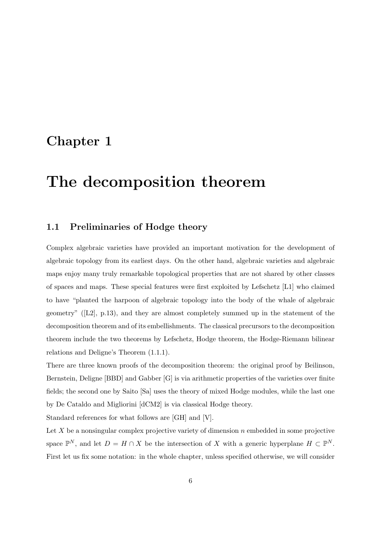# Chapter 1

# The decomposition theorem

#### 1.1 Preliminaries of Hodge theory

Complex algebraic varieties have provided an important motivation for the development of algebraic topology from its earliest days. On the other hand, algebraic varieties and algebraic maps enjoy many truly remarkable topological properties that are not shared by other classes of spaces and maps. These special features were first exploited by Lefschetz [L1] who claimed to have "planted the harpoon of algebraic topology into the body of the whale of algebraic geometry"  $([L2], p.13)$ , and they are almost completely summed up in the statement of the decomposition theorem and of its embellishments. The classical precursors to the decomposition theorem include the two theorems by Lefschetz, Hodge theorem, the Hodge-Riemann bilinear relations and Deligne's Theorem (1.1.1).

There are three known proofs of the decomposition theorem: the original proof by Beilinson, Bernstein, Deligne [BBD] and Gabber [G] is via arithmetic properties of the varieties over finite fields; the second one by Saito [Sa] uses the theory of mixed Hodge modules, while the last one by De Cataldo and Migliorini [dCM2] is via classical Hodge theory.

Standard references for what follows are [GH] and [V].

Let  $X$  be a nonsingular complex projective variety of dimension  $n$  embedded in some projective space  $\mathbb{P}^N$ , and let  $D = H \cap X$  be the intersection of X with a generic hyperplane  $H \subset \mathbb{P}^N$ . First let us fix some notation: in the whole chapter, unless specified otherwise, we will consider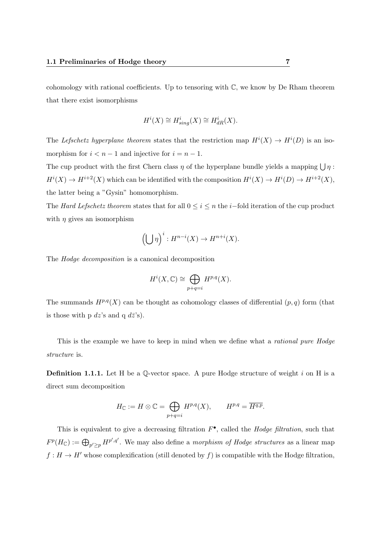cohomology with rational coefficients. Up to tensoring with  $\mathbb{C}$ , we know by De Rham theorem that there exist isomorphisms

$$
H^i(X) \cong H^i_{sing}(X) \cong H^i_{dR}(X).
$$

The Lefschetz hyperplane theorem states that the restriction map  $H^{i}(X) \to H^{i}(D)$  is an isomorphism for  $i < n - 1$  and injective for  $i = n - 1$ .

The cup product with the first Chern class  $\eta$  of the hyperplane bundle yields a mapping  $\bigcup \eta$ :  $H^{i}(X) \to H^{i+2}(X)$  which can be identified with the composition  $H^{i}(X) \to H^{i}(D) \to H^{i+2}(X)$ , the latter being a "Gysin" homomorphism.

The Hard Lefschetz theorem states that for all  $0 \leq i \leq n$  the i–fold iteration of the cup product with  $\eta$  gives an isomorphism

$$
\left(\bigcup \eta\right)^i : H^{n-i}(X) \to H^{n+i}(X).
$$

The Hodge decomposition is a canonical decomposition

$$
H^i(X, \mathbb{C}) \cong \bigoplus_{p+q=i} H^{p,q}(X).
$$

The summands  $H^{p,q}(X)$  can be thought as cohomology classes of differential  $(p,q)$  form (that is those with p  $dz$ 's and q  $d\bar{z}$ 's).

This is the example we have to keep in mind when we define what a *rational pure Hodge* structure is.

**Definition 1.1.1.** Let H be a Q-vector space. A pure Hodge structure of weight i on H is a direct sum decomposition

$$
H_{\mathbb{C}} := H \otimes \mathbb{C} = \bigoplus_{p+q=i} H^{p,q}(X), \qquad H^{p,q} = \overline{H^{q,p}}.
$$

This is equivalent to give a decreasing filtration  $F^{\bullet}$ , called the *Hodge filtration*, such that  $F^p(H_{\mathbb{C}}):=\bigoplus_{p'\geq p}H^{p',q'}$ . We may also define a *morphism of Hodge structures* as a linear map  $f : H \to H'$  whose complexification (still denoted by f) is compatible with the Hodge filtration,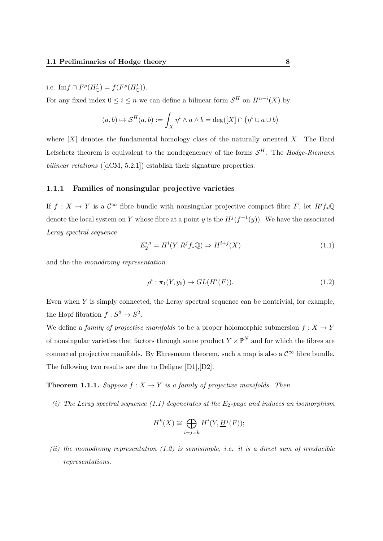i.e.  $\text{Im} f \cap F^p(H'_{\mathbb{C}}) = f(F^p(H'_{\mathbb{C}})).$ 

For any fixed index  $0 \leq i \leq n$  we can define a bilinear form  $\mathcal{S}^H$  on  $H^{n-i}(X)$  by

$$
(a,b) \mapsto \mathcal{S}^H(a,b) := \int_X \eta^i \wedge a \wedge b = \deg([X] \cap (\eta^i \cup a \cup b))
$$

where  $[X]$  denotes the fundamental homology class of the naturally oriented X. The Hard Lefschetz theorem is equivalent to the nondegeneracy of the forms  $\mathcal{S}^H$ . The Hodge-Riemann bilinear relations ([dCM, 5.2.1]) establish their signature properties.

#### 1.1.1 Families of nonsingular projective varieties

If  $f: X \to Y$  is a  $\mathcal{C}^{\infty}$  fibre bundle with nonsingular projective compact fibre F, let  $R^jf_*\mathbb{Q}$ denote the local system on Y whose fibre at a point y is the  $H^{j}(f^{-1}(y))$ . We have the associated Leray spectral sequence

$$
E_2^{i,j} = H^i(Y, R^j f_* \mathbb{Q}) \Rightarrow H^{i+j}(X)
$$
\n(1.1)

and the the monodromy representation

$$
\rho^i : \pi_1(Y, y_0) \to GL(H^i(F)).
$$
\n(1.2)

Even when Y is simply connected, the Leray spectral sequence can be nontrivial, for example, the Hopf fibration  $f: S^3 \to S^2$ .

We define a *family of projective manifolds* to be a proper holomorphic submersion  $f: X \to Y$ of nonsingular varieties that factors through some product  $Y \times \mathbb{P}^N$  and for which the fibres are connected projective manifolds. By Ehresmann theorem, such a map is also a  $\mathcal{C}^{\infty}$  fibre bundle. The following two results are due to Deligne [D1],[D2].

**Theorem 1.1.1.** Suppose  $f: X \to Y$  is a family of projective manifolds. Then

(i) The Leray spectral sequence (1.1) degenerates at the  $E_2$ -page and induces an isomorphism

$$
H^k(X) \cong \bigoplus_{i+j=k} H^i(Y, \underline{H}^j(F));
$$

(ii) the monodromy representation  $(1.2)$  is semisimple, i.e. it is a direct sum of irreducible representations.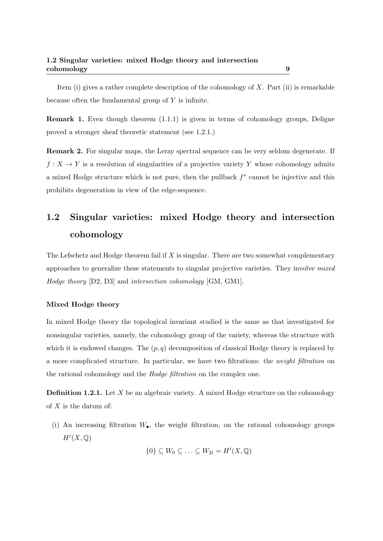Item (i) gives a rather complete description of the cohomology of  $X$ . Part (ii) is remarkable because often the fundamental group of Y is infinite.

Remark 1. Even though theorem (1.1.1) is given in terms of cohomology groups, Deligne proved a stronger sheaf theoretic statement (see 1.2.1.)

Remark 2. For singular maps, the Leray spectral sequence can be very seldom degenerate. If  $f: X \to Y$  is a resolution of singularities of a projective variety Y whose cohomology admits a mixed Hodge structure which is not pure, then the pullback  $f^*$  cannot be injective and this prohibits degeneration in view of the edge-sequence.

# 1.2 Singular varieties: mixed Hodge theory and intersection cohomology

The Lefschetz and Hodge theorem fail if  $X$  is singular. There are two somewhat complementary approaches to generalize these statements to singular projective varieties. They involve mixed Hodge theory [D2, D3] and intersection cohomology [GM, GM1].

#### Mixed Hodge theory

In mixed Hodge theory the topological invariant studied is the same as that investigated for nonsingular varieties, namely, the cohomology group of the variety, whereas the structure with which it is endowed changes. The  $(p, q)$  decomposition of classical Hodge theory is replaced by a more complicated structure. In particular, we have two filtrations: the weight filtration on the rational cohomology and the Hodge filtration on the complex one.

**Definition 1.2.1.** Let X be an algebraic variety. A mixed Hodge structure on the cohomology of  $X$  is the datum of:

(i) An increasing filtration  $W_{\bullet}$ , the weight filtration, on the rational cohomology groups  $H^i(X,\mathbb{Q})$ 

$$
\{0\} \subseteq W_0 \subseteq \ldots \subseteq W_{2i} = H^i(X, \mathbb{Q})
$$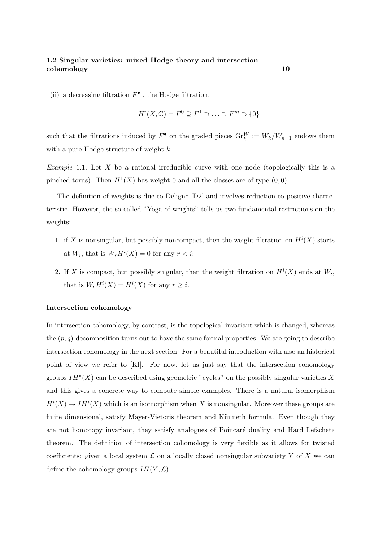(ii) a decreasing filtration  $F^{\bullet}$ , the Hodge filtration,

$$
H^i(X, \mathbb{C}) = F^0 \supseteq F^1 \supset \ldots \supset F^m \supseteq \{0\}
$$

such that the filtrations induced by  $F^{\bullet}$  on the graded pieces  $\text{Gr}_{k}^{W} := W_{k}/W_{k-1}$  endows them with a pure Hodge structure of weight k.

*Example* 1.1. Let X be a rational irreducible curve with one node (topologically this is a pinched torus). Then  $H^1(X)$  has weight 0 and all the classes are of type  $(0,0)$ .

The definition of weights is due to Deligne [D2] and involves reduction to positive characteristic. However, the so called "Yoga of weights" tells us two fundamental restrictions on the weights:

- 1. if X is nonsingular, but possibly noncompact, then the weight filtration on  $H^{i}(X)$  starts at  $W_i$ , that is  $W_r H^i(X) = 0$  for any  $r < i$ ;
- 2. If X is compact, but possibly singular, then the weight filtration on  $H^{i}(X)$  ends at  $W_{i}$ , that is  $W_r H^i(X) = H^i(X)$  for any  $r \geq i$ .

#### Intersection cohomology

In intersection cohomology, by contrast, is the topological invariant which is changed, whereas the  $(p, q)$ -decomposition turns out to have the same formal properties. We are going to describe intersection cohomology in the next section. For a beautiful introduction with also an historical point of view we refer to [Kl]. For now, let us just say that the intersection cohomology groups  $IH^*(X)$  can be described using geometric "cycles" on the possibly singular varieties X and this gives a concrete way to compute simple examples. There is a natural isomorphism  $H^{i}(X) \to IH^{i}(X)$  which is an isomorphism when X is nonsingular. Moreover these groups are finite dimensional, satisfy Mayer-Vietoris theorem and Künneth formula. Even though they are not homotopy invariant, they satisfy analogues of Poincaré duality and Hard Lefschetz theorem. The definition of intersection cohomology is very flexible as it allows for twisted coefficients: given a local system  $\mathcal L$  on a locally closed nonsingular subvariety Y of X we can define the cohomology groups  $IH(\overline{Y}, \mathcal{L})$ .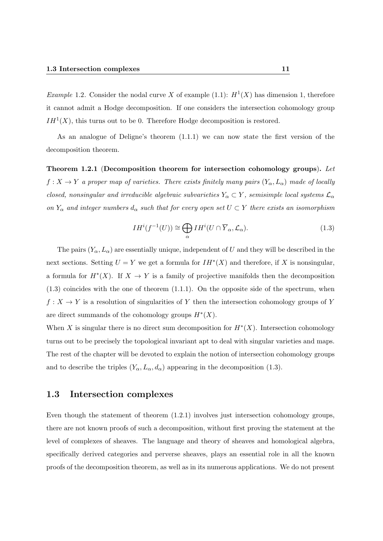*Example* 1.2. Consider the nodal curve X of example (1.1):  $H^1(X)$  has dimension 1, therefore it cannot admit a Hodge decomposition. If one considers the intersection cohomology group  $IH<sup>1</sup>(X)$ , this turns out to be 0. Therefore Hodge decomposition is restored.

As an analogue of Deligne's theorem (1.1.1) we can now state the first version of the decomposition theorem.

Theorem 1.2.1 (Decomposition theorem for intersection cohomology groups). Let  $f: X \to Y$  a proper map of varieties. There exists finitely many pairs  $(Y_\alpha, L_\alpha)$  made of locally closed, nonsingular and irreducible algebraic subvarieties  $Y_{\alpha} \subset Y$ , semisimple local systems  $\mathcal{L}_{\alpha}$ on  $Y_\alpha$  and integer numbers  $d_\alpha$  such that for every open set  $U \subset Y$  there exists an isomorphism

$$
IH^{i}(f^{-1}(U)) \cong \bigoplus_{\alpha} IH^{i}(U \cap \overline{Y}_{\alpha}, \mathcal{L}_{\alpha}).
$$
\n(1.3)

The pairs  $(Y_\alpha, L_\alpha)$  are essentially unique, independent of U and they will be described in the next sections. Setting  $U = Y$  we get a formula for  $IH^*(X)$  and therefore, if X is nonsingular, a formula for  $H^*(X)$ . If  $X \to Y$  is a family of projective manifolds then the decomposition  $(1.3)$  coincides with the one of theorem  $(1.1.1)$ . On the opposite side of the spectrum, when  $f: X \to Y$  is a resolution of singularities of Y then the intersection cohomology groups of Y are direct summands of the cohomology groups  $H^*(X)$ .

When X is singular there is no direct sum decomposition for  $H^*(X)$ . Intersection cohomology turns out to be precisely the topological invariant apt to deal with singular varieties and maps. The rest of the chapter will be devoted to explain the notion of intersection cohomology groups and to describe the triples  $(Y_{\alpha}, L_{\alpha}, d_{\alpha})$  appearing in the decomposition (1.3).

#### 1.3 Intersection complexes

Even though the statement of theorem (1.2.1) involves just intersection cohomology groups, there are not known proofs of such a decomposition, without first proving the statement at the level of complexes of sheaves. The language and theory of sheaves and homological algebra, specifically derived categories and perverse sheaves, plays an essential role in all the known proofs of the decomposition theorem, as well as in its numerous applications. We do not present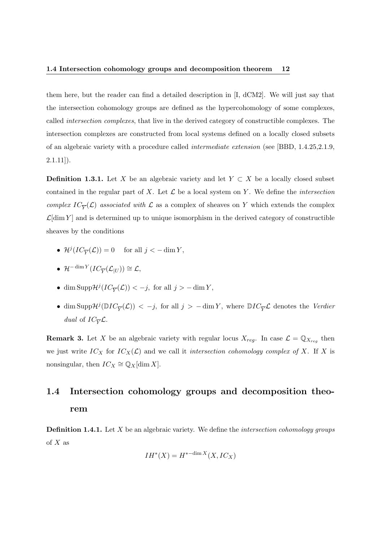them here, but the reader can find a detailed description in [I, dCM2]. We will just say that the intersection cohomology groups are defined as the hypercohomology of some complexes, called intersection complexes, that live in the derived category of constructible complexes. The intersection complexes are constructed from local systems defined on a locally closed subsets of an algebraic variety with a procedure called intermediate extension (see [BBD, 1.4.25,2.1.9,  $2.1.11$ ]).

**Definition 1.3.1.** Let X be an algebraic variety and let  $Y \subset X$  be a locally closed subset contained in the regular part of X. Let  $\mathcal L$  be a local system on Y. We define the *intersection* complex  $IC_{\overline{Y}}(\mathcal{L})$  associated with  $\mathcal L$  as a complex of sheaves on Y which extends the complex  $\mathcal{L}[\dim Y]$  and is determined up to unique isomorphism in the derived category of constructible sheaves by the conditions

- $\mathcal{H}^j({IC}_{\overline{Y}}(\mathcal{L})) = 0$  for all  $j < -\dim Y$ ,
- $\mathcal{H}^{-\dim Y}(IC_{\overline{Y}}(\mathcal{L}_{|U})) \cong \mathcal{L},$
- dim Supp $\mathcal{H}^{j}(IC_{\overline{Y}}(\mathcal{L})) < -j$ , for all  $j > -\dim Y$ ,
- dim Supp $\mathcal{H}^{j}(\mathbb{D}IC_{\overline{Y}}(\mathcal{L})) < -j$ , for all  $j > -\dim Y$ , where  $\mathbb{D}IC_{\overline{Y}}\mathcal{L}$  denotes the Verdier dual of  $IC_{\overline{Y}}\mathcal{L}$ .

**Remark 3.** Let X be an algebraic variety with regular locus  $X_{reg}$ . In case  $\mathcal{L} = \mathbb{Q}_{X_{reg}}$  then we just write  $IC_X$  for  $IC_X(\mathcal{L})$  and we call it intersection cohomology complex of X. If X is nonsingular, then  $IC_X \cong \mathbb{Q}_X[\dim X]$ .

# 1.4 Intersection cohomology groups and decomposition theorem

**Definition 1.4.1.** Let  $X$  be an algebraic variety. We define the *intersection cohomology groups* of  $X$  as

$$
IH^*(X) = H^{*-\dim X}(X, IC_X)
$$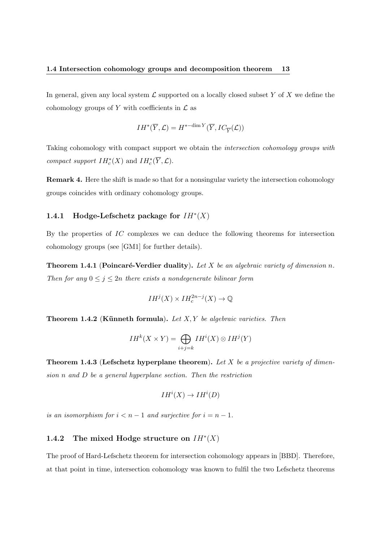In general, given any local system  $\mathcal L$  supported on a locally closed subset Y of X we define the cohomology groups of Y with coefficients in  $\mathcal L$  as

$$
IH^{*}(\overline{Y}, \mathcal{L}) = H^{*-\dim Y}(\overline{Y}, IC_{\overline{Y}}(\mathcal{L}))
$$

Taking cohomology with compact support we obtain the intersection cohomology groups with compact support  $IH_c^*(X)$  and  $IH_c^*(\overline{Y}, \mathcal{L})$ .

Remark 4. Here the shift is made so that for a nonsingular variety the intersection cohomology groups coincides with ordinary cohomology groups.

#### 1.4.1 Hodge-Lefschetz package for  $IH^*(X)$

By the properties of IC complexes we can deduce the following theorems for intersection cohomology groups (see [GM1] for further details).

**Theorem 1.4.1 (Poincaré-Verdier duality).** Let X be an algebraic variety of dimension n. Then for any  $0 \leq j \leq 2n$  there exists a nondegenerate bilinear form

$$
IH^{j}(X) \times IH_{c}^{2n-j}(X) \to \mathbb{Q}
$$

**Theorem 1.4.2** (Künneth formula). Let  $X, Y$  be algebraic varieties. Then

$$
IH^{k}(X \times Y) = \bigoplus_{i+j=k} IH^{i}(X) \otimes IH^{j}(Y)
$$

**Theorem 1.4.3 (Lefschetz hyperplane theorem).** Let  $X$  be a projective variety of dimension  $n$  and  $D$  be a general hyperplane section. Then the restriction

$$
IH^{i}(X) \to IH^{i}(D)
$$

is an isomorphism for  $i < n - 1$  and surjective for  $i = n - 1$ .

#### 1.4.2 The mixed Hodge structure on  $IH^*(X)$

The proof of Hard-Lefschetz theorem for intersection cohomology appears in [BBD]. Therefore, at that point in time, intersection cohomology was known to fulfil the two Lefschetz theorems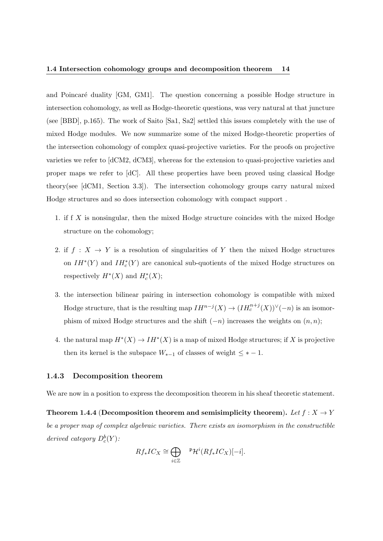#### 1.4 Intersection cohomology groups and decomposition theorem 14

and Poincaré duality [GM, GM1]. The question concerning a possible Hodge structure in intersection cohomology, as well as Hodge-theoretic questions, was very natural at that juncture (see [BBD], p.165). The work of Saito [Sa1, Sa2] settled this issues completely with the use of mixed Hodge modules. We now summarize some of the mixed Hodge-theoretic properties of the intersection cohomology of complex quasi-projective varieties. For the proofs on projective varieties we refer to [dCM2, dCM3], whereas for the extension to quasi-projective varieties and proper maps we refer to [dC]. All these properties have been proved using classical Hodge theory(see [dCM1, Section 3.3]). The intersection cohomology groups carry natural mixed Hodge structures and so does intersection cohomology with compact support .

- 1. if f X is nonsingular, then the mixed Hodge structure coincides with the mixed Hodge structure on the cohomology;
- 2. if  $f : X \to Y$  is a resolution of singularities of Y then the mixed Hodge structures on  $IH^*(Y)$  and  $IH^*_c(Y)$  are canonical sub-quotients of the mixed Hodge structures on respectively  $H^*(X)$  and  $H_c^*(X)$ ;
- 3. the intersection bilinear pairing in intersection cohomology is compatible with mixed Hodge structure, that is the resulting map  $IH^{n-j}(X) \to (IH_c^{n+j}(X))^{\vee}(-n)$  is an isomorphism of mixed Hodge structures and the shift  $(-n)$  increases the weights on  $(n, n)$ ;
- 4. the natural map  $H^*(X) \to IH^*(X)$  is a map of mixed Hodge structures; if X is projective then its kernel is the subspace  $W_{*-1}$  of classes of weight  $\leq$  \* − 1.

#### 1.4.3 Decomposition theorem

We are now in a position to express the decomposition theorem in his sheaf theoretic statement.

Theorem 1.4.4 (Decomposition theorem and semisimplicity theorem). Let  $f: X \to Y$ be a proper map of complex algebraic varieties. There exists an isomorphism in the constructible derived category  $D_c^b(Y)$ :

$$
Rf_*IC_X \cong \bigoplus_{i \in \mathbb{Z}} \qquad \mathfrak{P}\mathcal{H}^i(Rf_*IC_X)[-i].
$$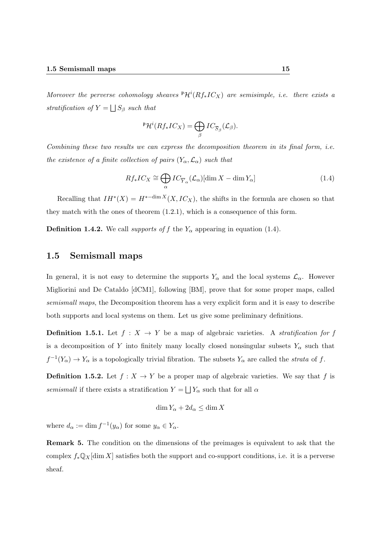Moreover the perverse cohomology sheaves  ${}^{\mathfrak{p}}\mathcal{H}^{i}(Rf_{*}IC_{X})$  are semisimple, i.e. there exists a stratification of  $Y = \bigsqcup S_\beta$  such that

$$
{}^{\mathfrak{p}}\mathcal{H}^i(Rf_*IC_X)=\bigoplus_{\beta}IC_{\overline{S}_{\beta}}(\mathcal{L}_{\beta}).
$$

Combining these two results we can express the decomposition theorem in its final form, i.e. the existence of a finite collection of pairs  $(Y_{\alpha}, \mathcal{L}_{\alpha})$  such that

$$
Rf_*IC_X \cong \bigoplus_{\alpha} IC_{\overline{Y}_{\alpha}}(\mathcal{L}_{\alpha})[\dim X - \dim Y_{\alpha}]
$$
\n(1.4)

Recalling that  $IH^*(X) = H^{*-dim X}(X, IC_X)$ , the shifts in the formula are chosen so that they match with the ones of theorem (1.2.1), which is a consequence of this form.

**Definition 1.4.2.** We call supports of f the  $Y_\alpha$  appearing in equation (1.4).

#### 1.5 Semismall maps

In general, it is not easy to determine the supports  $Y_\alpha$  and the local systems  $\mathcal{L}_\alpha$ . However Migliorini and De Cataldo [dCM1], following [BM], prove that for some proper maps, called semismall maps, the Decomposition theorem has a very explicit form and it is easy to describe both supports and local systems on them. Let us give some preliminary definitions.

**Definition 1.5.1.** Let  $f : X \to Y$  be a map of algebraic varieties. A stratification for f is a decomposition of Y into finitely many locally closed nonsingular subsets  $Y_{\alpha}$  such that  $f^{-1}(Y_\alpha) \to Y_\alpha$  is a topologically trivial fibration. The subsets  $Y_\alpha$  are called the *strata* of f.

**Definition 1.5.2.** Let  $f : X \to Y$  be a proper map of algebraic varieties. We say that f is semismall if there exists a stratification  $Y = \bigsqcup Y_{\alpha}$  such that for all  $\alpha$ 

$$
\dim Y_{\alpha} + 2d_{\alpha} \le \dim X
$$

where  $d_{\alpha} := \dim f^{-1}(y_{\alpha})$  for some  $y_{\alpha} \in Y_{\alpha}$ .

Remark 5. The condition on the dimensions of the preimages is equivalent to ask that the complex  $f_*\mathbb{Q}_X[\dim X]$  satisfies both the support and co-support conditions, i.e. it is a perverse sheaf.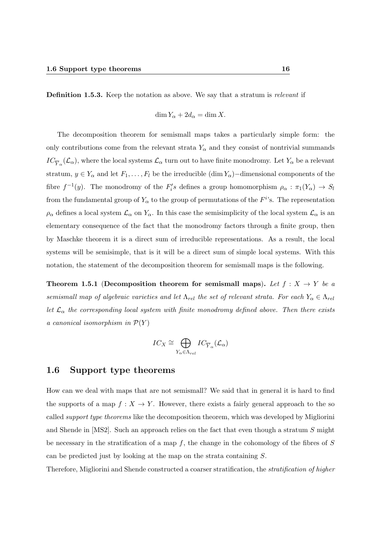Definition 1.5.3. Keep the notation as above. We say that a stratum is relevant if

$$
\dim Y_{\alpha} + 2d_{\alpha} = \dim X.
$$

The decomposition theorem for semismall maps takes a particularly simple form: the only contributions come from the relevant strata  $Y_\alpha$  and they consist of nontrivial summands  $IC_{\overline{Y}_{\alpha}}(\mathcal{L}_{\alpha})$ , where the local systems  $\mathcal{L}_{\alpha}$  turn out to have finite monodromy. Let  $Y_{\alpha}$  be a relevant stratum,  $y \in Y_\alpha$  and let  $F_1, \ldots, F_l$  be the irreducible  $(\dim Y_\alpha)$ −dimensional components of the fibre  $f^{-1}(y)$ . The monodromy of the  $F_i's$  defines a group homomorphism  $\rho_\alpha : \pi_1(Y_\alpha) \to S_\alpha$ from the fundamental group of  $Y_{\alpha}$  to the group of permutations of the  $F^{i}$ 's. The representation  $\rho_\alpha$  defines a local system  $\mathcal{L}_\alpha$  on  $Y_\alpha$ . In this case the semisimplicity of the local system  $\mathcal{L}_\alpha$  is an elementary consequence of the fact that the monodromy factors through a finite group, then by Maschke theorem it is a direct sum of irreducible representations. As a result, the local systems will be semisimple, that is it will be a direct sum of simple local systems. With this notation, the statement of the decomposition theorem for semismall maps is the following.

Theorem 1.5.1 (Decomposition theorem for semismall maps). Let  $f : X \to Y$  be a semismall map of algebraic varieties and let  $\Lambda_{rel}$  the set of relevant strata. For each  $Y_{\alpha} \in \Lambda_{rel}$ let  $\mathcal{L}_{\alpha}$  the corresponding local system with finite monodromy defined above. Then there exists a canonical isomorphism in  $\mathcal{P}(Y)$ 

$$
IC_X \cong \bigoplus_{Y_{\alpha} \in \Lambda_{rel}} IC_{\overline{Y}_{\alpha}}(\mathcal{L}_{\alpha})
$$

#### 1.6 Support type theorems

How can we deal with maps that are not semismall? We said that in general it is hard to find the supports of a map  $f: X \to Y$ . However, there exists a fairly general approach to the so called support type theorems like the decomposition theorem, which was developed by Migliorini and Shende in [MS2]. Such an approach relies on the fact that even though a stratum S might be necessary in the stratification of a map  $f$ , the change in the cohomology of the fibres of  $S$ can be predicted just by looking at the map on the strata containing S.

Therefore, Migliorini and Shende constructed a coarser stratification, the stratification of higher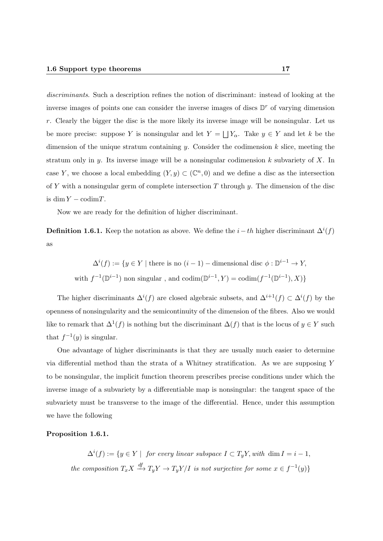discriminants. Such a description refines the notion of discriminant: instead of looking at the inverse images of points one can consider the inverse images of discs  $\mathbb{D}^r$  of varying dimension r. Clearly the bigger the disc is the more likely its inverse image will be nonsingular. Let us be more precise: suppose Y is nonsingular and let  $Y = \bigsqcup Y_\alpha$ . Take  $y \in Y$  and let k be the dimension of the unique stratum containing  $y$ . Consider the codimension  $k$  slice, meeting the stratum only in y. Its inverse image will be a nonsingular codimension  $k$  subvariety of X. In case Y, we choose a local embedding  $(Y, y) \subset (\mathbb{C}^n, 0)$  and we define a disc as the intersection of Y with a nonsingular germ of complete intersection T through y. The dimension of the disc is dim  $Y - \text{codim} T$ .

Now we are ready for the definition of higher discriminant.

**Definition 1.6.1.** Keep the notation as above. We define the  $i-th$  higher discriminant  $\Delta^{i}(f)$ as

$$
\Delta^{i}(f) := \{ y \in Y \mid \text{there is no } (i-1) - \text{dimensional disc } \phi : \mathbb{D}^{i-1} \to Y,
$$
  
with  $f^{-1}(\mathbb{D}^{i-1})$  non singular, and  $\text{codim}(\mathbb{D}^{i-1}, Y) = \text{codim}(f^{-1}(\mathbb{D}^{i-1}), X) \}$ 

The higher discriminants  $\Delta^{i}(f)$  are closed algebraic subsets, and  $\Delta^{i+1}(f) \subset \Delta^{i}(f)$  by the openness of nonsingularity and the semicontinuity of the dimension of the fibres. Also we would like to remark that  $\Delta^1(f)$  is nothing but the discriminant  $\Delta(f)$  that is the locus of  $y \in Y$  such that  $f^{-1}(y)$  is singular.

One advantage of higher discriminants is that they are usually much easier to determine via differential method than the strata of a Whitney stratification. As we are supposing Y to be nonsingular, the implicit function theorem prescribes precise conditions under which the inverse image of a subvariety by a differentiable map is nonsingular: the tangent space of the subvariety must be transverse to the image of the differential. Hence, under this assumption we have the following

#### Proposition 1.6.1.

 $\Delta^{i}(f) := \{y \in Y \mid \text{ for every linear subspace } I \subset T_{y}Y, \text{ with } \dim I = i - 1, \}$ the composition  $T_x X \stackrel{df}{\longrightarrow} T_y Y \to T_y Y/I$  is not surjective for some  $x \in f^{-1}(y)$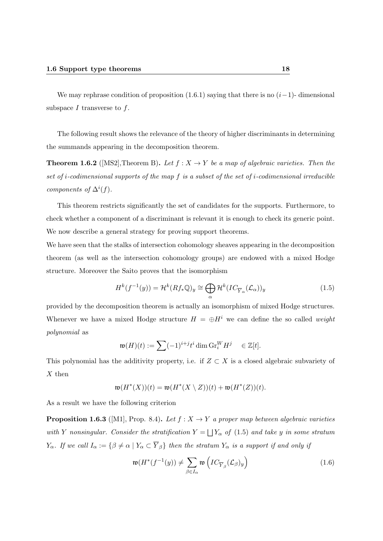We may rephrase condition of proposition  $(1.6.1)$  saying that there is no  $(i-1)$ - dimensional subspace  $I$  transverse to  $f$ .

The following result shows the relevance of the theory of higher discriminants in determining the summands appearing in the decomposition theorem.

**Theorem 1.6.2** ([MS2], Theorem B). Let  $f : X \to Y$  be a map of algebraic varieties. Then the set of i-codimensional supports of the map f is a subset of the set of i-codimensional irreducible components of  $\Delta^{i}(f)$ .

This theorem restricts significantly the set of candidates for the supports. Furthermore, to check whether a component of a discriminant is relevant it is enough to check its generic point. We now describe a general strategy for proving support theorems.

We have seen that the stalks of intersection cohomology sheaves appearing in the decomposition theorem (as well as the intersection cohomology groups) are endowed with a mixed Hodge structure. Moreover the Saito proves that the isomorphism

$$
H^k(f^{-1}(y)) = \mathcal{H}^k(Rf_*\mathbb{Q})_y \cong \bigoplus_{\alpha} \mathcal{H}^k(IC_{\overline{Y}_{\alpha}}(\mathcal{L}_{\alpha}))_y
$$
\n(1.5)

provided by the decomposition theorem is actually an isomorphism of mixed Hodge structures. Whenever we have a mixed Hodge structure  $H = \bigoplus H^{i}$  we can define the so called weight polynomial as

$$
\mathfrak{w}(H)(t) := \sum (-1)^{i+j} t^i \dim \mathrm{Gr}_i^W H^j \quad \in \mathbb{Z}[t].
$$

This polynomial has the additivity property, i.e. if  $Z \subset X$  is a closed algebraic subvariety of  $X$  then

$$
\mathfrak{w}(H^*(X))(t) = \mathfrak{w}(H^*(X \setminus Z))(t) + \mathfrak{w}(H^*(Z))(t).
$$

As a result we have the following criterion

**Proposition 1.6.3** ([M1], Prop. 8.4). Let  $f : X \rightarrow Y$  a proper map between algebraic varieties with Y nonsingular. Consider the stratification  $Y = \bigsqcup Y_{\alpha}$  of (1.5) and take y in some stratum  $Y_\alpha$ . If we call  $I_\alpha := \{ \beta \neq \alpha \mid Y_\alpha \subset \overline{Y}_\beta \}$  then the stratum  $Y_\alpha$  is a support if and only if

$$
\mathfrak{w}(H^*(f^{-1}(y)) \neq \sum_{\beta \in I_\alpha} \mathfrak{w}\left( IC_{\overline{Y}_\beta}(\mathcal{L}_\beta)_y \right) \tag{1.6}
$$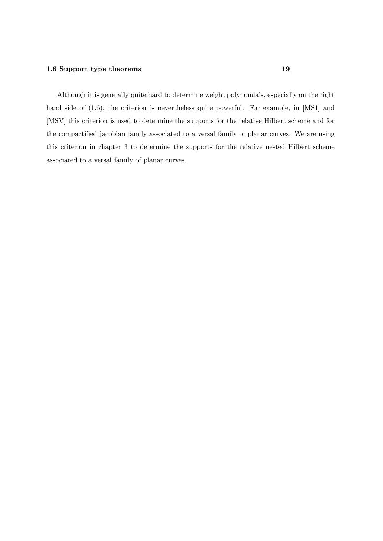Although it is generally quite hard to determine weight polynomials, especially on the right hand side of  $(1.6)$ , the criterion is nevertheless quite powerful. For example, in [MS1] and [MSV] this criterion is used to determine the supports for the relative Hilbert scheme and for the compactified jacobian family associated to a versal family of planar curves. We are using this criterion in chapter 3 to determine the supports for the relative nested Hilbert scheme associated to a versal family of planar curves.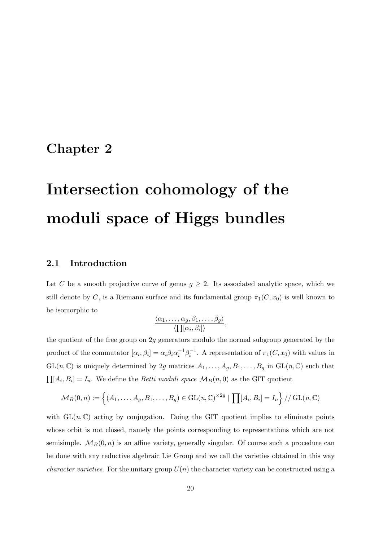## Chapter 2

# Intersection cohomology of the moduli space of Higgs bundles

#### 2.1 Introduction

Let C be a smooth projective curve of genus  $g \geq 2$ . Its associated analytic space, which we still denote by C, is a Riemann surface and its fundamental group  $\pi_1(C, x_0)$  is well known to be isomorphic to

$$
\frac{\langle \alpha_1,\ldots,\alpha_g,\beta_1,\ldots,\beta_g \rangle}{\langle \prod [\alpha_i,\beta_i] \rangle},
$$

the quotient of the free group on 2g generators modulo the normal subgroup generated by the product of the commutator  $[\alpha_i, \beta_i] = \alpha_i \beta_i \alpha_i^{-1} \beta_i^{-1}$ . A representation of  $\pi_1(C, x_0)$  with values in  $GL(n,\mathbb{C})$  is uniquely determined by 2g matrices  $A_1,\ldots,A_g, B_1,\ldots,B_g$  in  $GL(n,\mathbb{C})$  such that  $\prod [A_i, B_i] = I_n$ . We define the *Betti moduli space*  $\mathcal{M}_B(n, 0)$  as the GIT quotient

$$
\mathcal{M}_B(0,n) := \left\{ (A_1,\ldots,A_g,B_1,\ldots,B_g) \in \mathrm{GL}(n,\mathbb{C})^{\times 2g} \mid \prod [A_i,B_i] = I_n \right\} / / \mathrm{GL}(n,\mathbb{C})
$$

with  $GL(n, \mathbb{C})$  acting by conjugation. Doing the GIT quotient implies to eliminate points whose orbit is not closed, namely the points corresponding to representations which are not semisimple.  $\mathcal{M}_B(0, n)$  is an affine variety, generally singular. Of course such a procedure can be done with any reductive algebraic Lie Group and we call the varieties obtained in this way *character varieties.* For the unitary group  $U(n)$  the character variety can be constructed using a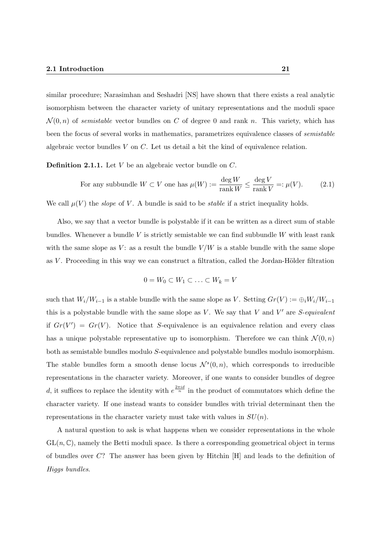similar procedure; Narasimhan and Seshadri [NS] have shown that there exists a real analytic isomorphism between the character variety of unitary representations and the moduli space  $\mathcal{N}(0,n)$  of semistable vector bundles on C of degree 0 and rank n. This variety, which has been the focus of several works in mathematics, parametrizes equivalence classes of semistable algebraic vector bundles V on C. Let us detail a bit the kind of equivalence relation.

**Definition 2.1.1.** Let  $V$  be an algebraic vector bundle on  $C$ .

For any subbundle 
$$
W \subset V
$$
 one has  $\mu(W) := \frac{\deg W}{\text{rank } W} \le \frac{\deg V}{\text{rank } V} =: \mu(V).$  (2.1)

We call  $\mu(V)$  the *slope* of V. A bundle is said to be *stable* if a strict inequality holds.

Also, we say that a vector bundle is polystable if it can be written as a direct sum of stable bundles. Whenever a bundle  $V$  is strictly semistable we can find subbundle  $W$  with least rank with the same slope as V: as a result the bundle  $V/W$  is a stable bundle with the same slope as  $V$ . Proceeding in this way we can construct a filtration, called the Jordan-Hölder filtration

$$
0 = W_0 \subset W_1 \subset \ldots \subset W_k = V
$$

such that  $W_i/W_{i-1}$  is a stable bundle with the same slope as V. Setting  $Gr(V) := \bigoplus_i W_i/W_{i-1}$ this is a polystable bundle with the same slope as  $V$ . We say that  $V$  and  $V'$  are  $S$ -equivalent if  $Gr(V') = Gr(V)$ . Notice that S-equivalence is an equivalence relation and every class has a unique polystable representative up to isomorphism. Therefore we can think  $\mathcal{N}(0,n)$ both as semistable bundles modulo S-equivalence and polystable bundles modulo isomorphism. The stable bundles form a smooth dense locus  $\mathcal{N}^s(0,n)$ , which corresponds to irreducible representations in the character variety. Moreover, if one wants to consider bundles of degree d, it suffices to replace the identity with  $e^{\frac{2\pi i d}{n}}$  in the product of commutators which define the character variety. If one instead wants to consider bundles with trivial determinant then the representations in the character variety must take with values in  $SU(n)$ .

A natural question to ask is what happens when we consider representations in the whole  $GL(n,\mathbb{C})$ , namely the Betti moduli space. Is there a corresponding geometrical object in terms of bundles over C? The answer has been given by Hitchin [H] and leads to the definition of Higgs bundles.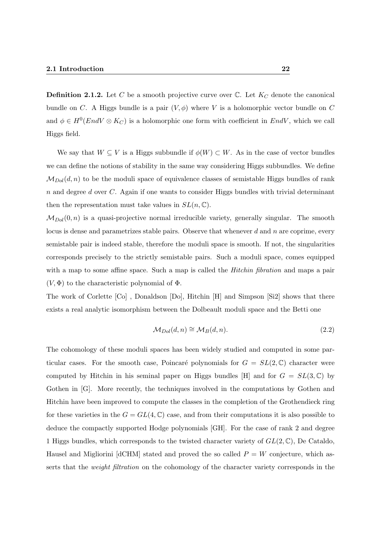**Definition 2.1.2.** Let C be a smooth projective curve over  $\mathbb{C}$ . Let  $K_C$  denote the canonical bundle on C. A Higgs bundle is a pair  $(V, \phi)$  where V is a holomorphic vector bundle on C and  $\phi \in H^0(End V \otimes K_C)$  is a holomorphic one form with coefficient in  $End V$ , which we call Higgs field.

We say that  $W \subseteq V$  is a Higgs subbundle if  $\phi(W) \subset W$ . As in the case of vector bundles we can define the notions of stability in the same way considering Higgs subbundles. We define  $\mathcal{M}_{Dol}(d, n)$  to be the moduli space of equivalence classes of semistable Higgs bundles of rank  $n$  and degree  $d$  over  $C$ . Again if one wants to consider Higgs bundles with trivial determinant then the representation must take values in  $SL(n,\mathbb{C})$ .

 $M_{Dol}(0, n)$  is a quasi-projective normal irreducible variety, generally singular. The smooth locus is dense and parametrizes stable pairs. Observe that whenever  $d$  and  $n$  are coprime, every semistable pair is indeed stable, therefore the moduli space is smooth. If not, the singularities corresponds precisely to the strictly semistable pairs. Such a moduli space, comes equipped with a map to some affine space. Such a map is called the *Hitchin fibration* and maps a pair  $(V, \Phi)$  to the characteristic polynomial of  $\Phi$ .

The work of Corlette [Co] , Donaldson [Do], Hitchin [H] and Simpson [Si2] shows that there exists a real analytic isomorphism between the Dolbeault moduli space and the Betti one

$$
\mathcal{M}_{Dol}(d,n) \cong \mathcal{M}_B(d,n). \tag{2.2}
$$

The cohomology of these moduli spaces has been widely studied and computed in some particular cases. For the smooth case, Poincaré polynomials for  $G = SL(2,\mathbb{C})$  character were computed by Hitchin in his seminal paper on Higgs bundles [H] and for  $G = SL(3,\mathbb{C})$  by Gothen in [G]. More recently, the techniques involved in the computations by Gothen and Hitchin have been improved to compute the classes in the completion of the Grothendieck ring for these varieties in the  $G = GL(4, \mathbb{C})$  case, and from their computations it is also possible to deduce the compactly supported Hodge polynomials [GH]. For the case of rank 2 and degree 1 Higgs bundles, which corresponds to the twisted character variety of  $GL(2,\mathbb{C})$ , De Cataldo, Hausel and Migliorini [dCHM] stated and proved the so called  $P = W$  conjecture, which asserts that the *weight filtration* on the cohomology of the character variety corresponds in the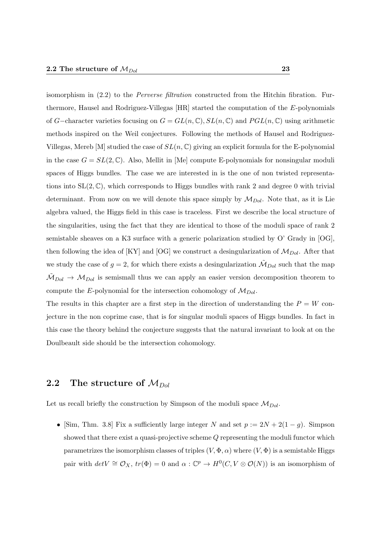isomorphism in  $(2.2)$  to the *Perverse filtration* constructed from the Hitchin fibration. Furthermore, Hausel and Rodriguez-Villegas [HR] started the computation of the E-polynomials of G−character varieties focusing on  $G = GL(n, \mathbb{C}), SL(n, \mathbb{C})$  and  $PGL(n, \mathbb{C})$  using arithmetic methods inspired on the Weil conjectures. Following the methods of Hausel and Rodriguez-Villegas, Mereb [M] studied the case of  $SL(n, \mathbb{C})$  giving an explicit formula for the E-polynomial in the case  $G = SL(2, \mathbb{C})$ . Also, Mellit in [Me] compute E-polynomials for nonsingular moduli spaces of Higgs bundles. The case we are interested in is the one of non twisted representations into  $SL(2,\mathbb{C})$ , which corresponds to Higgs bundles with rank 2 and degree 0 with trivial determinant. From now on we will denote this space simply by  $\mathcal{M}_{Dol}$ . Note that, as it is Lie algebra valued, the Higgs field in this case is traceless. First we describe the local structure of the singularities, using the fact that they are identical to those of the moduli space of rank 2 semistable sheaves on a K3 surface with a generic polarization studied by O' Grady in [OG], then following the idea of [KY] and [OG] we construct a desingularization of  $\mathcal{M}_{Dol}$ . After that we study the case of  $g = 2$ , for which there exists a desingularization  $\tilde{M}_{Dol}$  such that the map  $\mathcal{M}_{Dol} \to \mathcal{M}_{Dol}$  is semismall thus we can apply an easier version decomposition theorem to compute the E-polynomial for the intersection cohomology of  $\mathcal{M}_{Dol}$ .

The results in this chapter are a first step in the direction of understanding the  $P = W$  conjecture in the non coprime case, that is for singular moduli spaces of Higgs bundles. In fact in this case the theory behind the conjecture suggests that the natural invariant to look at on the Doulbeault side should be the intersection cohomology.

### 2.2 The structure of  $M_{Dol}$

Let us recall briefly the construction by Simpson of the moduli space  $\mathcal{M}_{Dol}$ .

• [Sim, Thm. 3.8] Fix a sufficiently large integer N and set  $p := 2N + 2(1 - g)$ . Simpson showed that there exist a quasi-projective scheme Q representing the moduli functor which parametrizes the isomorphism classes of triples  $(V, \Phi, \alpha)$  where  $(V, \Phi)$  is a semistable Higgs pair with  $det V \cong \mathcal{O}_X$ ,  $tr(\Phi) = 0$  and  $\alpha : \mathbb{C}^p \to H^0(C, V \otimes \mathcal{O}(N))$  is an isomorphism of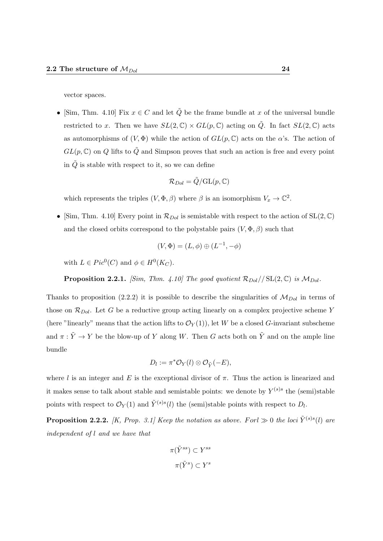vector spaces.

• [Sim, Thm. 4.10] Fix  $x \in C$  and let  $\tilde{Q}$  be the frame bundle at x of the universal bundle restricted to x. Then we have  $SL(2,\mathbb{C}) \times GL(p,\mathbb{C})$  acting on  $\tilde{Q}$ . In fact  $SL(2,\mathbb{C})$  acts as automorphisms of  $(V, \Phi)$  while the action of  $GL(p, \mathbb{C})$  acts on the  $\alpha$ 's. The action of  $GL(p,\mathbb{C})$  on Q lifts to  $\tilde{Q}$  and Simpson proves that such an action is free and every point in  $\tilde{Q}$  is stable with respect to it, so we can define

$$
\mathcal{R}_{Dol}=\tilde{Q}/\mathrm{GL}(p,\mathbb{C})
$$

which represents the triples  $(V, \Phi, \beta)$  where  $\beta$  is an isomorphism  $V_x \to \mathbb{C}^2$ .

• [Sim, Thm. 4.10] Every point in  $\mathcal{R}_{Dol}$  is semistable with respect to the action of  $SL(2,\mathbb{C})$ and the closed orbits correspond to the polystable pairs  $(V, \Phi, \beta)$  such that

$$
(V, \Phi) = (L, \phi) \oplus (L^{-1}, -\phi)
$$

with  $L \in Pic^0(C)$  and  $\phi \in H^0(K_C)$ .

**Proposition 2.2.1.** [Sim, Thm. 4.10] The good quotient  $\mathcal{R}_{Dol}/\sum_{i=1}^N \mathcal{R}_{Dol}.$ 

Thanks to proposition (2.2.2) it is possible to describe the singularities of  $M_{Dol}$  in terms of those on  $\mathcal{R}_{Dol}$ . Let G be a reductive group acting linearly on a complex projective scheme Y (here "linearly" means that the action lifts to  $\mathcal{O}_Y(1)$ ), let W be a closed G-invariant subscheme and  $\pi : \tilde{Y} \to Y$  be the blow-up of Y along W. Then G acts both on  $\tilde{Y}$  and on the ample line bundle

$$
D_l := \pi^* \mathcal{O}_Y(l) \otimes \mathcal{O}_{\tilde{Y}}(-E),
$$

where l is an integer and E is the exceptional divisor of  $\pi$ . Thus the action is linearized and it makes sense to talk about stable and semistable points: we denote by  $Y^{(s)s}$  the (semi)stable points with respect to  $\mathcal{O}_Y(1)$  and  $\tilde{Y}^{(s)s}(l)$  the (semi)stable points with respect to  $D_l$ .

**Proposition 2.2.2.** [K, Prop. 3.1] Keep the notation as above. For  $l \gg 0$  the loci  $\tilde{Y}^{(s)s}(l)$  are independent of l and we have that

$$
\pi(\tilde{Y}^{ss}) \subset Y^{ss}
$$

$$
\pi(\tilde{Y}^s) \subset Y^s
$$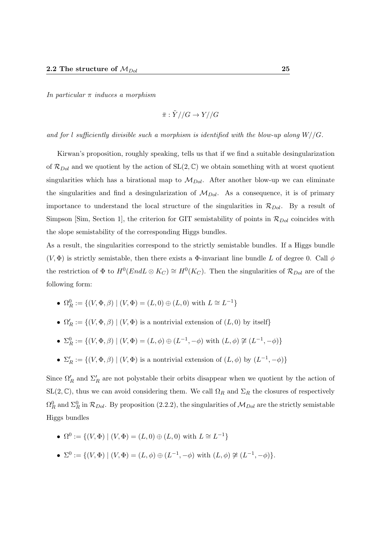In particular  $\pi$  induces a morphism

$$
\bar{\pi}: \tilde{Y} // G \to Y // G
$$

and for l sufficiently divisible such a morphism is identified with the blow-up along  $W/(G)$ .

Kirwan's proposition, roughly speaking, tells us that if we find a suitable desingularization of  $\mathcal{R}_{Dol}$  and we quotient by the action of  $SL(2,\mathbb{C})$  we obtain something with at worst quotient singularities which has a birational map to  $\mathcal{M}_{Dol}$ . After another blow-up we can eliminate the singularities and find a desingularization of  $M_{Dol}$ . As a consequence, it is of primary importance to understand the local structure of the singularities in  $\mathcal{R}_{Dol}$ . By a result of Simpson [Sim, Section 1], the criterion for GIT semistability of points in  $\mathcal{R}_{Dol}$  coincides with the slope semistability of the corresponding Higgs bundles.

As a result, the singularities correspond to the strictly semistable bundles. If a Higgs bundle  $(V, \Phi)$  is strictly semistable, then there exists a  $\Phi$ -invariant line bundle L of degree 0. Call  $\phi$ the restriction of  $\Phi$  to  $H^0(End L \otimes K_C) \cong H^0(K_C)$ . Then the singularities of  $\mathcal{R}_{Dol}$  are of the following form:

- $\Omega_R^0 := \{ (V, \Phi, \beta) \mid (V, \Phi) = (L, 0) \oplus (L, 0) \text{ with } L \cong L^{-1} \}$
- $\Omega'_R := \{ (V, \Phi, \beta) \mid (V, \Phi) \text{ is a nontrivial extension of } (L, 0) \text{ by itself} \}$
- $\Sigma_R^0 := \{ (V, \Phi, \beta) \mid (V, \Phi) = (L, \phi) \oplus (L^{-1}, -\phi) \text{ with } (L, \phi) \not\cong (L^{-1}, -\phi) \}$
- $\Sigma'_R := \{(V, \Phi, \beta) \mid (V, \Phi) \text{ is a nontrivial extension of } (L, \phi) \text{ by } (L^{-1}, -\phi) \}$

Since  $\Omega'_R$  and  $\Sigma'_R$  are not polystable their orbits disappear when we quotient by the action of  $SL(2,\mathbb{C})$ , thus we can avoid considering them. We call  $\Omega_R$  and  $\Sigma_R$  the closures of respectively  $\Omega_R^0$  and  $\Sigma_R^0$  in  $\mathcal{R}_{Dol}$ . By proposition (2.2.2), the singularities of  $\mathcal{M}_{Dol}$  are the strictly semistable Higgs bundles

• 
$$
\Omega^0 := \{(V, \Phi) | (V, \Phi) = (L, 0) \oplus (L, 0)
$$
 with  $L \cong L^{-1}\}$ 

•  $\Sigma^0 := \{ (V, \Phi) \mid (V, \Phi) = (L, \phi) \oplus (L^{-1}, -\phi) \text{ with } (L, \phi) \not\cong (L^{-1}, -\phi) \}.$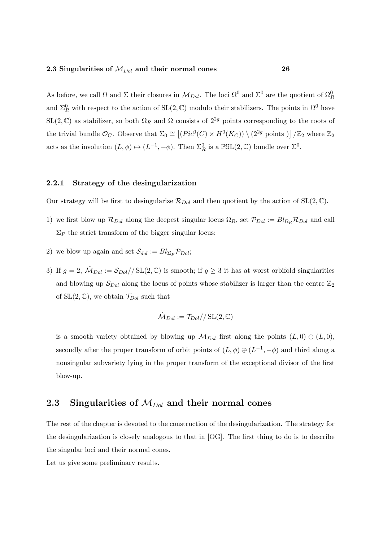As before, we call  $\Omega$  and  $\Sigma$  their closures in  $\mathcal{M}_{Dol}$ . The loci  $\Omega^0$  and  $\Sigma^0$  are the quotient of  $\Omega^0_R$ and  $\Sigma_R^0$  with respect to the action of  $SL(2,\mathbb{C})$  modulo their stabilizers. The points in  $\Omega^0$  have  $SL(2,\mathbb{C})$  as stabilizer, so both  $\Omega_R$  and  $\Omega$  consists of  $2^{2g}$  points corresponding to the roots of the trivial bundle  $\mathcal{O}_C$ . Observe that  $\Sigma_0 \cong \left[ (Pic^0(C) \times H^0(K_C)) \setminus (2^{2g} \text{ points}) \right] / \mathbb{Z}_2$  where  $\mathbb{Z}_2$ acts as the involution  $(L, \phi) \mapsto (L^{-1}, -\phi)$ . Then  $\Sigma_R^0$  is a  $\mathbb{PSL}(2, \mathbb{C})$  bundle over  $\Sigma^0$ .

#### 2.2.1 Strategy of the desingularization

Our strategy will be first to desingularize  $\mathcal{R}_{Dol}$  and then quotient by the action of  $SL(2,\mathbb{C})$ .

- 1) we first blow up  $\mathcal{R}_{Dol}$  along the deepest singular locus  $\Omega_R$ , set  $\mathcal{P}_{Dol} := Bl_{\Omega_R} \mathcal{R}_{Dol}$  and call  $\Sigma_P$  the strict transform of the bigger singular locus;
- 2) we blow up again and set  $S_{dol} := Bl_{\Sigma_P} \mathcal{P}_{Dol};$
- 3) If  $g = 2$ ,  $\hat{M}_{Dol} := \frac{\mathcal{S}_{Dol}}{\sqrt{\text{SL}(2,\mathbb{C})}}$  is smooth; if  $g \geq 3$  it has at worst orbifold singularities and blowing up  $S_{Dol}$  along the locus of points whose stabilizer is larger than the centre  $\mathbb{Z}_2$ of  $SL(2,\mathbb{C})$ , we obtain  $\mathcal{T}_{Dol}$  such that

$$
\hat{\mathcal{M}}_{Dol}:=\mathcal{T}_{Dol}//\operatorname{SL}(2,\mathbb{C})
$$

is a smooth variety obtained by blowing up  $\mathcal{M}_{Dol}$  first along the points  $(L, 0) \oplus (L, 0)$ , secondly after the proper transform of orbit points of  $(L, \phi) \oplus (L^{-1}, -\phi)$  and third along a nonsingular subvariety lying in the proper transform of the exceptional divisor of the first blow-up.

#### 2.3 Singularities of  $M_{Dol}$  and their normal cones

The rest of the chapter is devoted to the construction of the desingularization. The strategy for the desingularization is closely analogous to that in [OG]. The first thing to do is to describe the singular loci and their normal cones.

Let us give some preliminary results.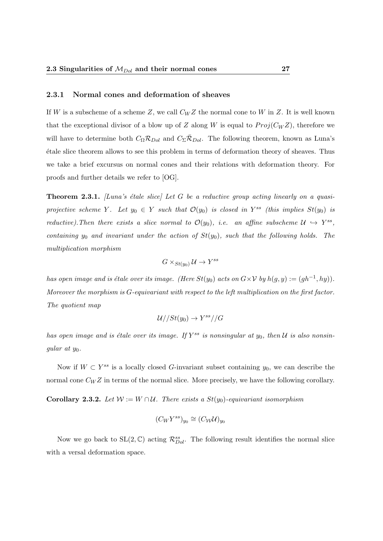#### 2.3.1 Normal cones and deformation of sheaves

If W is a subscheme of a scheme Z, we call  $C_WZ$  the normal cone to W in Z. It is well known that the exceptional divisor of a blow up of Z along W is equal to  $Proj(C_W Z)$ , therefore we will have to determine both  $C_{\Omega} \mathcal{R}_{Dol}$  and  $C_{\Sigma} \bar{\mathcal{R}}_{Dol}$ . The following theorem, known as Luna's ´etale slice theorem allows to see this problem in terms of deformation theory of sheaves. Thus we take a brief excursus on normal cones and their relations with deformation theory. For proofs and further details we refer to [OG].

**Theorem 2.3.1.** [Luna's étale slice] Let G be a reductive group acting linearly on a quasiprojective scheme Y. Let  $y_0 \in Y$  such that  $\mathcal{O}(y_0)$  is closed in Y<sup>ss</sup> (this implies  $St(y_0)$  is reductive). Then there exists a slice normal to  $\mathcal{O}(y_0)$ , i.e. an affine subscheme  $\mathcal{U} \hookrightarrow Y^{ss}$ , containing  $y_0$  and invariant under the action of  $St(y_0)$ , such that the following holds. The multiplication morphism

$$
G \times_{St(y_0)} \mathcal{U} \to Y^{ss}
$$

has open image and is étale over its image. (Here  $St(y_0)$  acts on  $G \times V$  by  $h(g, y) := (gh^{-1}, hy)$ ). Moreover the morphism is G-equivariant with respect to the left multiplication on the first factor. The quotient map

$$
\mathcal{U}//St(y_0)\to Y^{ss}//G
$$

has open image and is étale over its image. If  $Y^{ss}$  is nonsingular at  $y_0$ , then  $U$  is also nonsingular at  $y_0$ .

Now if  $W \subset Y^{ss}$  is a locally closed G-invariant subset containing  $y_0$ , we can describe the normal cone  $C_W Z$  in terms of the normal slice. More precisely, we have the following corollary.

Corollary 2.3.2. Let  $W := W \cap U$ . There exists a  $St(y_0)$ -equivariant isomorphism

$$
(C_WY^{ss})_{y_0}\cong (C_{\mathcal{W}}\mathcal{U})_{y_0}
$$

Now we go back to  $SL(2,\mathbb{C})$  acting  $\mathcal{R}_{Dol}^{ss}$ . The following result identifies the normal slice with a versal deformation space.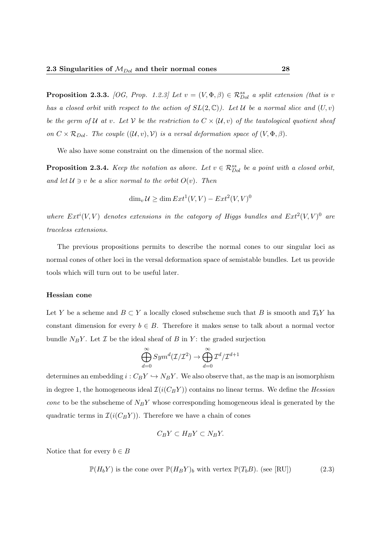**Proposition 2.3.3.** [OG, Prop. 1.2.3] Let  $v = (V, \Phi, \beta) \in \mathcal{R}_{Dol}^{ss}$  a split extension (that is v has a closed orbit with respect to the action of  $SL(2,\mathbb{C})$ ). Let U be a normal slice and  $(U, v)$ be the germ of U at v. Let V be the restriction to  $C \times (U, v)$  of the tautological quotient sheaf on  $C \times \mathcal{R}_{Dol}$ . The couple  $((\mathcal{U}, v), \mathcal{V})$  is a versal deformation space of  $(V, \Phi, \beta)$ .

We also have some constraint on the dimension of the normal slice.

**Proposition 2.3.4.** Keep the notation as above. Let  $v \in \mathcal{R}_{Dol}^{ss}$  be a point with a closed orbit, and let  $\mathcal{U} \ni v$  be a slice normal to the orbit  $O(v)$ . Then

$$
\dim_v \mathcal{U} \ge \dim Ext^1(V, V) - Ext^2(V, V)^0
$$

where  $Ext^{i}(V, V)$  denotes extensions in the category of Higgs bundles and  $Ext^{2}(V, V)^{0}$  are traceless extensions.

The previous propositions permits to describe the normal cones to our singular loci as normal cones of other loci in the versal deformation space of semistable bundles. Let us provide tools which will turn out to be useful later.

#### Hessian cone

Let Y be a scheme and  $B \subset Y$  a locally closed subscheme such that B is smooth and  $T_bY$  ha constant dimension for every  $b \in B$ . Therefore it makes sense to talk about a normal vector bundle  $N_BY$ . Let  $\mathcal I$  be the ideal sheaf of  $B$  in  $Y$ : the graded surjection

$$
\bigoplus_{d=0}^{\infty} Sym^d(\mathcal{I}/\mathcal{I}^2) \to \bigoplus_{d=0}^{\infty} \mathcal{I}^d/\mathcal{I}^{d+1}
$$

determines an embedding  $i : C_B Y \hookrightarrow N_B Y$ . We also observe that, as the map is an isomorphism in degree 1, the homogeneous ideal  $\mathcal{I}(i(C_BY))$  contains no linear terms. We define the Hessian *cone* to be the subscheme of  $N_BY$  whose corresponding homogeneous ideal is generated by the quadratic terms in  $\mathcal{I}(i(C_B Y))$ . Therefore we have a chain of cones

$$
C_B Y \subset H_B Y \subset N_B Y.
$$

Notice that for every  $b \in B$ 

$$
\mathbb{P}(H_b Y) \text{ is the cone over } \mathbb{P}(H_B Y)_b \text{ with vertex } \mathbb{P}(T_b B). \text{ (see [RU])} \tag{2.3}
$$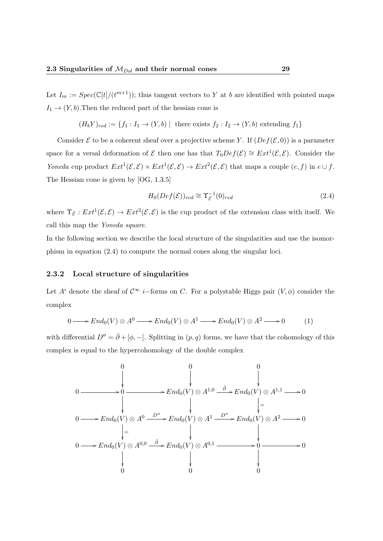Let  $I_m := Spec(\mathbb{C}[t]/(t^{m+1}))$ ; thus tangent vectors to Y at b are identified with pointed maps  $I_1 \rightarrow (Y, b)$ . Then the reduced part of the hessian cone is

$$
(H_bY)_{red} := \{f_1 : I_1 \to (Y, b) \mid \text{ there exists } f_2 : I_2 \to (Y, b) \text{ extending } f_1\}
$$

Consider  $\mathcal E$  to be a coherent sheaf over a projective scheme Y. If  $(\mathcal Def(\mathcal E, 0))$  is a parameter space for a versal deformation of  $\mathcal E$  then one has that  $T_0Def(\mathcal E) \cong Ext^1(\mathcal E,\mathcal E)$ . Consider the Yoneda cup product  $Ext^1(\mathcal{E}, \mathcal{E}) \times Ext^1(\mathcal{E}, \mathcal{E}) \to Ext^2(\mathcal{E}, \mathcal{E})$  that maps a couple  $(e, f)$  in  $e \cup f$ . The Hessian cone is given by [OG, 1.3.5]

$$
H_0(Def(\mathcal{E}))_{red} \cong \Upsilon_{\mathcal{E}}^{-1}(0)_{red}
$$
\n(2.4)

where  $\Upsilon_{\mathcal{E}}: Ext^1(\mathcal{E}, \mathcal{E}) \to Ext^2(\mathcal{E}, \mathcal{E})$  is the cup product of the extension class with itself. We call this map the Yoneda square.

In the following section we describe the local structure of the singularities and use the isomorphism in equation (2.4) to compute the normal cones along the singular loci.

#### 2.3.2 Local structure of singularities

Let  $A^i$  denote the sheaf of  $\mathcal{C}^\infty$  i–forms on C. For a polystable Higgs pair  $(V, \phi)$  consider the complex

$$
0 \longrightarrow End_0(V) \otimes A^0 \longrightarrow End_0(V) \otimes A^1 \longrightarrow End_0(V) \otimes A^2 \longrightarrow 0 \tag{1}
$$

with differential  $D'' = \bar{\partial} + [\phi, -]$ . Splitting in  $(p, q)$  forms, we have that the cohomology of this complex is equal to the hypercohomology of the double complex

$$
0 \longrightarrow 0 \longrightarrow 0 \longrightarrow End_0(V) \otimes A^{1,0} \longrightarrow End_0(V) \otimes A^{1,1} \longrightarrow 0
$$
  
\n
$$
0 \longrightarrow End_0(V) \otimes A^0 \longrightarrow End_0(V) \otimes A^1 \longrightarrow D'' \longrightarrow End_0(V) \otimes A^2 \longrightarrow 0
$$
  
\n
$$
\downarrow = \qquad \qquad \downarrow
$$
  
\n
$$
0 \longrightarrow End_0(V) \otimes A^{0,0} \longrightarrow End_0(V) \otimes A^{0,1} \longrightarrow 0
$$
  
\n
$$
\downarrow
$$
  
\n
$$
0 \longrightarrow 0
$$
  
\n
$$
\downarrow
$$
  
\n
$$
0 \longrightarrow 0
$$
  
\n
$$
0
$$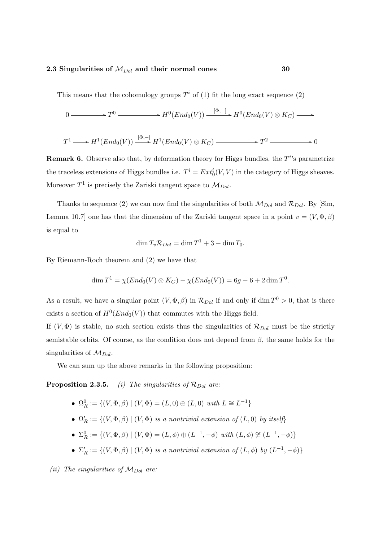This means that the cohomology groups  $T^i$  of (1) fit the long exact sequence (2)

$$
0 \longrightarrow T^{0} \longrightarrow H^{0}(End_{0}(V)) \xrightarrow{[\Phi,-]} H^{0}(End_{0}(V) \otimes K_{C}) \longrightarrow
$$
  

$$
T^{1} \longrightarrow H^{1}(End_{0}(V)) \xrightarrow{[\Phi,-]} H^{1}(End_{0}(V) \otimes K_{C}) \longrightarrow T^{2} \longrightarrow 0
$$

**Remark 6.** Observe also that, by deformation theory for Higgs bundles, the  $T<sup>i</sup>$ 's parametrize the traceless extensions of Higgs bundles i.e.  $T^i = Ext_0^i(V, V)$  in the category of Higgs sheaves. Moreover  $T^1$  is precisely the Zariski tangent space to  $\mathcal{M}_{Dol}$ .

Thanks to sequence (2) we can now find the singularities of both  $\mathcal{M}_{Dol}$  and  $\mathcal{R}_{Dol}$ . By [Sim, Lemma 10.7] one has that the dimension of the Zariski tangent space in a point  $v = (V, \Phi, \beta)$ is equal to

$$
\dim T_v \mathcal{R}_{Dol} = \dim T^1 + 3 - \dim T_0.
$$

By Riemann-Roch theorem and (2) we have that

$$
\dim T^{1} = \chi(End_{0}(V) \otimes K_{C}) - \chi(End_{0}(V)) = 6g - 6 + 2\dim T^{0}.
$$

As a result, we have a singular point  $(V, \Phi, \beta)$  in  $\mathcal{R}_{Dol}$  if and only if dim  $T^0 > 0$ , that is there exists a section of  $H^0(End_0(V))$  that commutes with the Higgs field.

If  $(V, \Phi)$  is stable, no such section exists thus the singularities of  $\mathcal{R}_{Dol}$  must be the strictly semistable orbits. Of course, as the condition does not depend from  $\beta$ , the same holds for the singularities of  $\mathcal{M}_{Dol}$ .

We can sum up the above remarks in the following proposition:

**Proposition 2.3.5.** (i) The singularities of  $\mathcal{R}_{Dol}$  are:

- $\Omega_R^0 := \{ (V, \Phi, \beta) \mid (V, \Phi) = (L, 0) \oplus (L, 0) \text{ with } L \cong L^{-1} \}$
- $\Omega'_R := \{(V, \Phi, \beta) \mid (V, \Phi)$  is a nontrivial extension of  $(L, 0)$  by itself}
- $\Sigma_R^0 := \{ (V, \Phi, \beta) \mid (V, \Phi) = (L, \phi) \oplus (L^{-1}, -\phi) \text{ with } (L, \phi) \not\cong (L^{-1}, -\phi) \}$
- $\Sigma'_R := \{(V, \Phi, \beta) \mid (V, \Phi)$  is a nontrivial extension of  $(L, \phi)$  by  $(L^{-1}, -\phi)$

(ii) The singularities of  $M_{Dol}$  are: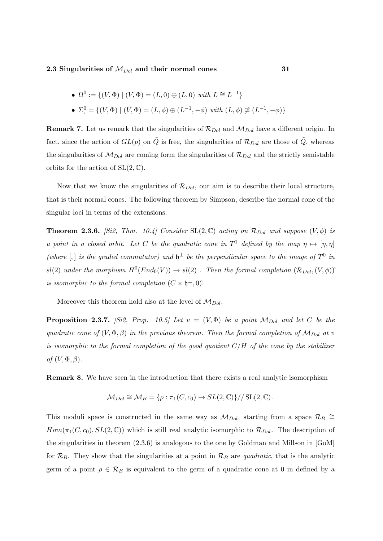• 
$$
\Omega^0 := \{(V, \Phi) | (V, \Phi) = (L, 0) \oplus (L, 0) \text{ with } L \cong L^{-1}\}
$$

• 
$$
\Sigma^0
$$
 = { $(V, \Phi) | (V, \Phi) = (L, \phi) \oplus (L^{-1}, -\phi)$  with  $(L, \phi) \not\cong (L^{-1}, -\phi)$ }

**Remark 7.** Let us remark that the singularities of  $\mathcal{R}_{Dol}$  and  $\mathcal{M}_{Dol}$  have a different origin. In fact, since the action of  $GL(p)$  on  $\tilde{Q}$  is free, the singularities of  $\mathcal{R}_{Dol}$  are those of  $Q$ , whereas the singularities of  $\mathcal{M}_{Dol}$  are coming form the singularities of  $\mathcal{R}_{Dol}$  and the strictly semistable orbits for the action of  $SL(2,\mathbb{C})$ .

Now that we know the singularities of  $\mathcal{R}_{Dol}$ , our aim is to describe their local structure, that is their normal cones. The following theorem by Simpson, describe the normal cone of the singular loci in terms of the extensions.

**Theorem 2.3.6.** [Si2, Thm. 10.4] Consider SL(2, C) acting on  $\mathcal{R}_{Dol}$  and suppose  $(V, \phi)$  is a point in a closed orbit. Let C be the quadratic cone in  $T^1$  defined by the map  $\eta \mapsto [\eta, \eta]$ (where  $\vert$ , is the graded commutator) and  $\mathfrak{h}^{\perp}$  be the perpendicular space to the image of  $T^0$  in  $sl(2)$  under the morphism  $H^0(End_0(V)) \to sl(2)$ . Then the formal completion  $(\mathcal{R}_{Dol}, (V, \phi))$ <sup>\*</sup> is isomorphic to the formal completion  $(C \times \mathfrak{h}^{\perp}, 0)$ .

Moreover this theorem hold also at the level of  $\mathcal{M}_{Dol}$ .

**Proposition 2.3.7.** [Si2, Prop. 10.5] Let  $v = (V, \Phi)$  be a point  $M_{Dol}$  and let C be the quadratic cone of  $(V, \Phi, \beta)$  in the previous theorem. Then the formal completion of  $\mathcal{M}_{Dol}$  at v is isomorphic to the formal completion of the good quotient  $C/H$  of the cone by the stabilizer of  $(V, \Phi, \beta)$ .

Remark 8. We have seen in the introduction that there exists a real analytic isomorphism

$$
\mathcal{M}_{Dol} \cong \mathcal{M}_B = \{ \rho : \pi_1(C, c_0) \to SL(2, \mathbb{C}) \} // SL(2, \mathbb{C}) .
$$

This moduli space is constructed in the same way as  $\mathcal{M}_{Dol}$ , starting from a space  $\mathcal{R}_B$   $\cong$  $Hom(\pi_1(C, c_0), SL(2, \mathbb{C}))$  which is still real analytic isomorphic to  $\mathcal{R}_{Dol}$ . The description of the singularities in theorem (2.3.6) is analogous to the one by Goldman and Millson in [GoM] for  $\mathcal{R}_B$ . They show that the singularities at a point in  $\mathcal{R}_B$  are quadratic, that is the analytic germ of a point  $\rho \in \mathcal{R}_B$  is equivalent to the germ of a quadratic cone at 0 in defined by a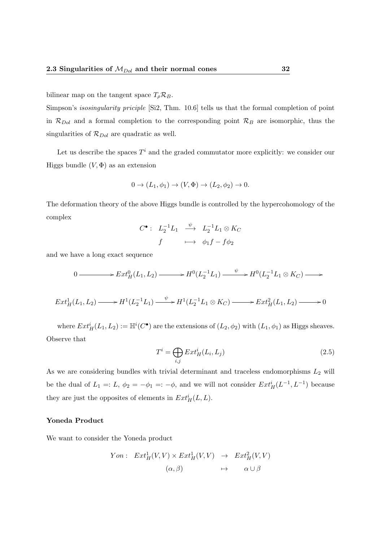bilinear map on the tangent space  $T_{\rho} \mathcal{R}_B$ .

Simpson's isosingularity priciple [Si2, Thm. 10.6] tells us that the formal completion of point in  $\mathcal{R}_{Dol}$  and a formal completion to the corresponding point  $\mathcal{R}_B$  are isomorphic, thus the singularities of  $\mathcal{R}_{Dol}$  are quadratic as well.

Let us describe the spaces  $T<sup>i</sup>$  and the graded commutator more explicitly: we consider our Higgs bundle  $(V, \Phi)$  as an extension

$$
0 \to (L_1, \phi_1) \to (V, \Phi) \to (L_2, \phi_2) \to 0.
$$

The deformation theory of the above Higgs bundle is controlled by the hypercohomology of the complex

$$
C^{\bullet}: \begin{array}{ccc} L_2^{-1}L_1 & \stackrel{\psi}{\longrightarrow} & L_2^{-1}L_1 \otimes K_C \\ f & \longmapsto & \phi_1 f - f \phi_2 \end{array}
$$

and we have a long exact sequence

$$
0 \longrightarrow Ext^0_H(L_1, L_2) \longrightarrow H^0(L_2^{-1}L_1) \longrightarrow H^0(L_2^{-1}L_1 \otimes K_C) \longrightarrow
$$

$$
Ext^1_H(L_1, L_2) \longrightarrow H^1(L_2^{-1}L_1) \xrightarrow{\psi} H^1(L_2^{-1}L_1 \otimes K_C) \longrightarrow Ext^2_H(L_1, L_2) \longrightarrow 0
$$

where  $Ext^i_H(L_1, L_2) := \mathbb{H}^i(C^{\bullet})$  are the extensions of  $(L_2, \phi_2)$  with  $(L_1, \phi_1)$  as Higgs sheaves. Observe that

$$
T^i = \bigoplus_{i,j} Ext^i_H(L_i, L_j)
$$
\n(2.5)

As we are considering bundles with trivial determinant and traceless endomorphisms  $L_2$  will be the dual of  $L_1 =: L, \phi_2 = -\phi_1 =: -\phi$ , and we will not consider  $Ext^i_H(L^{-1}, L^{-1})$  because they are just the opposites of elements in  $Ext^i_H(L, L)$ .

#### Yoneda Product

We want to consider the Yoneda product

$$
Yon: Ext^1_H(V, V) \times Ext^1_H(V, V) \rightarrow Ext^2_H(V, V)
$$
  

$$
(\alpha, \beta) \rightarrow \alpha \cup \beta
$$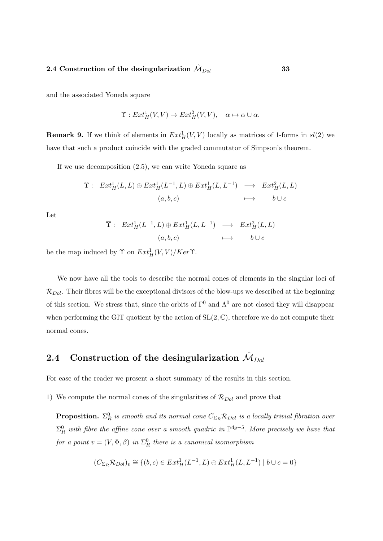and the associated Yoneda square

 $\Upsilon: Ext^1_H(V, V) \to Ext^2_H(V, V), \quad \alpha \mapsto \alpha \cup \alpha.$ 

**Remark 9.** If we think of elements in  $Ext^1_H(V, V)$  locally as matrices of 1-forms in  $sl(2)$  we have that such a product coincide with the graded commutator of Simpson's theorem.

If we use decomposition (2.5), we can write Yoneda square as

$$
\begin{array}{cccc}\n\Upsilon: & Ext^1_H(L,L) \oplus Ext^1_H(L^{-1},L) \oplus Ext^1_H(L,L^{-1}) & \longrightarrow & Ext^2_H(L,L) \\
&\quad (a,b,c) & \longmapsto & b \cup c\n\end{array}
$$

Let

$$
\overline{\Upsilon}: \operatorname{Ext}^1_H(L^{-1}, L) \oplus \operatorname{Ext}^1_H(L, L^{-1}) \longrightarrow \operatorname{Ext}^2_H(L, L)
$$
  
(a, b, c)  $\longmapsto$  b \cup c

be the map induced by  $\Upsilon$  on  $Ext^1_H(V, V)/Ker\Upsilon$ .

We now have all the tools to describe the normal cones of elements in the singular loci of  $\mathcal{R}_{Dol}$ . Their fibres will be the exceptional divisors of the blow-ups we described at the beginning of this section. We stress that, since the orbits of  $\Gamma^0$  and  $\Lambda^0$  are not closed they will disappear when performing the GIT quotient by the action of  $SL(2,\mathbb{C})$ , therefore we do not compute their normal cones.

### 2.4 Construction of the desingularization  $\hat{\mathcal{M}}_{Dol}$

For ease of the reader we present a short summary of the results in this section.

1) We compute the normal cones of the singularities of  $\mathcal{R}_{Dol}$  and prove that

**Proposition.**  $\Sigma^0_R$  is smooth and its normal cone  $C_{\Sigma_R}R_{Dol}$  is a locally trivial fibration over  $\Sigma_R^0$  with fibre the affine cone over a smooth quadric in  $\mathbb{P}^{4g-5}$ . More precisely we have that for a point  $v = (V, \Phi, \beta)$  in  $\Sigma_R^0$  there is a canonical isomorphism

$$
(C_{\Sigma_R} \mathcal{R}_{Dol})_v \cong \{(b,c) \in Ext^1_H(L^{-1}, L) \oplus Ext^1_H(L, L^{-1}) \mid b \cup c = 0\}
$$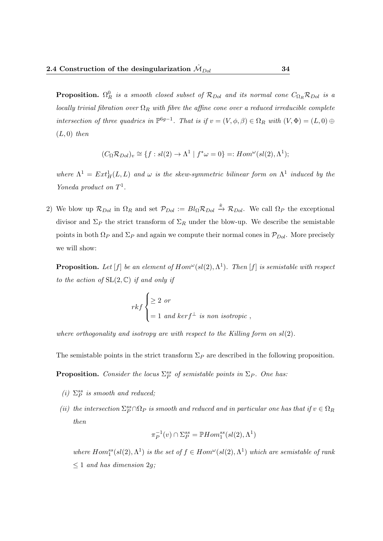**Proposition.**  $\Omega_R^0$  is a smooth closed subset of  $\mathcal{R}_{Dol}$  and its normal cone  $C_{\Omega_R} \mathcal{R}_{Dol}$  is a locally trivial fibration over  $\Omega_R$  with fibre the affine cone over a reduced irreducible complete intersection of three quadrics in  $\mathbb{P}^{6g-1}$ . That is if  $v = (V, \phi, \beta) \in \Omega_R$  with  $(V, \Phi) = (L, 0) \oplus$  $(L, 0)$  then

$$
(C_{\Omega} \mathcal{R}_{Dol})_v \cong \{ f : sl(2) \to \Lambda^1 \mid f^* \omega = 0 \} =: Hom^{\omega}(sl(2), \Lambda^1);
$$

where  $\Lambda^1 = Ext^1_H(L, L)$  and  $\omega$  is the skew-symmetric bilinear form on  $\Lambda^1$  induced by the Yoneda product on  $T^1$ .

2) We blow up  $\mathcal{R}_{Dol}$  in  $\Omega_R$  and set  $\mathcal{P}_{Dol} := Bl_{\Omega} \mathcal{R}_{Dol} \stackrel{\hat{\pi}}{\rightarrow} \mathcal{R}_{Dol}$ . We call  $\Omega_P$  the exceptional divisor and  $\Sigma_P$  the strict transform of  $\Sigma_R$  under the blow-up. We describe the semistable points in both  $\Omega_P$  and  $\Sigma_P$  and again we compute their normal cones in  $\mathcal{P}_{Dol}$ . More precisely we will show:

**Proposition.** Let [f] be an element of  $Hom^{\omega}(sl(2), \Lambda^1)$ . Then [f] is semistable with respect to the action of  $SL(2, \mathbb{C})$  if and only if

$$
rk f\begin{cases} \geq 2 \text{ or} \\ = 1 \text{ and } ker f^{\perp} \text{ is non isotropic} \end{cases}
$$

where orthogonality and isotropy are with respect to the Killing form on  $sl(2)$ .

The semistable points in the strict transform  $\Sigma_P$  are described in the following proposition.

**Proposition.** Consider the locus  $\Sigma_P^{ss}$  of semistable points in  $\Sigma_P$ . One has:

- (i)  $\Sigma^{ss}_P$  is smooth and reduced;
- (ii) the intersection  $\Sigma_P^{ss} \cap \Omega_P$  is smooth and reduced and in particular one has that if  $v \in \Omega_R$ then

$$
\pi_P^{-1}(v) \cap \Sigma_P^{ss} = \mathbb{P}Hom_1^{ss}(sl(2), \Lambda^1)
$$

where  $Hom_1^{ss}(sl(2), \Lambda^1)$  is the set of  $f \in Hom^{\omega}(sl(2), \Lambda^1)$  which are semistable of rank  $\leq 1$  and has dimension 2g;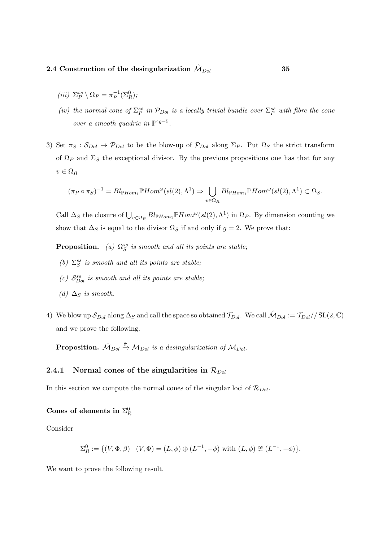- (iii)  $\Sigma_P^{ss} \setminus \Omega_P = \pi_P^{-1}$  $\overline{P}^1(\Sigma_R^0);$
- (iv) the normal cone of  $\Sigma_P^{ss}$  in  $\mathcal{P}_{Dol}$  is a locally trivial bundle over  $\Sigma_P^{ss}$  with fibre the cone over a smooth quadric in  $\mathbb{P}^{4g-5}$ .
- 3) Set  $\pi_S : S_{Dol} \to \mathcal{P}_{Dol}$  to be the blow-up of  $\mathcal{P}_{Dol}$  along  $\Sigma_P$ . Put  $\Omega_S$  the strict transform of  $\Omega_P$  and  $\Sigma_S$  the exceptional divisor. By the previous propositions one has that for any  $v \in \Omega_R$

$$
(\pi_P \circ \pi_S)^{-1} = Bl_{\mathbb{P}Hom_1} \mathbb{P}Hom^{\omega}(sl(2), \Lambda^1) \Rightarrow \bigcup_{v \in \Omega_R} Bl_{\mathbb{P}Hom_1} \mathbb{P}Hom^{\omega}(sl(2), \Lambda^1) \subset \Omega_S.
$$

Call  $\Delta_S$  the closure of  $\bigcup_{v \in \Omega_R} Bl_{\mathbb{P}Hom_1} \mathbb{P}Hom^{\omega}(sl(2), \Lambda^1)$  in  $\Omega_P$ . By dimension counting we show that  $\Delta_S$  is equal to the divisor  $\Omega_S$  if and only if  $g = 2$ . We prove that:

**Proposition.** (a)  $\Omega_S^{ss}$  is smooth and all its points are stable;

- (b)  $\Sigma_S^{ss}$  is smooth and all its points are stable;
- (c)  $S_{Dol}^{ss}$  is smooth and all its points are stable;
- (d)  $\Delta_S$  is smooth.
- 4) We blow up  $S_{Dol}$  along  $\Delta_S$  and call the space so obtained  $\mathcal{T}_{Dol}$ . We call  $\mathcal{M}_{Dol} := \mathcal{T}_{Dol}//\text{SL}(2,\mathbb{C})$ and we prove the following.

**Proposition.**  $\hat{\mathcal{M}}_{Dol} \stackrel{\hat{\pi}}{\rightarrow} \mathcal{M}_{Dol}$  is a desingularization of  $\mathcal{M}_{Dol}$ .

#### 2.4.1 Normal cones of the singularities in  $\mathcal{R}_{Dol}$

In this section we compute the normal cones of the singular loci of  $\mathcal{R}_{Dol}$ .

### Cones of elements in  $\Sigma^0_R$

Consider

$$
\Sigma_R^0 := \{ (V, \Phi, \beta) \mid (V, \Phi) = (L, \phi) \oplus (L^{-1}, -\phi) \text{ with } (L, \phi) \not\cong (L^{-1}, -\phi) \}.
$$

We want to prove the following result.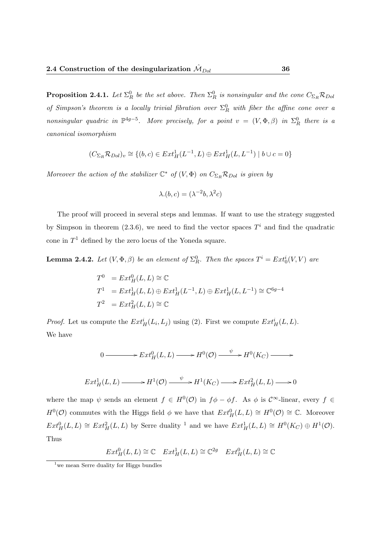**Proposition 2.4.1.** Let  $\Sigma^0_R$  be the set above. Then  $\Sigma^0_R$  is nonsingular and the cone  $C_{\Sigma_R} \mathcal{R}_{Dol}$ of Simpson's theorem is a locally trivial fibration over  $\Sigma_R^0$  with fiber the affine cone over a nonsingular quadric in  $\mathbb{P}^{4g-5}$ . More precisely, for a point  $v = (V, \Phi, \beta)$  in  $\Sigma_R^0$  there is a canonical isomorphism

$$
(C_{\Sigma_R} \mathcal{R}_{Dol})_v \cong \{(b, c) \in Ext^1_H(L^{-1}, L) \oplus Ext^1_H(L, L^{-1}) \mid b \cup c = 0\}
$$

Moreover the action of the stabilizer  $\mathbb{C}^*$  of  $(V, \Phi)$  on  $C_{\Sigma_R} R_{Dol}$  is given by

$$
\lambda.(b, c) = (\lambda^{-2}b, \lambda^2c)
$$

The proof will proceed in several steps and lemmas. If want to use the strategy suggested by Simpson in theorem (2.3.6), we need to find the vector spaces  $T<sup>i</sup>$  and find the quadratic cone in  $T<sup>1</sup>$  defined by the zero locus of the Yoneda square.

**Lemma 2.4.2.** Let  $(V, \Phi, \beta)$  be an element of  $\Sigma_R^0$ . Then the spaces  $T^i = Ext_0^i(V, V)$  are

$$
T^0 = Ext^0_H(L, L) \cong \mathbb{C}
$$
  
\n
$$
T^1 = Ext^1_H(L, L) \oplus Ext^1_H(L^{-1}, L) \oplus Ext^1_H(L, L^{-1}) \cong \mathbb{C}^{6g-4}
$$
  
\n
$$
T^2 = Ext^2_H(L, L) \cong \mathbb{C}
$$

*Proof.* Let us compute the  $Ext^i_H(L_i, L_j)$  using (2). First we compute  $Ext^i_H(L, L)$ . We have

$$
0 \longrightarrow Ext^0_H(L, L) \longrightarrow H^0(\mathcal{O}) \xrightarrow{\psi} H^0(K_C) \longrightarrow
$$
  

$$
Ext^1_H(L, L) \longrightarrow H^1(\mathcal{O}) \xrightarrow{\psi} H^1(K_C) \longrightarrow Ext^2_H(L, L) \longrightarrow 0
$$

where the map  $\psi$  sends an element  $f \in H^0(\mathcal{O})$  in  $f\phi - \phi f$ . As  $\phi$  is  $\mathcal{C}^{\infty}$ -linear, every  $f \in$  $H^0(\mathcal{O})$  commutes with the Higgs field  $\phi$  we have that  $Ext^0_H(L, L) \cong H^0(\mathcal{O}) \cong \mathbb{C}$ . Moreover  $Ext^0_H(L, L) \cong Ext^2_H(L, L)$  by Serre duality <sup>1</sup> and we have  $Ext^1_H(L, L) \cong H^0(K_C) \oplus H^1(\mathcal{O})$ . Thus

 $Ext^0_H(L, L) \cong \mathbb{C}$   $Ext^1_H(L, L) \cong \mathbb{C}^{2g}$   $Ext^0_H(L, L) \cong \mathbb{C}$ 

<sup>&</sup>lt;sup>1</sup> we mean Serre duality for Higgs bundles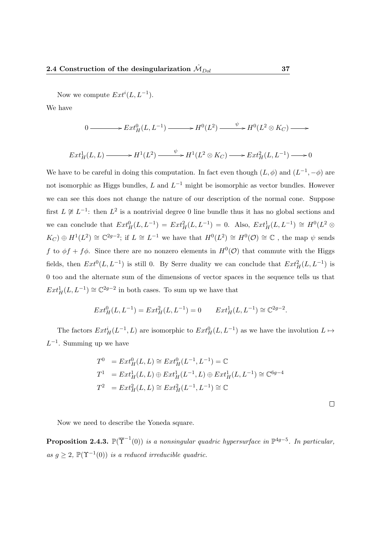Now we compute  $Ext<sup>i</sup>(L, L<sup>-1</sup>)$ .

We have

 $0 \longrightarrow Ext_H^0(L, L^{-1}) \longrightarrow H^0(L^2) \longrightarrow H^0(L^2 \otimes K_C) \longrightarrow$ 

$$
Ext^1_H(L, L) \longrightarrow H^1(L^2) \longrightarrow H^1(L^2 \otimes K_C) \longrightarrow Ext^2_H(L, L^{-1}) \longrightarrow 0
$$

We have to be careful in doing this computation. In fact even though  $(L, \phi)$  and  $(L^{-1}, -\phi)$  are not isomorphic as Higgs bundles, L and  $L^{-1}$  might be isomorphic as vector bundles. However we can see this does not change the nature of our description of the normal cone. Suppose first  $L \not\cong L^{-1}$ : then  $L^2$  is a nontrivial degree 0 line bundle thus it has no global sections and we can conclude that  $Ext^0_H(L, L^{-1}) = Ext^2_H(L, L^{-1}) = 0$ . Also,  $Ext^1_H(L, L^{-1}) \cong H^0(L^2 \otimes$  $K_C$ )  $\oplus H^1(L^2) \cong \mathbb{C}^{2g-2}$ ; if  $L \cong L^{-1}$  we have that  $H^0(L^2) \cong H^0(\mathcal{O}) \cong \mathbb{C}$ , the map  $\psi$  sends f to  $\phi f + f \phi$ . Since there are no nonzero elements in  $H^0(\mathcal{O})$  that commute with the Higgs fields, then  $Ext^0(L, L^{-1})$  is still 0. By Serre duality we can conclude that  $Ext^2_H(L, L^{-1})$  is 0 too and the alternate sum of the dimensions of vector spaces in the sequence tells us that  $Ext^1_H(L, L^{-1}) \cong \mathbb{C}^{2g-2}$  in both cases. To sum up we have that

$$
Ext^0_H(L, L^{-1}) = Ext^2_H(L, L^{-1}) = 0 \t Ext^1_H(L, L^{-1}) \cong \mathbb{C}^{2g-2}.
$$

The factors  $Ext^i_H(L^{-1}, L)$  are isomorphic to  $Ext^0_H(L, L^{-1})$  as we have the involution  $L \mapsto$  $L^{-1}$ . Summing up we have

$$
T^{0} = Ext_{H}^{0}(L, L) \cong Ext_{H}^{0}(L^{-1}, L^{-1}) = \mathbb{C}
$$
  
\n
$$
T^{1} = Ext_{H}^{1}(L, L) \oplus Ext_{H}^{1}(L^{-1}, L) \oplus Ext_{H}^{1}(L, L^{-1}) \cong \mathbb{C}^{6g-4}
$$
  
\n
$$
T^{2} = Ext_{H}^{2}(L, L) \cong Ext_{H}^{2}(L^{-1}, L^{-1}) \cong \mathbb{C}
$$

 $\Box$ 

Now we need to describe the Yoneda square.

**Proposition 2.4.3.**  $\mathbb{P}(\overline{\Upsilon}^{-1}(0))$  is a nonsingular quadric hypersurface in  $\mathbb{P}^{4g-5}$ . In particular, as  $g \geq 2$ ,  $\mathbb{P}(\Upsilon^{-1}(0))$  is a reduced irreducible quadric.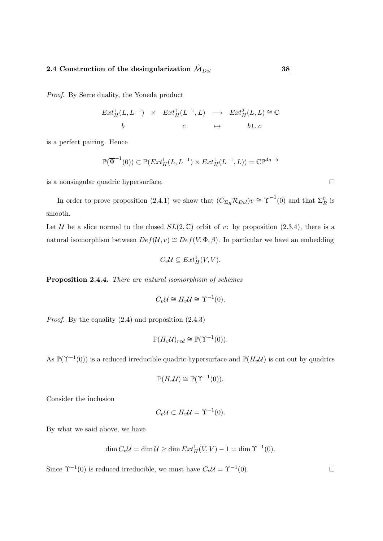Proof. By Serre duality, the Yoneda product

$$
Ext^1_H(L, L^{-1}) \times Ext^1_H(L^{-1}, L) \longrightarrow Ext^2_H(L, L) \cong \mathbb{C}
$$
  

$$
b \qquad c \qquad \mapsto \qquad b \cup c
$$

is a perfect pairing. Hence

$$
\mathbb{P}(\overline{\Psi}^{-1}(0)) \subset \mathbb{P}(Ext^1_H(L, L^{-1}) \times Ext^1_H(L^{-1}, L)) = \mathbb{C}\mathbb{P}^{4g-5}
$$

is a nonsingular quadric hypersurface.

In order to prove proposition (2.4.1) we show that  $(C_{\Sigma_R} \mathcal{R}_{Dol})v \cong \overline{\Upsilon}^{-1}(0)$  and that  $\Sigma_R^0$  is smooth.

Let U be a slice normal to the closed  $SL(2,\mathbb{C})$  orbit of v: by proposition  $(2.3.4)$ , there is a natural isomorphism between  $Def(\mathcal{U}, v) \cong Def(V, \Phi, \beta)$ . In particular we have an embedding

$$
C_v\mathcal{U} \subseteq Ext^1_H(V,V).
$$

Proposition 2.4.4. There are natural isomorphism of schemes

$$
C_v \mathcal{U} \cong H_v \mathcal{U} \cong \Upsilon^{-1}(0).
$$

*Proof.* By the equality  $(2.4)$  and proposition  $(2.4.3)$ 

$$
\mathbb{P}(H_v\mathcal{U})_{red} \cong \mathbb{P}(\Upsilon^{-1}(0)).
$$

As  $\mathbb{P}(\Upsilon^{-1}(0))$  is a reduced irreducible quadric hypersurface and  $\mathbb{P}(H_v\mathcal{U})$  is cut out by quadrics

$$
\mathbb{P}(H_v\mathcal{U}) \cong \mathbb{P}(\Upsilon^{-1}(0)).
$$

Consider the inclusion

$$
C_v \mathcal{U} \subset H_v \mathcal{U} = \Upsilon^{-1}(0).
$$

By what we said above, we have

$$
\dim C_v \mathcal{U} = \dim \mathcal{U} \ge \dim Ext^1_H(V, V) - 1 = \dim \Upsilon^{-1}(0).
$$

Since  $\Upsilon^{-1}(0)$  is reduced irreducible, we must have  $C_v \mathcal{U} = \Upsilon^{-1}(0)$ .

 $\Box$ 

 $\Box$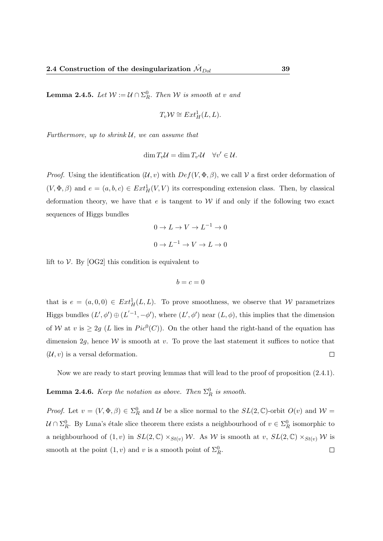**Lemma 2.4.5.** Let  $W := \mathcal{U} \cap \Sigma_R^0$ . Then W is smooth at v and

$$
T_v \mathcal{W} \cong Ext^1_H(L, L).
$$

Furthermore, up to shrink  $U$ , we can assume that

$$
\dim T_v\mathcal{U}=\dim T_{v'}\mathcal{U}\quad \forall v'\in\mathcal{U}.
$$

*Proof.* Using the identification  $(U, v)$  with  $Def(V, \Phi, \beta)$ , we call V a first order deformation of  $(V, \Phi, \beta)$  and  $e = (a, b, c) \in Ext^1_H(V, V)$  its corresponding extension class. Then, by classical deformation theory, we have that  $e$  is tangent to  $W$  if and only if the following two exact sequences of Higgs bundles

$$
0 \to L \to V \to L^{-1} \to 0
$$

$$
0 \to L^{-1} \to V \to L \to 0
$$

lift to  $V$ . By [OG2] this condition is equivalent to

$$
b=c=0
$$

that is  $e = (a, 0, 0) \in Ext^1_H(L, L)$ . To prove smoothness, we observe that W parametrizes Higgs bundles  $(L', \phi') \oplus (L'^{-1}, -\phi')$ , where  $(L', \phi')$  near  $(L, \phi)$ , this implies that the dimension of W at v is  $\geq 2g$  (L lies in  $Pic^{0}(C)$ ). On the other hand the right-hand of the equation has dimension 2q, hence  $W$  is smooth at v. To prove the last statement it suffices to notice that  $(\mathcal{U}, v)$  is a versal deformation.  $\Box$ 

Now we are ready to start proving lemmas that will lead to the proof of proposition  $(2.4.1)$ .

**Lemma 2.4.6.** Keep the notation as above. Then  $\Sigma_R^0$  is smooth.

*Proof.* Let  $v = (V, \Phi, \beta) \in \Sigma_R^0$  and U be a slice normal to the  $SL(2, \mathbb{C})$ -orbit  $O(v)$  and  $W =$  $\mathcal{U} \cap \Sigma_R^0$ . By Luna's étale slice theorem there exists a neighbourhood of  $v \in \Sigma_R^0$  isomorphic to a neighbourhood of  $(1, v)$  in  $SL(2, \mathbb{C}) \times_{St(v)} \mathcal{W}$ . As W is smooth at v,  $SL(2, \mathbb{C}) \times_{St(v)} \mathcal{W}$  is smooth at the point  $(1, v)$  and v is a smooth point of  $\Sigma_R^0$ .  $\Box$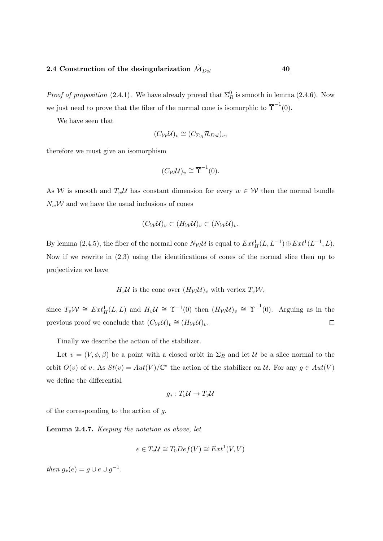*Proof of proposition* (2.4.1). We have already proved that  $\Sigma_R^0$  is smooth in lemma (2.4.6). Now we just need to prove that the fiber of the normal cone is isomorphic to  $\overline{\Upsilon}^{-1}(0)$ .

We have seen that

$$
(C_{\mathcal{W}}\mathcal{U})_v \cong (C_{\Sigma_R} \mathcal{R}_{Dol})_v,
$$

therefore we must give an isomorphism

$$
(C_{\mathcal{W}}\mathcal{U})_v \cong \overline{\Upsilon}^{-1}(0).
$$

As W is smooth and  $T_w \mathcal{U}$  has constant dimension for every  $w \in \mathcal{W}$  then the normal bundle  $N_w \mathcal{W}$  and we have the usual inclusions of cones

$$
(C_{\mathcal{W}}\mathcal{U})_v \subset (H_{\mathcal{W}}\mathcal{U})_v \subset (N_{\mathcal{W}}\mathcal{U})_v.
$$

By lemma (2.4.5), the fiber of the normal cone  $N_{\mathcal{W}}\mathcal{U}$  is equal to  $Ext^1_H(L, L^{-1}) \oplus Ext^1(L^{-1}, L)$ . Now if we rewrite in (2.3) using the identifications of cones of the normal slice then up to projectivize we have

$$
H_v \mathcal{U}
$$
 is the cone over  $(H_{\mathcal{W}} \mathcal{U})_v$  with vertex  $T_v \mathcal{W}$ ,

since  $T_v \mathcal{W} \cong Ext^1_H(L, L)$  and  $H_v \mathcal{U} \cong \Upsilon^{-1}(0)$  then  $(H_{\mathcal{W}} \mathcal{U})_v \cong \overline{\Upsilon}^{-1}(0)$ . Arguing as in the previous proof we conclude that  $(C_{\mathcal{W}}\mathcal{U})_v \cong (H_{\mathcal{W}}\mathcal{U})_v$ .  $\Box$ 

Finally we describe the action of the stabilizer.

Let  $v = (V, \phi, \beta)$  be a point with a closed orbit in  $\Sigma_R$  and let U be a slice normal to the orbit  $O(v)$  of v. As  $St(v) = Aut(V)/\mathbb{C}^*$  the action of the stabilizer on U. For any  $g \in Aut(V)$ we define the differential

$$
g_*:T_v\mathcal{U}\to T_v\mathcal{U}
$$

of the corresponding to the action of  $q$ .

Lemma 2.4.7. Keeping the notation as above, let

$$
e \in T_v \mathcal{U} \cong T_0 Def(V) \cong Ext^1(V, V)
$$

then  $g_*(e) = g \cup e \cup g^{-1}$ .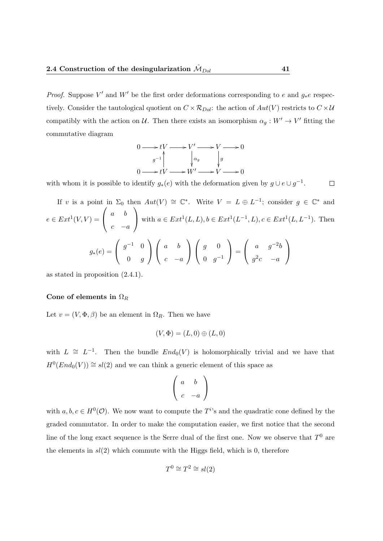*Proof.* Suppose V' and W' be the first order deformations corresponding to e and  $g_*e$  respectively. Consider the tautological quotient on  $C \times \mathcal{R}_{Dol}$ : the action of  $Aut(V)$  restricts to  $C \times \mathcal{U}$ compatibly with the action on U. Then there exists an isomorphism  $\alpha_g: W' \to V'$  fitting the commutative diagram

$$
0 \longrightarrow tV \longrightarrow V' \longrightarrow V \longrightarrow 0
$$
  
\n
$$
g^{-1} \qquad \qquad g \qquad g
$$
  
\n
$$
0 \longrightarrow tV \longrightarrow W' \longrightarrow V \longrightarrow 0
$$

with whom it is possible to identify  $g_*(e)$  with the deformation given by  $g \cup e \cup g^{-1}$ .  $\Box$ 

If v is a point in 
$$
\Sigma_0
$$
 then  $Aut(V) \cong \mathbb{C}^*$ . Write  $V = L \oplus L^{-1}$ ; consider  $g \in \mathbb{C}^*$  and  
\n
$$
e \in Ext^1(V, V) = \begin{pmatrix} a & b \\ c & -a \end{pmatrix} \text{ with } a \in Ext^1(L, L), b \in Ext^1(L^{-1}, L), c \in Ext^1(L, L^{-1}). \text{ Then}
$$
\n
$$
g_*(e) = \begin{pmatrix} g^{-1} & 0 \\ 0 & g \end{pmatrix} \begin{pmatrix} a & b \\ c & -a \end{pmatrix} \begin{pmatrix} g & 0 \\ 0 & g^{-1} \end{pmatrix} = \begin{pmatrix} a & g^{-2}b \\ g^2c & -a \end{pmatrix}
$$

as stated in proposition (2.4.1).

### Cone of elements in  $\Omega_R$

Let  $v = (V, \Phi, \beta)$  be an element in  $\Omega_R$ . Then we have

$$
(V, \Phi) = (L, 0) \oplus (L, 0)
$$

with  $L \cong L^{-1}$ . Then the bundle  $End_0(V)$  is holomorphically trivial and we have that  $H^0(End_0(V)) \cong sl(2)$  and we can think a generic element of this space as

$$
\left(\begin{array}{cc}a&b\\c&-a\end{array}\right)
$$

with  $a, b, c \in H^0(\mathcal{O})$ . We now want to compute the  $T^i$ 's and the quadratic cone defined by the graded commutator. In order to make the computation easier, we first notice that the second line of the long exact sequence is the Serre dual of the first one. Now we observe that  $T^0$  are the elements in  $sl(2)$  which commute with the Higgs field, which is 0, therefore

$$
T^0 \cong T^2 \cong sl(2)
$$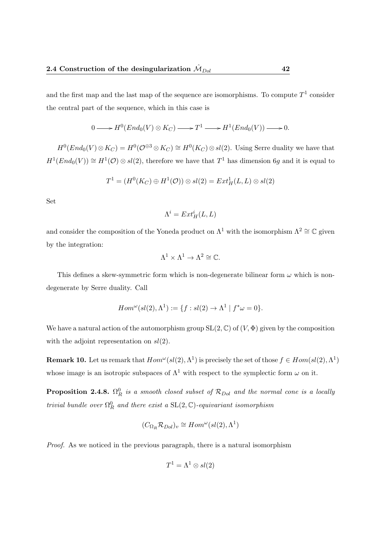and the first map and the last map of the sequence are isomorphisms. To compute  $T^1$  consider the central part of the sequence, which in this case is

$$
0 \longrightarrow H^0(End_0(V) \otimes K_C) \longrightarrow T^1 \longrightarrow H^1(End_0(V)) \longrightarrow 0.
$$

 $H^0(End_0(V)\otimes K_C) = H^0(\mathcal{O}^{\oplus 3}\otimes K_C) \cong H^0(K_C)\otimes sl(2)$ . Using Serre duality we have that  $H^1(End_0(V)) \cong H^1(\mathcal{O}) \otimes sl(2)$ , therefore we have that  $T^1$  has dimension 6g and it is equal to

$$
T^1 = (H^0(K_C) \oplus H^1(\mathcal{O})) \otimes sl(2) = Ext^1_H(L, L) \otimes sl(2)
$$

Set

$$
\Lambda^i=Ext^i_H(L,L)
$$

and consider the composition of the Yoneda product on  $\Lambda^1$  with the isomorphism  $\Lambda^2 \cong \mathbb{C}$  given by the integration:

$$
\Lambda^1 \times \Lambda^1 \to \Lambda^2 \cong \mathbb{C}.
$$

This defines a skew-symmetric form which is non-degenerate bilinear form  $\omega$  which is nondegenerate by Serre duality. Call

$$
Hom^{\omega}(sl(2), \Lambda^1) := \{ f : sl(2) \to \Lambda^1 \mid f^* \omega = 0 \}.
$$

We have a natural action of the automorphism group  $SL(2,\mathbb{C})$  of  $(V,\Phi)$  given by the composition with the adjoint representation on  $sl(2)$ .

**Remark 10.** Let us remark that  $Hom^{\omega}(sl(2), \Lambda^1)$  is precisely the set of those  $f \in Hom(sl(2), \Lambda^1)$ whose image is an isotropic subspaces of  $\Lambda^1$  with respect to the symplectic form  $\omega$  on it.

**Proposition 2.4.8.**  $\Omega_R^0$  is a smooth closed subset of  $\mathcal{R}_{Dol}$  and the normal cone is a locally trivial bundle over  $\Omega_R^0$  and there exist a  $SL(2,\mathbb{C})$ -equivariant isomorphism

$$
(C_{\Omega_R} \mathcal{R}_{Dol})_v \cong Hom^{\omega}(sl(2), \Lambda^1)
$$

Proof. As we noticed in the previous paragraph, there is a natural isomorphism

$$
T^1 = \Lambda^1 \otimes sl(2)
$$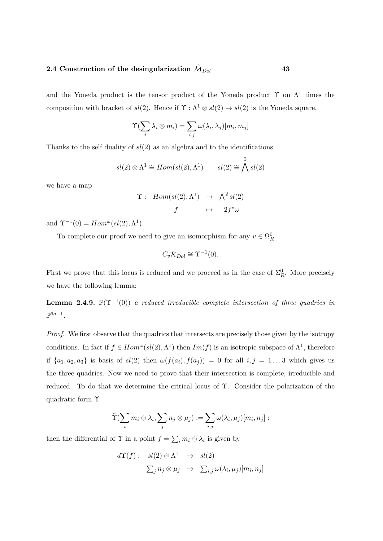and the Yoneda product is the tensor product of the Yoneda product  $\Upsilon$  on  $\Lambda^1$  times the composition with bracket of  $sl(2)$ . Hence if  $\Upsilon$  :  $\Lambda^1 \otimes sl(2) \to sl(2)$  is the Yoneda square,

$$
\Upsilon(\sum_i \lambda_i \otimes m_i) = \sum_{i,j} \omega(\lambda_i, \lambda_j)[m_i, m_j]
$$

Thanks to the self duality of  $sl(2)$  as an algebra and to the identifications

$$
sl(2) \otimes \Lambda^1 \cong Hom(sl(2), \Lambda^1) \qquad sl(2) \cong \bigwedge^2 sl(2)
$$

we have a map

$$
\begin{array}{rcl}\n\Upsilon: & Hom(sl(2), \Lambda^1) & \to & \Lambda^2 sl(2) \\
f & \mapsto & 2f^*\omega\n\end{array}
$$

and  $\Upsilon^{-1}(0) = Hom^{\omega}(sl(2), \Lambda^1)$ .

To complete our proof we need to give an isomorphism for any  $v \in \Omega_R^0$ 

$$
C_v \mathcal{R}_{Dol} \cong \Upsilon^{-1}(0).
$$

First we prove that this locus is reduced and we proceed as in the case of  $\Sigma_R^0$ . More precisely we have the following lemma:

**Lemma 2.4.9.**  $\mathbb{P}(\Upsilon^{-1}(0))$  a reduced irreducible complete intersection of three quadrics in  $\mathbb{P}^{6g-1}$ .

Proof. We first observe that the quadrics that intersects are precisely those given by the isotropy conditions. In fact if  $f \in Hom^{\omega}(sl(2), \Lambda^1)$  then  $Im(f)$  is an isotropic subspace of  $\Lambda^1$ , therefore if  $\{a_1, a_2, a_3\}$  is basis of  $sl(2)$  then  $\omega(f(a_i), f(a_j)) = 0$  for all  $i, j = 1...3$  which gives us the three quadrics. Now we need to prove that their intersection is complete, irreducible and reduced. To do that we determine the critical locus of Υ. Consider the polarization of the quadratic form Υ

$$
\tilde{T}(\sum_i m_i \otimes \lambda_i, \sum_j n_j \otimes \mu_j) := \sum_{i,j} \omega(\lambda_i, \mu_j)[m_i, n_j] :
$$

then the differential of  $\Upsilon$  in a point  $f = \sum_i m_i \otimes \lambda_i$  is given by

$$
d\Upsilon(f): \quad sl(2) \otimes \Lambda^1 \quad \to \quad sl(2)
$$

$$
\sum_j n_j \otimes \mu_j \quad \mapsto \quad \sum_{i,j} \omega(\lambda_i, \mu_j)[m_i, n_j]
$$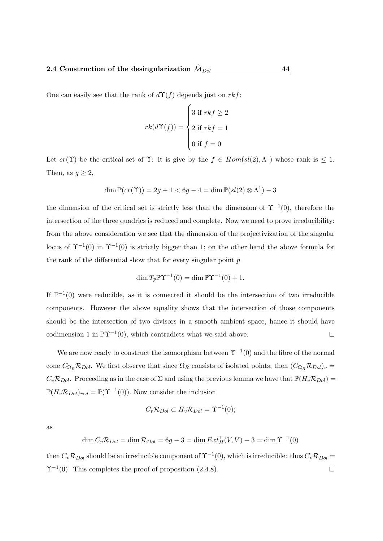One can easily see that the rank of  $d\Upsilon(f)$  depends just on rkf:

$$
rk(d\Upsilon(f)) = \begin{cases} 3 \text{ if } rk f \ge 2 \\ 2 \text{ if } rk f = 1 \\ 0 \text{ if } f = 0 \end{cases}
$$

Let  $cr(\Upsilon)$  be the critical set of  $\Upsilon$ : it is give by the  $f \in Hom(sl(2), \Lambda^1)$  whose rank is  $\leq 1$ . Then, as  $g \geq 2$ ,

$$
\dim \mathbb{P}(cr(\Upsilon)) = 2g + 1 < 6g - 4 = \dim \mathbb{P}(sl(2) \otimes \Lambda^1) - 3
$$

the dimension of the critical set is strictly less than the dimension of  $\Upsilon^{-1}(0)$ , therefore the intersection of the three quadrics is reduced and complete. Now we need to prove irreducibility: from the above consideration we see that the dimension of the projectivization of the singular locus of  $\Upsilon^{-1}(0)$  in  $\Upsilon^{-1}(0)$  is strictly bigger than 1; on the other hand the above formula for the rank of the differential show that for every singular point  $p$ 

$$
\dim T_p \mathbb{P} \Upsilon^{-1}(0) = \dim \mathbb{P} \Upsilon^{-1}(0) + 1.
$$

If  $\mathbb{P}^{-1}(0)$  were reducible, as it is connected it should be the intersection of two irreducible components. However the above equality shows that the intersection of those components should be the intersection of two divisors in a smooth ambient space, hance it should have codimension 1 in  $\mathbb{P}\Upsilon^{-1}(0)$ , which contradicts what we said above.  $\Box$ 

We are now ready to construct the isomorphism between  $\Upsilon^{-1}(0)$  and the fibre of the normal cone  $C_{\Omega_R} \mathcal{R}_{Dol}$ . We first observe that since  $\Omega_R$  consists of isolated points, then  $(C_{\Omega_R} \mathcal{R}_{Dol})_v =$  $C_v \mathcal{R}_{Dol}$ . Proceeding as in the case of  $\Sigma$  and using the previous lemma we have that  $\mathbb{P}(H_v \mathcal{R}_{Dol})$  $\mathbb{P}(H_v \mathcal{R}_{Dol})_{red} = \mathbb{P}(\Upsilon^{-1}(0)).$  Now consider the inclusion

$$
C_v \mathcal{R}_{Dol} \subset H_v \mathcal{R}_{Dol} = \Upsilon^{-1}(0);
$$

as

$$
\dim C_v \mathcal{R}_{Dol} = \dim \mathcal{R}_{Dol} = 6g - 3 = \dim Ext^1_H(V, V) - 3 = \dim \Upsilon^{-1}(0)
$$

then  $C_v \mathcal{R}_{Dol}$  should be an irreducible component of  $\Upsilon^{-1}(0)$ , which is irreducible: thus  $C_v \mathcal{R}_{Dol} =$  $\Upsilon^{-1}(0)$ . This completes the proof of proposition (2.4.8).  $\Box$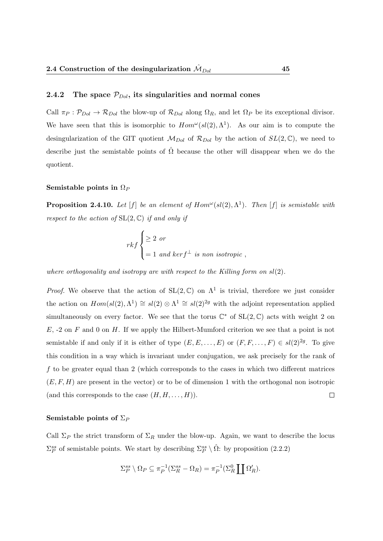### 2.4.2 The space  $\mathcal{P}_{Dol}$ , its singularities and normal cones

Call  $\pi_P : \mathcal{P}_{Dol} \to \mathcal{R}_{Dol}$  the blow-up of  $\mathcal{R}_{Dol}$  along  $\Omega_R$ , and let  $\Omega_P$  be its exceptional divisor. We have seen that this is isomorphic to  $Hom^{\omega}(sl(2), \Lambda^1)$ . As our aim is to compute the desingularization of the GIT quotient  $\mathcal{M}_{Dol}$  of  $\mathcal{R}_{Dol}$  by the action of  $SL(2,\mathbb{C})$ , we need to describe just the semistable points of  $\hat{\Omega}$  because the other will disappear when we do the quotient.

### Semistable points in  $\Omega_P$

**Proposition 2.4.10.** Let  $[f]$  be an element of  $Hom^{\omega}(sl(2), \Lambda^1)$ . Then  $[f]$  is semistable with respect to the action of  $SL(2, \mathbb{C})$  if and only if

$$
rk f\begin{cases} \geq 2 \text{ or} \\ = 1 \text{ and } ker f^{\perp} \text{ is non isotropic} \end{cases}
$$

where orthogonality and isotropy are with respect to the Killing form on  $sl(2)$ .

*Proof.* We observe that the action of  $SL(2, \mathbb{C})$  on  $\Lambda^1$  is trivial, therefore we just consider the action on  $Hom(sl(2), \Lambda^1) \cong sl(2) \otimes \Lambda^1 \cong sl(2)^{2g}$  with the adjoint representation applied simultaneously on every factor. We see that the torus  $\mathbb{C}^*$  of  $SL(2,\mathbb{C})$  acts with weight 2 on  $E, -2$  on F and 0 on H. If we apply the Hilbert-Mumford criterion we see that a point is not semistable if and only if it is either of type  $(E, E, \ldots, E)$  or  $(F, F, \ldots, F) \in sl(2)^{2g}$ . To give this condition in a way which is invariant under conjugation, we ask precisely for the rank of f to be greater equal than 2 (which corresponds to the cases in which two different matrices  $(E, F, H)$  are present in the vector) or to be of dimension 1 with the orthogonal non isotropic (and this corresponds to the case  $(H, H, \ldots, H)$ ).  $\Box$ 

### Semistable points of  $\Sigma_P$

Call  $\Sigma_P$  the strict transform of  $\Sigma_R$  under the blow-up. Again, we want to describe the locus  $\Sigma_P^{ss}$  of semistable points. We start by describing  $\Sigma_P^{ss} \setminus \hat{\Omega}$ : by proposition (2.2.2)

$$
\Sigma_P^{ss} \setminus \Omega_P \subseteq \pi_P^{-1}(\Sigma_R^{ss} - \Omega_R) = \pi_P^{-1}(\Sigma_R^0 \coprod \Omega_R').
$$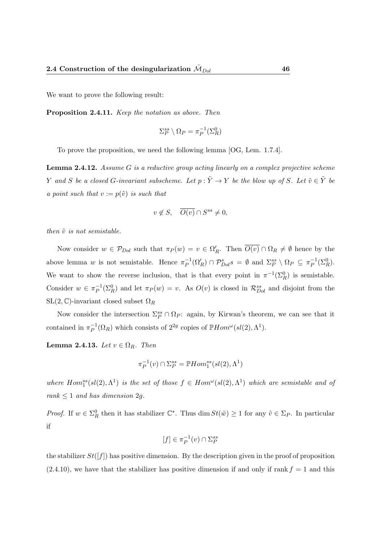We want to prove the following result:

Proposition 2.4.11. Keep the notation as above. Then

$$
\Sigma_P^{ss} \setminus \Omega_P = \pi_P^{-1}(\Sigma_R^0)
$$

To prove the proposition, we need the following lemma [OG, Lem. 1.7.4].

**Lemma 2.4.12.** Assume  $G$  is a reductive group acting linearly on a complex projective scheme Y and S be a closed G-invariant subscheme. Let  $p : \tilde{Y} \to Y$  be the blow up of S. Let  $\tilde{v} \in \tilde{Y}$  be a point such that  $v := p(\tilde{v})$  is such that

$$
v \notin S, \quad \overline{O(v)} \cap S^{ss} \neq 0,
$$

then  $\tilde{v}$  is not semistable.

Now consider  $w \in \mathcal{P}_{Dol}$  such that  $\pi_P(w) = v \in \Omega'_R$ . Then  $\overline{O(v)} \cap \Omega_R \neq \emptyset$  hence by the above lemma w is not semistable. Hence  $\pi_P^{-1}$  $\mathcal{P}_P^{-1}(\Omega_R') \cap \mathcal{P}_{Dol}^s s = \emptyset$  and  $\Sigma_P^{ss} \setminus \Omega_P \subseteq \pi_P^{-1}$  $\overline{P}^{1}(\Sigma_{R}^{0}).$ We want to show the reverse inclusion, that is that every point in  $\pi^{-1}(\Sigma_R^0)$  is semistable. Consider  $w \in \pi_P^{-1}$  $P^{-1}(\Sigma_R^0)$  and let  $\pi_P(w) = v$ . As  $O(v)$  is closed in  $\mathcal{R}_{Dol}^{ss}$  and disjoint from the  $SL(2, \mathbb{C})$ -invariant closed subset  $\Omega_R$ 

Now consider the intersection  $\Sigma_P^{ss} \cap \Omega_P$ : again, by Kirwan's theorem, we can see that it contained in  $\pi_P^{-1}$  $^{-1}_{P}(\Omega_R)$  which consists of  $2^{2g}$  copies of  $\mathbb{P}Hom^{\omega}(sl(2), \Lambda^1)$ .

Lemma 2.4.13. Let  $v \in \Omega_R$ . Then

$$
\pi_P^{-1}(v) \cap \Sigma_P^{ss} = \mathbb{P}Hom_1^{ss}(sl(2), \Lambda^1)
$$

where  $Hom_1^{ss}(sl(2), \Lambda^1)$  is the set of those  $f \in Hom^{\omega}(sl(2), \Lambda^1)$  which are semistable and of rank  $\leq 1$  and has dimension 2g.

*Proof.* If  $w \in \Sigma_R^0$  then it has stabilizer  $\mathbb{C}^*$ . Thus dim  $St(\tilde{w}) \geq 1$  for any  $\tilde{v} \in \Sigma_P$ . In particular if

$$
[f] \in \pi_P^{-1}(v) \cap \Sigma_P^{ss}
$$

the stabilizer  $St([f])$  has positive dimension. By the description given in the proof of proposition  $(2.4.10)$ , we have that the stabilizer has positive dimension if and only if rank  $f = 1$  and this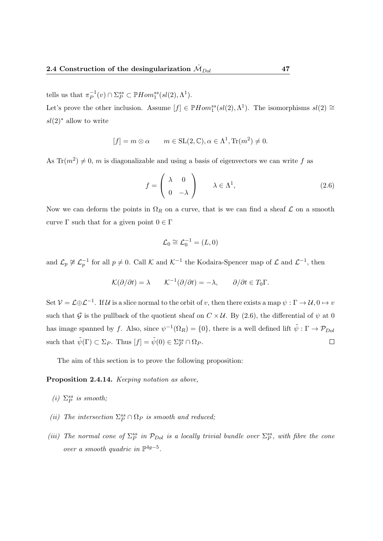tells us that  $\pi_P^{-1}$  $_P^{-1}(v) \cap \Sigma_P^{ss} \subset \mathbb{P}Hom_1^{ss}(sl(2), \Lambda^1).$ 

Let's prove the other inclusion. Assume  $[f] \in \mathbb{P} Hom_1^{ss}(sl(2), \Lambda^1)$ . The isomorphisms  $sl(2) \cong$  $sl(2)$ <sup>\*</sup> allow to write

$$
[f] = m \otimes \alpha \qquad m \in SL(2, \mathbb{C}), \alpha \in \Lambda^1, \text{Tr}(m^2) \neq 0.
$$

As Tr( $m^2$ )  $\neq$  0, m is diagonalizable and using a basis of eigenvectors we can write f as

$$
f = \begin{pmatrix} \lambda & 0 \\ 0 & -\lambda \end{pmatrix} \qquad \lambda \in \Lambda^1,
$$
 (2.6)

Now we can deform the points in  $\Omega_R$  on a curve, that is we can find a sheaf  $\mathcal L$  on a smooth curve  $\Gamma$  such that for a given point  $0 \in \Gamma$ 

$$
\mathcal{L}_0 \cong \mathcal{L}_0^{-1} = (L, 0)
$$

and  $\mathcal{L}_p \not\cong \mathcal{L}_p^{-1}$  for all  $p \neq 0$ . Call K and K<sup>-1</sup> the Kodaira-Spencer map of L and L<sup>-1</sup>, then

$$
\mathcal{K}(\partial/\partial t) = \lambda \qquad \mathcal{K}^{-1}(\partial/\partial t) = -\lambda, \qquad \partial/\partial t \in T_0 \Gamma.
$$

Set  $V = L \oplus L^{-1}$ . If U is a slice normal to the orbit of v, then there exists a map  $\psi : \Gamma \to U$ ,  $0 \mapsto v$ such that G is the pullback of the quotient sheaf on  $C \times U$ . By (2.6), the differential of  $\psi$  at 0 has image spanned by f. Also, since  $\psi^{-1}(\Omega_R) = \{0\}$ , there is a well defined lift  $\tilde{\psi}: \Gamma \to \mathcal{P}_{Dol}$ such that  $\tilde{\psi}(\Gamma) \subset \Sigma_P$ . Thus  $[f] = \tilde{\psi}(0) \in \Sigma_P^{ss} \cap \Omega_P$ .  $\Box$ 

The aim of this section is to prove the following proposition:

### Proposition 2.4.14. *Keeping notation as above*,

- (i)  $\Sigma^{ss}_P$  is smooth;
- (ii) The intersection  $\Sigma_P^{ss} \cap \Omega_P$  is smooth and reduced;
- (iii) The normal cone of  $\Sigma_P^{ss}$  in  $\mathcal{P}_{Dol}$  is a locally trivial bundle over  $\Sigma_P^{ss}$ , with fibre the cone over a smooth quadric in  $\mathbb{P}^{4g-5}$ .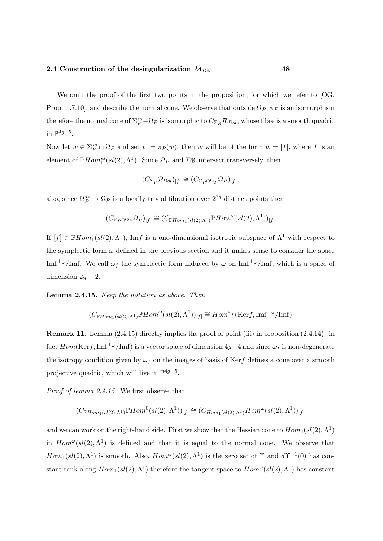We omit the proof of the first two points in the proposition, for which we refer to [OG, Prop. 1.7.10], and describe the normal cone. We observe that outside  $\Omega_P$ ,  $\pi_P$  is an isomorphism therefore the normal cone of  $\Sigma_P^{ss} - \Omega_P$  is isomorphic to  $C_{\Sigma_R} R_{Dol}$ , whose fibre is a smooth quadric in  $\mathbb{P}^{4g-5}$ .

Now let  $w \in \Sigma_P^{ss} \cap \Omega_P$  and set  $v := \pi_P(w)$ , then w will be of the form  $w = [f]$ , where f is an element of  $\mathbb{P}Hom_1^{ss}(sl(2),\Lambda^1)$ . Since  $\Omega_P$  and  $\Sigma_P^{ss}$  intersect transversely, then

$$
(C_{\Sigma_P} \mathcal{P}_{Dol})_{[f]} \cong (C_{\Sigma_P \cap \Omega_P} \Omega_P)_{[f]};
$$

also, since  $\Omega_P^{ss} \to \Omega_R$  is a locally trivial fibration over  $2^{2g}$  distinct points then

$$
(C_{\Sigma_P \cap \Omega_P} \Omega_P)_{[f]} \cong (C_{\mathbb{P}Hom_1(sl(2), \Lambda^1)} \mathbb{P} Hom^{\omega}(sl(2), \Lambda^1))_{[f]}
$$

If  $[f] \in \mathbb{P}Hom_1(sl(2), \Lambda^1)$ , Imf is a one-dimensional isotropic subspace of  $\Lambda^1$  with respect to the symplectic form  $\omega$  defined in the previous section and it makes sense to consider the space Imf<sup>⊥</sup>ω/Imf. We call  $\omega_f$  the symplectic form induced by  $\omega$  on Imf<sup>⊥</sup>ω/Imf, which is a space of dimension  $2g - 2$ .

#### Lemma 2.4.15. Keep the notation as above. Then

$$
(C_{\mathbb{P}Hom_1(sl(2),\Lambda^1)}\mathbb{P}Hom^{\omega}(sl(2),\Lambda^1))_{[f]}\cong Hom^{\omega_f}(\mathrm{Ker}f,\mathrm{Im}f^{\perp_{\omega}}/\mathrm{Im}f)
$$

Remark 11. Lemma (2.4.15) directly implies the proof of point (iii) in proposition (2.4.14): in fact  $Hom(\text{Ker} f, \text{Im} f^{\perp_{\omega}}/ \text{Im} f)$  is a vector space of dimension 4g−4 and since  $\omega_f$  is non-degenerate the isotropy condition given by  $\omega_f$  on the images of basis of Kerf defines a cone over a smooth projective quadric, which will live in  $\mathbb{P}^{4g-5}$ .

Proof of lemma 2.4.15. We first observe that

$$
(C_{\mathbb{P}Hom_1(sl(2),\Lambda^1)}\mathbb{P}Hom^0(sl(2),\Lambda^1))_{[f]}\cong (C_{Hom_1(sl(2),\Lambda^1)}Hom^{\omega}(sl(2),\Lambda^1))_{[f]}
$$

and we can work on the right-hand side. First we show that the Hessian cone to  $Hom_1(sl(2), \Lambda^1)$ in  $Hom^{\omega}(sl(2), \Lambda^1)$  is defined and that it is equal to the normal cone. We observe that  $Hom_1(sl(2), \Lambda^1)$  is smooth. Also,  $Hom^{\omega}(sl(2), \Lambda^1)$  is the zero set of  $\Upsilon$  and  $d\Upsilon^{-1}(0)$  has constant rank along  $Hom_1(sl(2), \Lambda^1)$  therefore the tangent space to  $Hom^{\omega}(sl(2), \Lambda^1)$  has constant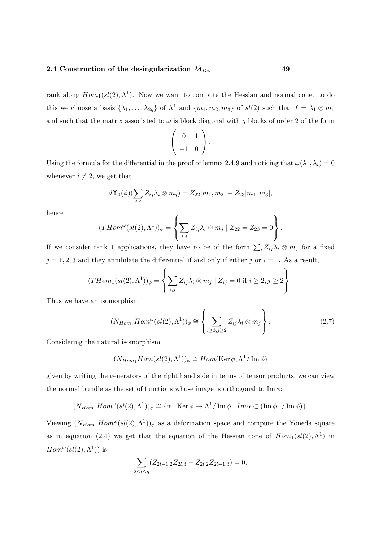rank along  $Hom_1(sl(2), \Lambda^1)$ . Now we want to compute the Hessian and normal cone: to do this we choose a basis  $\{\lambda_1, \ldots, \lambda_{2g}\}$  of  $\Lambda^1$  and  $\{m_1, m_2, m_3\}$  of  $sl(2)$  such that  $f = \lambda_1 \otimes m_1$ and such that the matrix associated to  $\omega$  is block diagonal with g blocks of order 2 of the form

$$
\left(\begin{array}{cc} 0 & 1 \\ -1 & 0 \end{array}\right).
$$

Using the formula for the differential in the proof of lemma 2.4.9 and noticing that  $\omega(\lambda_1, \lambda_i) = 0$ whenever  $i \neq 2$ , we get that

$$
d\Upsilon_0(\phi)(\sum_{i,j} Z_{ij}\lambda_i \otimes m_j) = Z_{22}[m_1, m_2] + Z_{23}[m_1, m_3],
$$

hence

$$
(THom^{\omega}(sl(2), \Lambda^1))_{\phi} = \left\{ \sum_{i,j} Z_{ij} \lambda_i \otimes m_j \mid Z_{22} = Z_{23} = 0 \right\}.
$$

If we consider rank 1 applications, they have to be of the form  $\sum_i Z_{ij} \lambda_i \otimes m_j$  for a fixed  $j = 1, 2, 3$  and they annihilate the differential if and only if either j or  $i = 1$ . As a result,

$$
(THom_1(sl(2), \Lambda^1))_{\phi} = \left\{ \sum_{i,j} Z_{ij} \lambda_i \otimes m_j \mid Z_{ij} = 0 \text{ if } i \geq 2, j \geq 2 \right\}.
$$

Thus we have an isomorphism

$$
(N_{Hom_1}Hom^{\omega}(sl(2),\Lambda^1))_{\phi} \cong \left\{\sum_{i\geq 3,j\geq 2} Z_{ij}\lambda_i \otimes m_j\right\}.
$$
 (2.7)

Considering the natural isomorphism

$$
(N_{Hom_1}Hom(sl(2), \Lambda^1))_{\phi} \cong Hom(\text{Ker }\phi, \Lambda^1/\text{Im }\phi)
$$

given by writing the generators of the right hand side in terms of tensor products, we can view the normal bundle as the set of functions whose image is orthogonal to  $\text{Im }\phi$ :

$$
(N_{Hom_1}Hom^{\omega}(sl(2),\Lambda^1))_{\phi} \cong {\alpha : \text{Ker }\phi \to \Lambda^1/\text{Im }\phi \mid Im \alpha \subset (\text{Im }\phi^{\perp}/\text{Im }\phi)}.
$$

Viewing  $(N_{Hom_1}Hom^{\omega}(sl(2),\Lambda^1))_{\phi}$  as a deformation space and compute the Yoneda square as in equation (2.4) we get that the equation of the Hessian cone of  $Hom_1(sl(2), \Lambda^1)$  in  $Hom^{\omega}(sl(2), \Lambda^1))$  is

$$
\sum_{2 \leq l \leq g} (Z_{2l-1,2} Z_{2l,3} - Z_{2l,2} Z_{2l-1,3}) = 0.
$$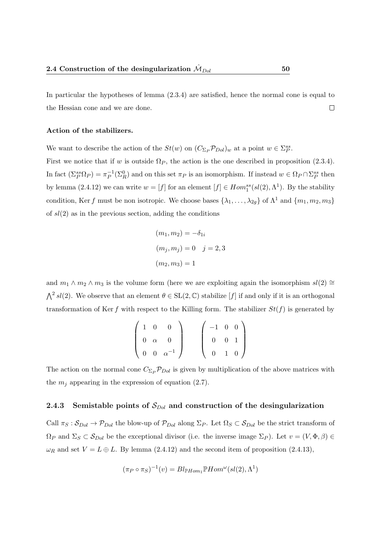In particular the hypotheses of lemma (2.3.4) are satisfied, hence the normal cone is equal to the Hessian cone and we are done.  $\Box$ 

### Action of the stabilizers.

We want to describe the action of the  $St(w)$  on  $(C_{\Sigma_P} \mathcal{P}_{Dol})_w$  at a point  $w \in \Sigma_P^{ss}$ .

First we notice that if w is outside  $\Omega_P$ , the action is the one described in proposition (2.3.4). In fact  $(\Sigma_P^{ss} \Omega_P) = \pi_P^{-1}$  $P^{-1}(\Sigma_R^0)$  and on this set  $\pi_P$  is an isomorphism. If instead  $w \in \Omega_P \cap \Sigma_P^{ss}$  then by lemma (2.4.12) we can write  $w = [f]$  for an element  $[f] \in Hom_1^{ss}(sl(2), \Lambda^1)$ . By the stability condition, Ker f must be non isotropic. We choose bases  $\{\lambda_1, \ldots, \lambda_{2g}\}$  of  $\Lambda^1$  and  $\{m_1, m_2, m_3\}$ of  $sl(2)$  as in the previous section, adding the conditions

$$
(m_1, m_2) = -\delta_{1i}
$$
  

$$
(m_j, m_j) = 0 \quad j = 2, 3
$$
  

$$
(m_2, m_3) = 1
$$

and  $m_1 \wedge m_2 \wedge m_3$  is the volume form (here we are exploiting again the isomorphism  $sl(2) \cong$  $\bigwedge^2 sl(2)$ . We observe that an element  $\theta \in SL(2,\mathbb{C})$  stabilize [f] if and only if it is an orthogonal transformation of Ker f with respect to the Killing form. The stabilizer  $St(f)$  is generated by

$$
\begin{pmatrix}\n1 & 0 & 0 \\
0 & \alpha & 0 \\
0 & 0 & \alpha^{-1}\n\end{pmatrix}\n\qquad\n\begin{pmatrix}\n-1 & 0 & 0 \\
0 & 0 & 1 \\
0 & 1 & 0\n\end{pmatrix}
$$

The action on the normal cone  $C_{\Sigma_P} \mathcal{P}_{Dol}$  is given by multiplication of the above matrices with the  $m_i$  appearing in the expression of equation (2.7).

### 2.4.3 Semistable points of  $S_{Dol}$  and construction of the desingularization

Call  $\pi_S : S_{Dol} \to \mathcal{P}_{Dol}$  the blow-up of  $\mathcal{P}_{Dol}$  along  $\Sigma_P$ . Let  $\Omega_S \subset S_{Dol}$  be the strict transform of  $\Omega_P$  and  $\Sigma_S \subset \mathcal{S}_{Dol}$  be the exceptional divisor (i.e. the inverse image  $\Sigma_P$ ). Let  $v = (V, \Phi, \beta) \in$  $\omega_R$  and set  $V = L \oplus L$ . By lemma (2.4.12) and the second item of proposition (2.4.13),

$$
(\pi_P \circ \pi_S)^{-1}(v) = Bl_{\mathbb{P}Hom_1} \mathbb{P}Hom^{\omega}(sl(2), \Lambda^1)
$$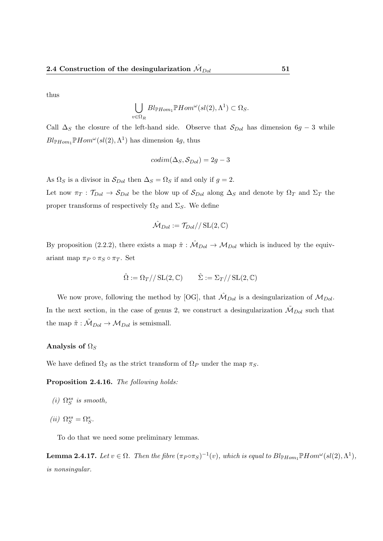thus

$$
\bigcup_{v \in \Omega_R} Bl_{\mathbb{P}Hom_1} \mathbb{P}Hom^{\omega}(sl(2), \Lambda^1) \subset \Omega_S.
$$

Call  $\Delta_S$  the closure of the left-hand side. Observe that  $S_{Dol}$  has dimension 6g − 3 while  $Bl_{\mathbb{P}Hom_1} \mathbb{P}Hom^{\omega}(sl(2), \Lambda^1)$  has dimension 4g, thus

$$
codim(\Delta_S, S_{Dol}) = 2g - 3
$$

As  $\Omega_S$  is a divisor in  $S_{Dol}$  then  $\Delta_S = \Omega_S$  if and only if  $g = 2$ .

Let now  $\pi_T : \mathcal{T}_{Dol} \to \mathcal{S}_{Dol}$  be the blow up of  $\mathcal{S}_{Dol}$  along  $\Delta_S$  and denote by  $\Omega_T$  and  $\Sigma_T$  the proper transforms of respectively  $\Omega_S$  and  $\Sigma_S$ . We define

$$
\hat{\mathcal{M}}_{Dol}:=\mathcal{T}_{Dol}//\operatorname{SL}(2,\mathbb{C})
$$

By proposition (2.2.2), there exists a map  $\hat{\pi}$  :  $\hat{\mathcal{M}}_{Dol} \to \mathcal{M}_{Dol}$  which is induced by the equivariant map  $\pi_P \circ \pi_S \circ \pi_T$ . Set

$$
\hat{\Omega} := \Omega_T / / \operatorname{SL}(2, \mathbb{C}) \qquad \hat{\Sigma} := \Sigma_T / / \operatorname{SL}(2, \mathbb{C})
$$

We now prove, following the method by [OG], that  $\hat{\mathcal{M}}_{Dol}$  is a desingularization of  $\mathcal{M}_{Dol}$ . In the next section, in the case of genus 2, we construct a desingularization  $\mathcal{M}_{Dol}$  such that the map  $\tilde{\pi}: \tilde{\mathcal{M}}_{Dol} \to \mathcal{M}_{Dol}$  is semismall.

### Analysis of  $\Omega_S$

We have defined  $\Omega_S$  as the strict transform of  $\Omega_P$  under the map  $\pi_S$ .

Proposition 2.4.16. The following holds:

- (i)  $\Omega_S^{ss}$  is smooth,
- $(ii)\ \Omega^{ss}_{S}=\Omega^{s}_{S}.$

To do that we need some preliminary lemmas.

**Lemma 2.4.17.** Let  $v \in \Omega$ . Then the fibre  $(\pi_P \circ \pi_S)^{-1}(v)$ , which is equal to  $Bl_{\mathbb{P}Hom_1} \mathbb{P}Hom^{\omega}(sl(2), \Lambda^1)$ , is nonsingular.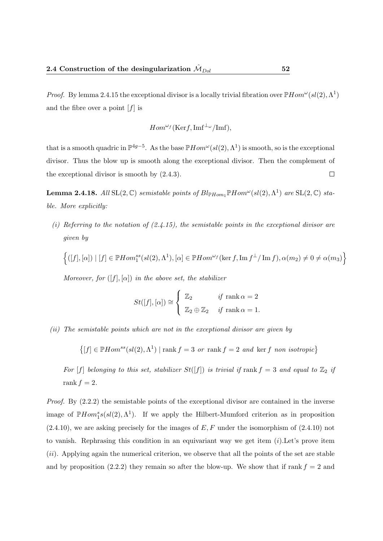*Proof.* By lemma 2.4.15 the exceptional divisor is a locally trivial fibration over  $\mathbb{P}Hom^{\omega}(sl(2), \Lambda^1)$ and the fibre over a point  $[f]$  is

$$
Hom^{\omega_f}(\mathrm{Ker}f,\mathrm{Im}f^{\perp_{\omega}}/\mathrm{Im}f),
$$

that is a smooth quadric in  $\mathbb{P}^{4g-5}$ . As the base  $\mathbb{P}Hom^{\omega}(sl(2),\Lambda^1)$  is smooth, so is the exceptional divisor. Thus the blow up is smooth along the exceptional divisor. Then the complement of the exceptional divisor is smooth by (2.4.3).  $\Box$ 

**Lemma 2.4.18.** All SL $(2, \mathbb{C})$  semistable points of  $Bl_{\mathbb{P}Hom_1} \mathbb{P} Hom^{\omega}(sl(2), \Lambda^1)$  are SL $(2, \mathbb{C})$  stable. More explicitly:

(i) Referring to the notation of  $(2.4.15)$ , the semistable points in the exceptional divisor are given by

$$
\Big\{([f],[\alpha])\mid [f]\in \mathbb{P} Hom_1^{ss}(sl(2),\Lambda^1), [\alpha]\in \mathbb{P} Hom^{\omega_f}(\ker f,\operatorname{Im} f^\perp/\operatorname{Im} f),\alpha(m_2)\neq 0\neq \alpha(m_3)\Big\}
$$

Moreover, for  $([f], [\alpha])$  in the above set, the stabilizer

$$
St([f],[\alpha]) \cong \begin{cases} \mathbb{Z}_2 & \text{if } \text{rank } \alpha = 2 \\ \mathbb{Z}_2 \oplus \mathbb{Z}_2 & \text{if } \text{rank } \alpha = 1. \end{cases}
$$

(ii) The semistable points which are not in the exceptional divisor are given by

 $\{ [f] \in \mathbb{P} Hom^{ss}(sl(2), \Lambda^1) \mid \text{rank } f = 3 \text{ or } \text{rank } f = 2 \text{ and } \text{ker } f \text{ non isotropic} \}$ 

For [f] belonging to this set, stabilizer  $St([f])$  is trivial if rank  $f = 3$  and equal to  $\mathbb{Z}_2$  if rank  $f = 2$ .

Proof. By  $(2.2.2)$  the semistable points of the exceptional divisor are contained in the inverse image of  $\mathbb{P}Hom_1^s(s(l(2),\Lambda^1)$ . If we apply the Hilbert-Mumford criterion as in proposition  $(2.4.10)$ , we are asking precisely for the images of E, F under the isomorphism of  $(2.4.10)$  not to vanish. Rephrasing this condition in an equivariant way we get item  $(i)$ . Let's prove item (ii). Applying again the numerical criterion, we observe that all the points of the set are stable and by proposition (2.2.2) they remain so after the blow-up. We show that if rank  $f = 2$  and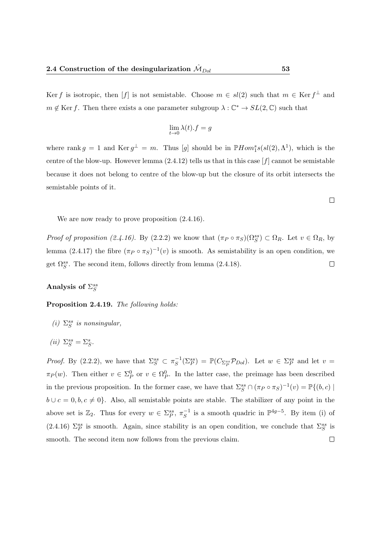Ker f is isotropic, then [f] is not semistable. Choose  $m \in sl(2)$  such that  $m \in \text{Ker } f^{\perp}$  and  $m \notin \text{Ker } f$ . Then there exists a one parameter subgroup  $\lambda : \mathbb{C}^* \to SL(2, \mathbb{C})$  such that

$$
\lim_{t \to 0} \lambda(t).f = g
$$

where rank  $g = 1$  and  $\text{Ker } g^{\perp} = m$ . Thus [g] should be in  $\mathbb{P}Hom_1^s(s(l(2), \Lambda^1))$ , which is the centre of the blow-up. However lemma  $(2.4.12)$  tells us that in this case  $[f]$  cannot be semistable because it does not belong to centre of the blow-up but the closure of its orbit intersects the semistable points of it.

We are now ready to prove proposition  $(2.4.16)$ .

Proof of proposition (2.4.16). By (2.2.2) we know that  $(\pi_P \circ \pi_S)(\Omega_S^{ss}) \subset \Omega_R$ . Let  $v \in \Omega_R$ , by lemma (2.4.17) the fibre  $(\pi_P \circ \pi_S)^{-1}(v)$  is smooth. As semistability is an open condition, we get  $\Omega_S^{ss}$ . The second item, follows directly from lemma (2.4.18).  $\Box$ 

# Analysis of  $\Sigma_S^{ss}$

Proposition 2.4.19. The following holds:

(i)  $\Sigma_S^{ss}$  is nonsingular,

$$
(ii) \ \Sigma_S^{ss} = \Sigma_S^s.
$$

*Proof.* By (2.2.2), we have that  $\Sigma_S^{ss} \subset \pi_S^{-1}$  $S^{-1}(\Sigma_P^{ss}) = \mathbb{P}(C_{\Sigma_P^{ss}} \mathcal{P}_{Dol})$ . Let  $w \in \Sigma_P^{ss}$  and let  $v =$  $\pi_P(w)$ . Then either  $v \in \Sigma_P^0$  or  $v \in \Omega_P^0$ . In the latter case, the preimage has been described in the previous proposition. In the former case, we have that  $\Sigma_S^{ss} \cap (\pi_P \circ \pi_S)^{-1}(v) = \mathbb{P}\{(b, c) \mid$  $b \cup c = 0, b, c \neq 0$ . Also, all semistable points are stable. The stabilizer of any point in the above set is  $\mathbb{Z}_2$ . Thus for every  $w \in \Sigma^{ss}_P, \pi_S^{-1}$  $\overline{S}$ <sup>1</sup> is a smooth quadric in  $\mathbb{P}^{4g-5}$ . By item (i) of (2.4.16)  $\Sigma_P^{ss}$  is smooth. Again, since stability is an open condition, we conclude that  $\Sigma_S^{ss}$  is smooth. The second item now follows from the previous claim.  $\Box$ 

 $\Box$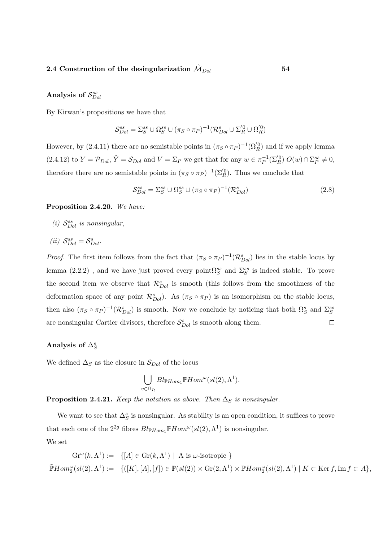# Analysis of  $S_{Dol}^{ss}$

By Kirwan's propositions we have that

$$
\mathcal{S}^{ss}_{Dol} = \Sigma^{ss}_S \cup \Omega^{ss}_S \cup (\pi_S \circ \pi_P)^{-1} (\mathcal{R}^s_{Dol} \cup \Sigma^{'}_R \cup \Omega^{'}_R)
$$

However, by (2.4.11) there are no semistable points in  $(\pi_S \circ \pi_P)^{-1}(\Omega_R^{'0})$  and if we apply lemma  $(2.4.12)$  to  $Y = \mathcal{P}_{Dol}$ ,  $\tilde{Y} = \mathcal{S}_{Dol}$  and  $V = \Sigma_P$  we get that for any  $w \in \pi_P^{-1}$  $C_P^{-1}(\Sigma_R^{0})$   $O(w) \cap \Sigma_P^{ss} \neq 0,$ therefore there are no semistable points in  $(\pi_S \circ \pi_P)^{-1}(\Sigma_R^{'0})$ . Thus we conclude that

$$
S_{Dol}^{ss} = \Sigma_S^{ss} \cup \Omega_S^{ss} \cup (\pi_S \circ \pi_P)^{-1} (\mathcal{R}_{Dol}^s)
$$
\n(2.8)

### Proposition 2.4.20. We have:

- (i)  $S_{Dol}^{ss}$  is nonsingular,
- (*ii*)  $S_{Dol}^{ss} = S_{Dol}^{s}$ .

*Proof.* The first item follows from the fact that  $(\pi_S \circ \pi_P)^{-1}(\mathcal{R}_{Dol}^s)$  lies in the stable locus by lemma (2.2.2), and we have just proved every point $\Omega_S^{ss}$  and  $\Sigma_S^{ss}$  is indeed stable. To prove the second item we observe that  $\mathcal{R}_{Dol}^s$  is smooth (this follows from the smoothness of the deformation space of any point  $\mathcal{R}_{Dol}^s$ ). As  $(\pi_S \circ \pi_P)$  is an isomorphism on the stable locus, then also  $(\pi_S \circ \pi_P)^{-1}(\mathcal{R}_{Dol}^s)$  is smooth. Now we conclude by noticing that both  $\Omega_S^s$  and  $\Sigma_S^{ss}$ are nonsingular Cartier divisors, therefore  $S_{Dol}^s$  is smooth along them.  $\Box$ 

# Analysis of  $\Delta_S^s$

We defined  $\Delta_S$  as the closure in  $S_{Dol}$  of the locus

$$
\bigcup_{v \in \Omega_R} Bl_{\mathbb{P}Hom_1} \mathbb{P}Hom^{\omega}(sl(2), \Lambda^1).
$$

**Proposition 2.4.21.** Keep the notation as above. Then  $\Delta_S$  is nonsingular.

We want to see that  $\Delta_S^s$  is nonsingular. As stability is an open condition, it suffices to prove that each one of the  $2^{2g}$  fibres  $Bl_{\mathbb{P}Hom_{1}}\mathbb{P}Hom^{\omega}(sl(2),\Lambda^{1})$  is nonsingular. We set

$$
Gr^{\omega}(k,\Lambda^1) := \{ [A] \in Gr(k,\Lambda^1) \mid A \text{ is } \omega\text{-isotropic } \}
$$
  

$$
\tilde{\mathbb{P}} Hom_2^{\omega}(sl(2),\Lambda^1) := \{ ([K],[A],[f]) \in \mathbb{P}(sl(2)) \times Gr(2,\Lambda^1) \times \mathbb{P} Hom_2^{\omega}(sl(2),\Lambda^1) \mid K \subset \text{Ker } f, \text{Im } f \subset A \},
$$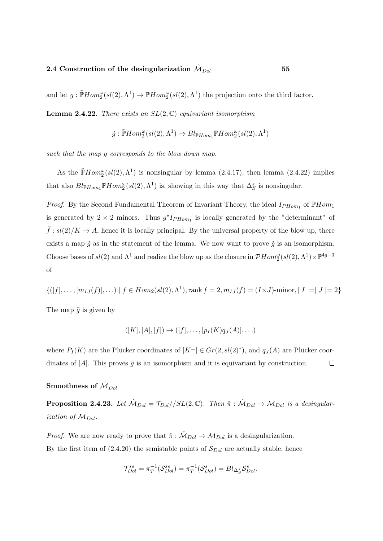and let  $g: \tilde{\mathbb{P}} Hom_2^{\omega}(sl(2), \Lambda^1) \to \mathbb{P} Hom_2^{\omega}(sl(2), \Lambda^1)$  the projection onto the third factor.

**Lemma 2.4.22.** There exists an  $SL(2,\mathbb{C})$  equivariant isomorphism

$$
\tilde{g}: \tilde{\mathbb{P}} Hom_2^{\omega}(sl(2), \Lambda^1) \to Bl_{\mathbb{P} Hom_1} \mathbb{P} Hom_2^{\omega}(sl(2), \Lambda^1)
$$

such that the map g corresponds to the blow down map.

As the  $\tilde{\mathbb{P}} Hom_{2}^{\omega}(sl(2), \Lambda^{1})$  is nonsingular by lemma (2.4.17), then lemma (2.4.22) implies that also  $Bl_{\mathbb{P}Hom_{1}}\mathbb{P}Hom_{2}^{\omega}(sl(2),\Lambda^{1})$  is, showing in this way that  $\Delta_{S}^{s}$  is nonsingular.

*Proof.* By the Second Fundamental Theorem of Invariant Theory, the ideal  $I_{PHom_1}$  of  $\mathbb{P}Hom_1$ is generated by  $2 \times 2$  minors. Thus  $g^*I_{PHom_1}$  is locally generated by the "determinant" of  $\bar{f}:sl(2)/K\to A$ , hence it is locally principal. By the universal property of the blow up, there exists a map  $\tilde{g}$  as in the statement of the lemma. We now want to prove  $\tilde{g}$  is an isomorphism. Choose bases of  $sl(2)$  and  $\Lambda^1$  and realize the blow up as the closure in  $\mathcal{P}Hom_2^{\omega}(sl(2), \Lambda^1)\times \mathbb{P}^{4g-3}$ of

$$
\{([f], \ldots, [m_{IJ}(f)], \ldots) \mid f \in Hom_2(sl(2), \Lambda^1), \text{rank } f = 2, m_{IJ}(f) = (I \times J) \cdot \text{minor}, |I| = |J| = 2\}
$$

The map  $\tilde{g}$  is given by

$$
([K],[A],[f]) \mapsto ([f], \dots, [p_I(K)q_J(A)], \dots)
$$

where  $P_I(K)$  are the Plücker coordinates of  $[K^{\perp}] \in Gr(2, sl(2)^*)$ , and  $q_J(A)$  are Plücker coordinates of  $[A]$ . This proves  $\tilde{q}$  is an isomorphism and it is equivariant by construction.  $\Box$ 

### Smoothness of  $\hat{\mathcal{M}}_{Dol}$

**Proposition 2.4.23.** Let  $\hat{\mathcal{M}}_{Dol} = \frac{T_{Dol}}{S}$   $\frac{f}{S}$ . Then  $\hat{\pi}$  :  $\hat{\mathcal{M}}_{Dol} \rightarrow \mathcal{M}_{Dol}$  is a desingularization of  $M_{Dol}$ .

*Proof.* We are now ready to prove that  $\hat{\pi} : \hat{\mathcal{M}}_{Dol} \to \mathcal{M}_{Dol}$  is a desingularization. By the first item of  $(2.4.20)$  the semistable points of  $S_{Dol}$  are actually stable, hence

$$
\mathcal{T}_{Dol}^{ss} = \pi_T^{-1}(\mathcal{S}_{Dol}^{ss}) = \pi_T^{-1}(\mathcal{S}_{Dol}^s) = Bl_{\Delta_S^s} \mathcal{S}_{Dol}^s.
$$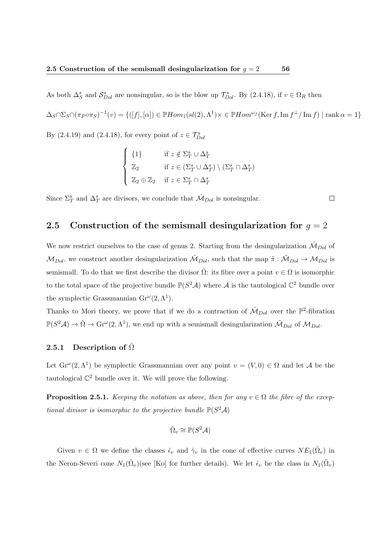As both  $\Delta_S^s$  and  $\mathcal{S}_{Dol}^s$  are nonsingular, so is the blow up  $\mathcal{T}_{Dol}^s$ . By (2.4.18), if  $v \in \Omega_R$  then  $\Delta_S \cap \Sigma_S \cap (\pi_P \circ \pi_S)^{-1}(v) = \{([f],[\alpha]) \in \mathbb{P}Hom_1(sl(2),\Lambda^1) \times \in \mathbb{P}Hom^{\omega_f}(\text{Ker }f, \text{Im }f^{\perp}/\text{Im }f) \mid \text{rank } \alpha = 1\}$ By (2.4.19) and (2.4.18), for every point of  $z \in \mathcal{T}_{Dol}^s$ 

$$
\begin{cases} \{1\} & \text{if } z \notin \Sigma_T^s \cup \Delta_T^s \\ \mathbb{Z}_2 & \text{if } z \in (\Sigma_T^s \cup \Delta_T^s) \setminus (\Sigma_T^s \cap \Delta_T^s) \\ \mathbb{Z}_2 \oplus \mathbb{Z}_2 & \text{if } z \in \Sigma_T^s \cap \Delta_T^s \end{cases}
$$

Since  $\Sigma^s_T$  and  $\Delta^s_T$  are divisors, we conclude that  $\hat{\mathcal{M}}_{Dol}$  is nonsingular.

### 2.5 Construction of the semismall desingularization for  $g = 2$

We now restrict ourselves to the case of genus 2. Starting from the desingularization  $\hat{\mathcal{M}}_{Dol}$  of  $M_{Dol}$ , we construct another desingularization  $\tilde{M}_{Dol}$ , such that the map  $\tilde{\pi}: \tilde{M}_{Dol} \to M_{Dol}$  is semismall. To do that we first describe the divisor  $\hat{\Omega}$ : its fibre over a point  $v \in \Omega$  is isomorphic to the total space of the projective bundle  $\mathbb{P}(S^2\mathcal{A})$  where  $\mathcal A$  is the tautological  $\mathbb{C}^2$  bundle over the symplectic Grassmannian  $\text{Gr}^{\omega}(2, \Lambda^1)$ .

Thanks to Mori theory, we prove that if we do a contraction of  $\hat{\mathcal{M}}_{Dol}$  over the  $\mathbb{P}^2$ -fibration  $\mathbb{P}(S^2\mathcal{A}) \to \hat{\Omega} \to \text{Gr}^{\omega}(2,\Lambda^1)$ , we end up with a semismall desingularization  $\tilde{\mathcal{M}}_{Dol}$  of  $\mathcal{M}_{Dol}$ .

### 2.5.1 Description of  $\Omega$

Let  $\operatorname{Gr}^{\omega}(2,\Lambda^1)$  be symplectic Grassmannian over any point  $v = (V,0) \in \Omega$  and let A be the tautological  $\mathbb{C}^2$  bundle over it. We will prove the following.

**Proposition 2.5.1.** Keeping the notation as above, then for any  $v \in \Omega$  the fibre of the exceptional divisor is isomorphic to the projective bundle  $\mathbb{P}(S^2 \mathcal{A})$ 

$$
\hat{\Omega}_v \cong \mathbb{P}(S^2\mathcal{A})
$$

Given  $v \in \Omega$  we define the classes  $\hat{\epsilon}_v$  and  $\hat{\gamma}_v$  in the cone of effective curves  $NE_1(\hat{\Omega}_v)$  in the Neron-Severi cone  $N_1(\hat{\Omega}_v)$ (see [Ko] for further details). We let  $\hat{\epsilon}_v$  be the class in  $N_1(\hat{\Omega}_v)$ 

 $\Box$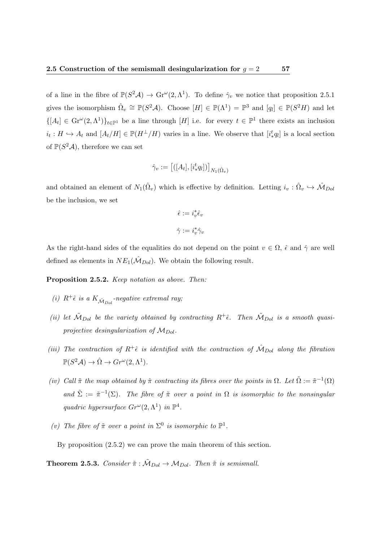of a line in the fibre of  $\mathbb{P}(S^2\mathcal{A}) \to \text{Gr}^{\omega}(2,\Lambda^1)$ . To define  $\hat{\gamma}_v$  we notice that proposition 2.5.1 gives the isomorphism  $\hat{\Omega}_v \cong \mathbb{P}(S^2 \mathcal{A})$ . Choose  $[H] \in \mathbb{P}(\Lambda^1) = \mathbb{P}^3$  and  $[q_l] \in \mathbb{P}(S^2 H)$  and let  $\{[A_t] \in \mathrm{Gr}^{\omega}(2,\Lambda^1)\}_{t\in\mathbb{P}^1}$  be a line through  $[H]$  i.e. for every  $t \in \mathbb{P}^1$  there exists an inclusion  $i_t: H \hookrightarrow A_t$  and  $[A_t/H] \in \mathbb{P}(H^{\perp}/H)$  varies in a line. We observe that  $[i_*^t q_l]$  is a local section of  $\mathbb{P}(S^2\mathcal{A})$ , therefore we can set

$$
\hat{\gamma}_v := \left[ ([A_t], [i_*^t q_l]) \right]_{N_1(\hat{\Omega}_v)}
$$

and obtained an element of  $N_1(\hat{\Omega}_v)$  which is effective by definition. Letting  $i_v : \hat{\Omega}_v \hookrightarrow \hat{\mathcal{M}}_{D_{0}l}$ be the inclusion, we set

$$
\hat{\epsilon} := i_v^* \hat{\epsilon}_v
$$
  

$$
\hat{\gamma} := i_v^* \hat{\gamma}_v
$$

As the right-hand sides of the equalities do not depend on the point  $v \in \Omega$ ,  $\hat{\epsilon}$  and  $\hat{\gamma}$  are well defined as elements in  $NE_1(\hat{M}_{Dol})$ . We obtain the following result.

Proposition 2.5.2. Keep notation as above. Then:

- (i)  $R^+ \hat{\epsilon}$  is a  $K_{\hat{\mathcal{M}}_{Dol}}$ -negative extremal ray;
- (ii) let  $\tilde{M}_{Dol}$  be the variety obtained by contracting  $R^+\hat{\epsilon}$ . Then  $\tilde{M}_{Dol}$  is a smooth quasiprojective desingularization of  $M_{Dol}$ .
- (iii) The contraction of  $R^+\hat{\epsilon}$  is identified with the contraction of  $\hat{\mathcal{M}}_{Dol}$  along the fibration  $\mathbb{P}(S^2\mathcal{A}) \to \hat{\Omega} \to Gr^{\omega}(2,\Lambda^1).$
- (iv) Call  $\tilde{\pi}$  the map obtained by  $\hat{\pi}$  contracting its fibres over the points in  $\Omega$ . Let  $\tilde{\Omega} := \tilde{\pi}^{-1}(\Omega)$ and  $\tilde{\Sigma} := \tilde{\pi}^{-1}(\Sigma)$ . The fibre of  $\tilde{\pi}$  over a point in  $\Omega$  is isomorphic to the nonsingular quadric hypersurface  $Gr^{\omega}(2, \Lambda^1)$  in  $\mathbb{P}^4$ .
- (v) The fibre of  $\tilde{\pi}$  over a point in  $\Sigma^0$  is isomorphic to  $\mathbb{P}^1$ .

By proposition (2.5.2) we can prove the main theorem of this section.

**Theorem 2.5.3.** Consider  $\tilde{\pi}$  :  $\tilde{M}_{Dol} \rightarrow M_{Dol}$ . Then  $\tilde{\pi}$  is semismall.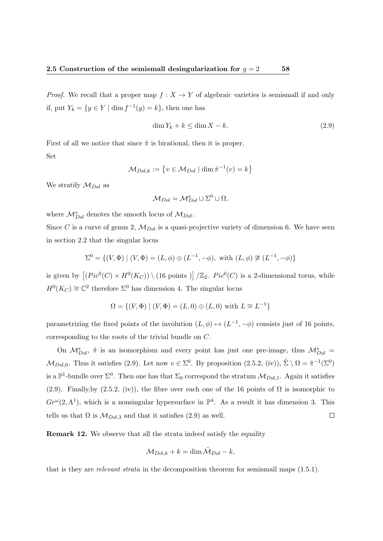*Proof.* We recall that a proper map  $f : X \to Y$  of algebraic varieties is semismall if and only if, put  $Y_k = \{ y \in Y \mid \dim f^{-1}(y) = k \},\$  then one has

$$
\dim Y_k + k \le \dim X - k. \tag{2.9}
$$

First of all we notice that since  $\tilde{\pi}$  is birational, then it is proper. Set

$$
\mathcal{M}_{Dol,k} := \left\{ v \in \mathcal{M}_{Dol} \mid \dim \tilde{\pi}^{-1}(v) = k \right\}
$$

We stratify  $\mathcal{M}_{Dol}$  as

$$
\mathcal{M}_{Dol} = \mathcal{M}_{Dol}^s \sqcup \Sigma^0 \sqcup \Omega,
$$

where  $\mathcal{M}_{Dol}^s$  denotes the smooth locus of  $\mathcal{M}_{Dol}$ .

Since C is a curve of genus 2,  $\mathcal{M}_{Dol}$  is a quasi-projective variety of dimension 6. We have seen in section 2.2 that the singular locus

$$
\Sigma^0 = \{ (V, \Phi) \mid (V, \Phi) = (L, \phi) \oplus (L^{-1}, -\phi), \text{ with } (L, \phi) \not\cong (L^{-1}, -\phi) \}
$$

is given by  $[(Pic^0(C) \times H^0(K_C))] \setminus (16 \text{ points})]/\mathbb{Z}_2$ .  $Pic^0(C)$  is a 2-dimensional torus, while  $H^0(K_C) \cong \mathbb{C}^2$  therefore  $\Sigma^0$  has dimension 4. The singular locus

$$
\Omega = \{ (V, \Phi) \mid (V, \Phi) = (L, 0) \oplus (L, 0) \text{ with } L \cong L^{-1} \}
$$

parametrizing the fixed points of the involution  $(L, \phi) \mapsto (L^{-1}, -\phi)$  consists just of 16 points, corresponding to the roots of the trivial bundle on C.

On  $M_{Dol}^s$ ,  $\tilde{\pi}$  is an isomorphism and every point has just one pre-image, thus  $M_{Dol}^s$  =  $\mathcal{M}_{Dol,0}$ . Thus it satisfies (2.9). Let now  $v \in \Sigma^0$ . By proposition (2.5.2, (iv)),  $\tilde{\Sigma} \setminus \Omega = \tilde{\pi}^{-1}(\Sigma^0)$ is a  $\mathbb{P}^1$ -bundle over  $\Sigma^0$ . Then one has that  $\Sigma_0$  correspond the stratum  $\mathcal{M}_{Dol,1}$ . Again it satisfies (2.9). Finally,by (2.5.2, (iv)), the fibre over each one of the 16 points of  $\Omega$  is isomorphic to  $Gr^{\omega}(2,\Lambda^{1})$ , which is a nonsingular hypersurface in  $\mathbb{P}^{4}$ . As a result it has dimension 3. This  $\Box$ tells us that  $\Omega$  is  $\mathcal{M}_{Dol,3}$  and that it satisfies (2.9) as well.

Remark 12. We observe that all the strata indeed satisfy the equality

$$
\mathcal{M}_{Dol,k} + k = \dim \tilde{\mathcal{M}}_{Dol} - k,
$$

that is they are relevant strata in the decomposition theorem for semismall maps (1.5.1).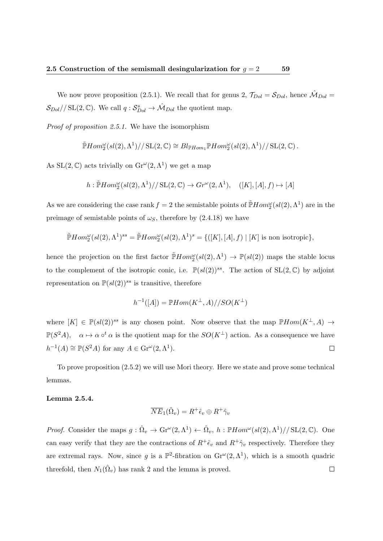We now prove proposition (2.5.1). We recall that for genus 2,  $\mathcal{T}_{Dol} = \mathcal{S}_{Dol}$ , hence  $\mathcal{M}_{Dol} =$  $S_{Dol}/\sqrt{\text{SL}(2,\mathbb{C})}$ . We call  $q: S_{Dol}^s \to \hat{\mathcal{M}}_{Dol}$  the quotient map.

Proof of proposition 2.5.1. We have the isomorphism

$$
\widetilde{\mathbb{P}} Hom_2^{\omega}(sl(2), \Lambda^1)//\mathrm{SL}(2, \mathbb{C}) \cong Bl_{\mathbb{P}Hom_1} \mathbb{P} Hom_2^{\omega}(sl(2), \Lambda^1)//\mathrm{SL}(2, \mathbb{C}).
$$

As  $SL(2, \mathbb{C})$  acts trivially on  $Gr^{\omega}(2, \Lambda^1)$  we get a map

$$
h: \widetilde{\mathbb{P}} Hom_2^{\omega}(sl(2), \Lambda^1)//\operatorname{SL}(2, \mathbb{C}) \to Gr^{\omega}(2, \Lambda^1), \quad ([K], [A], f) \mapsto [A]
$$

As we are considering the case rank  $f = 2$  the semistable points of  $\tilde{P}Hom_{2}^{\omega}(sl(2), \Lambda^{1})$  are in the preimage of semistable points of  $\omega<sub>S</sub>$ , therefore by (2.4.18) we have

$$
\widetilde{\mathbb{P}} Hom_2^{\omega}(sl(2), \Lambda^1)^{ss} = \widetilde{\mathbb{P}} Hom_2^{\omega}(sl(2), \Lambda^1)^s = \{([K], [A], f) \mid [K] \text{ is non isotropic}\},\
$$

hence the projection on the first factor  $\tilde{P}Hom_2^{\omega}(sl(2), \Lambda^1) \to \mathbb{P}(sl(2))$  maps the stable locus to the complement of the isotropic conic, i.e.  $\mathbb{P}(sl(2))^{ss}$ . The action of  $SL(2,\mathbb{C})$  by adjoint representation on  $\mathbb{P}(sl(2))^{ss}$  is transitive, therefore

$$
h^{-1}([A]) = \mathbb{P}Hom(K^{\perp}, A)//SO(K^{\perp})
$$

where  $[K] \in \mathbb{P}(sl(2))^{ss}$  is any chosen point. Now observe that the map  $\mathbb{P}Hom(K^{\perp}, A) \to$  $\mathbb{P}(S^2A)$ ,  $\alpha \mapsto \alpha \circ^t \alpha$  is the quotient map for the  $SO(K^{\perp})$  action. As a consequence we have  $h^{-1}(A) \cong \mathbb{P}(S^2A)$  for any  $A \in \mathrm{Gr}^{\omega}(2,\Lambda^1)$ .  $\Box$ 

To prove proposition (2.5.2) we will use Mori theory. Here we state and prove some technical lemmas.

### Lemma 2.5.4.

$$
\overline{NE}_1(\hat{\Omega}_v) = R^+ \hat{\epsilon}_v \oplus R^+ \hat{\gamma}_v
$$

*Proof.* Consider the maps  $g : \hat{\Omega}_v \to \text{Gr}^{\omega}(2, \Lambda^1) \leftarrow \hat{\Omega}_v, h : \mathbb{P}Hom^{\omega}(sl(2), \Lambda^1)//\text{SL}(2, \mathbb{C})$ . One can easy verify that they are the contractions of  $R^+ \hat{\epsilon}_v$  and  $R^+ \hat{\gamma}_v$  respectively. Therefore they are extremal rays. Now, since g is a  $\mathbb{P}^2$ -fibration on  $\text{Gr}^{\omega}(2, \Lambda^1)$ , which is a smooth quadric threefold, then  $N_1(\hat{\Omega}_v)$  has rank 2 and the lemma is proved.  $\Box$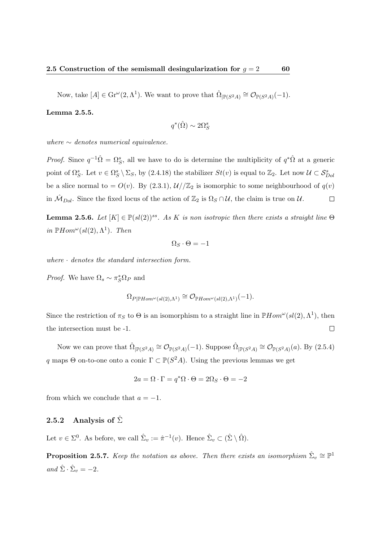Now, take  $[A] \in \mathrm{Gr}^{\omega}(2, \Lambda^1)$ . We want to prove that  $\hat{\Omega}_{|\mathbb{P}(S^2A)} \cong \mathcal{O}_{\mathbb{P}(S^2A)}(-1)$ .

### Lemma 2.5.5.

$$
q^*(\hat{\Omega}) \sim 2\Omega_S^s
$$

where  $\sim$  denotes numerical equivalence.

*Proof.* Since  $q^{-1}\hat{\Omega} = \Omega_S^s$ , all we have to do is determine the multiplicity of  $q^*\hat{\Omega}$  at a generic point of  $\Omega_S^s$ . Let  $v \in \Omega_S^s \setminus \Sigma_S$ , by  $(2.4.18)$  the stabilizer  $St(v)$  is equal to  $\mathbb{Z}_2$ . Let now  $\mathcal{U} \subset \mathcal{S}_{Dol}^s$ be a slice normal to =  $O(v)$ . By (2.3.1),  $\mathcal{U}/\mathbb{Z}_2$  is isomorphic to some neighbourhood of  $q(v)$ in  $\mathcal{M}_{Dol}$ . Since the fixed locus of the action of  $\mathbb{Z}_2$  is  $\Omega_S \cap \mathcal{U}$ , the claim is true on  $\mathcal{U}$ .  $\Box$ 

**Lemma 2.5.6.** Let  $[K] \in \mathbb{P}(sl(2))^{ss}$ . As K is non isotropic then there exists a straight line  $\Theta$ in  $\mathbb{P}Hom^{\omega}(sl(2), \Lambda^1)$ . Then

$$
\Omega_S\cdot\Theta=-1
$$

where  $\cdot$  denotes the standard intersection form.

*Proof.* We have  $\Omega_s \sim \pi_S^* \Omega_P$  and

$$
\Omega_{P|\mathbb{P}Hom^{\omega}(sl(2),\Lambda^1)} \cong \mathcal{O}_{\mathbb{P}Hom^{\omega}(sl(2),\Lambda^1)}(-1).
$$

Since the restriction of  $\pi_S$  to  $\Theta$  is an isomorphism to a straight line in  $\mathbb{P}Hom^{\omega}(sl(2),\Lambda^1)$ , then  $\Box$ the intersection must be -1.

Now we can prove that  $\hat{\Omega}_{|\mathbb{P}(S^2A)} \cong \mathcal{O}_{\mathbb{P}(S^2A)}(-1)$ . Suppose  $\hat{\Omega}_{|\mathbb{P}(S^2A)} \cong \mathcal{O}_{\mathbb{P}(S^2A)}(a)$ . By  $(2.5.4)$ q maps  $\Theta$  on-to-one onto a conic  $\Gamma \subset \mathbb{P}(S^2A)$ . Using the previous lemmas we get

$$
2a = \Omega \cdot \Gamma = q^* \Omega \cdot \Theta = 2\Omega_S \cdot \Theta = -2
$$

from which we conclude that  $a = -1$ .

### 2.5.2 Analysis of  $\hat{\Sigma}$

Let  $v \in \Sigma^0$ . As before, we call  $\hat{\Sigma}_v := \hat{\pi}^{-1}(v)$ . Hence  $\hat{\Sigma}_v \subset (\hat{\Sigma} \setminus \hat{\Omega})$ .

**Proposition 2.5.7.** Keep the notation as above. Then there exists an isomorphism  $\hat{\Sigma}_v \cong \mathbb{P}^1$ and  $\hat{\Sigma} \cdot \hat{\Sigma}_v = -2$ .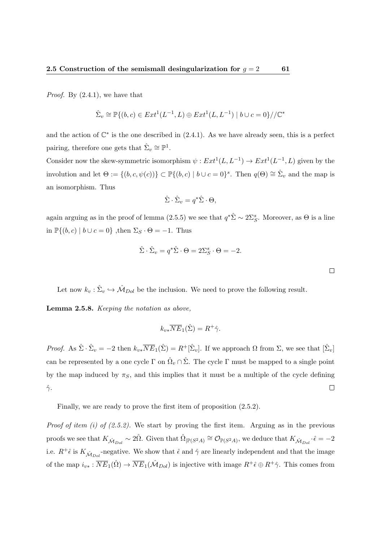*Proof.* By  $(2.4.1)$ , we have that

$$
\hat{\Sigma}_v \cong \mathbb{P}\{(b,c) \in Ext^1(L^{-1}, L) \oplus Ext^1(L, L^{-1}) \mid b \cup c = 0\}/\!/\mathbb{C}^*
$$

and the action of  $\mathbb{C}^*$  is the one described in (2.4.1). As we have already seen, this is a perfect pairing, therefore one gets that  $\hat{\Sigma}_v \cong \mathbb{P}^1$ .

Consider now the skew-symmetric isomorphism  $\psi : Ext^1(L, L^{-1}) \to Ext^1(L^{-1}, L)$  given by the involution and let  $\Theta := \{(b, c, \psi(c))\} \subset \mathbb{P}\{(b, c) \mid b \cup c = 0\}^s$ . Then  $q(\Theta) \cong \hat{\Sigma}_v$  and the map is an isomorphism. Thus

$$
\hat{\Sigma} \cdot \hat{\Sigma}_v = q^* \hat{\Sigma} \cdot \Theta,
$$

again arguing as in the proof of lemma (2.5.5) we see that  $q^*\hat{\Sigma} \sim 2\Sigma_S^s$ . Moreover, as  $\Theta$  is a line in  $\mathbb{P}\{(b, c) \mid b \cup c = 0\}$ , then  $\Sigma_S \cdot \Theta = -1$ . Thus

$$
\hat{\Sigma} \cdot \hat{\Sigma}_v = q^* \hat{\Sigma} \cdot \Theta = 2\Sigma_S^s \cdot \Theta = -2.
$$

Let now  $k_v : \hat{\Sigma}_v \hookrightarrow \hat{\mathcal{M}}_{Dol}$  be the inclusion. We need to prove the following result.

Lemma 2.5.8. Keeping the notation as above,

$$
k_{v*}\overline{NE}_1(\hat{\Sigma}) = R^+ \hat{\gamma}.
$$

Proof. As  $\hat{\Sigma} \cdot \hat{\Sigma}_v = -2$  then  $k_{v*} \overline{NE}_1(\hat{\Sigma}) = R^{\dagger}[\hat{\Sigma}_v]$ . If we approach  $\Omega$  from  $\Sigma$ , we see that  $[\hat{\Sigma}_v]$ can be represented by a one cycle  $\Gamma$  on  $\hat{\Omega}_v \cap \hat{\Sigma}$ . The cycle  $\Gamma$  must be mapped to a single point by the map induced by  $\pi_S$ , and this implies that it must be a multiple of the cycle defining  $\hat{\gamma}$ .  $\Box$ 

Finally, we are ready to prove the first item of proposition (2.5.2).

*Proof of item (i) of (2.5.2)*. We start by proving the first item. Arguing as in the previous proofs we see that  $K_{\hat{\mathcal{M}}_{Dol}} \sim 2\hat{\Omega}$ . Given that  $\hat{\Omega}_{|\mathbb{P}(S^2A)} \cong \mathcal{O}_{\mathbb{P}(S^2A)}$ , we deduce that  $K_{\hat{\mathcal{M}}_{Dol}} \cdot \hat{\epsilon} = -2$ i.e.  $R^+\hat{\epsilon}$  is  $K_{\hat{\mathcal{M}}_{Dol}}$ -negative. We show that  $\hat{\epsilon}$  and  $\hat{\gamma}$  are linearly independent and that the image of the map  $i_{v*} : \overline{NE}_1(\hat{\Omega}) \to \overline{NE}_1(\hat{\mathcal{M}}_{Dol})$  is injective with image  $R^+ \hat{\epsilon} \oplus R^+ \hat{\gamma}$ . This comes from

 $\Box$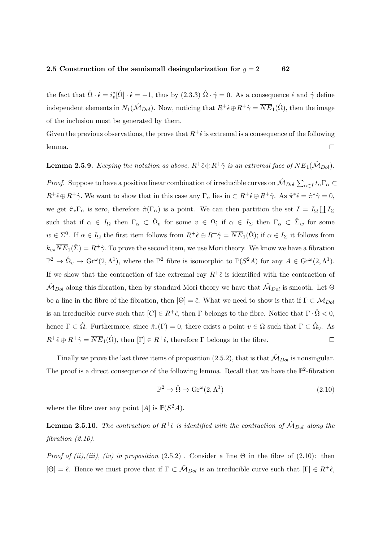the fact that  $\hat{\Omega} \cdot \hat{\epsilon} = i_v^* [\hat{\Omega}] \cdot \hat{\epsilon} = -1$ , thus by  $(2.3.3) \hat{\Omega} \cdot \hat{\gamma} = 0$ . As a consequence  $\hat{\epsilon}$  and  $\hat{\gamma}$  define independent elements in  $N_1(\hat{\mathcal{M}}_{Dol})$ . Now, noticing that  $R^+\hat{\epsilon} \oplus R^+\hat{\gamma} = \overline{NE}_1(\hat{\Omega})$ , then the image of the inclusion must be generated by them.

Given the previous observations, the prove that  $R^+ \hat{\epsilon}$  is extremal is a consequence of the following lemma.  $\Box$ 

**Lemma 2.5.9.** Keeping the notation as above,  $R^+ \hat{\epsilon} \oplus R^+ \hat{\gamma}$  is an extremal face of  $\overline{NE}_1(\hat{\mathcal{M}}_{Dol})$ .

*Proof.* Suppose to have a positive linear combination of irreducible curves on  $\hat{M}_{Dol}\sum_{\alpha\in I}t_\alpha\Gamma_\alpha\subset$  $R^+\hat{\epsilon}\oplus R^+\hat{\gamma}$ . We want to show that in this case any  $\Gamma_\alpha$  lies in  $\subset R^+\hat{\epsilon}\oplus R^+\hat{\gamma}$ . As  $\hat{\pi}^*\hat{\epsilon}=\hat{\pi}^*\hat{\gamma}=0$ , we get  $\hat{\pi}_{*}\Gamma_{\alpha}$  is zero, therefore  $\hat{\pi}(\Gamma_{\alpha})$  is a point. We can then partition the set  $I = I_{\Omega} \coprod I_{\Sigma}$ such that if  $\alpha \in I_{\Omega}$  then  $\Gamma_{\alpha} \subset \hat{\Omega}_{v}$  for some  $v \in \Omega$ ; if  $\alpha \in I_{\Sigma}$  then  $\Gamma_{\alpha} \subset \hat{\Sigma}_{w}$  for some  $w \in \Sigma^0$ . If  $\alpha \in I_\Omega$  the first item follows from  $R^+ \hat{\epsilon} \oplus R^+ \hat{\gamma} = \overline{NE}_1(\hat{\Omega})$ ; if  $\alpha \in I_\Sigma$  it follows from  $k_{v*}\overline{NE}_1(\hat{\Sigma}) = R^+\hat{\gamma}$ . To prove the second item, we use Mori theory. We know we have a fibration  $\mathbb{P}^2 \to \hat{\Omega}_v \to \text{Gr}^{\omega}(2, \Lambda^1)$ , where the  $\mathbb{P}^2$  fibre is isomorphic to  $\mathbb{P}(S^2A)$  for any  $A \in \text{Gr}^{\omega}(2, \Lambda^1)$ . If we show that the contraction of the extremal ray  $R^+\hat{\epsilon}$  is identified with the contraction of  $\hat{M}_{Dol}$  along this fibration, then by standard Mori theory we have that  $\hat{M}_{Dol}$  is smooth. Let  $\Theta$ be a line in the fibre of the fibration, then  $[\Theta] = \hat{\epsilon}$ . What we need to show is that if  $\Gamma \subset \mathcal{M}_{Dol}$ is an irreducible curve such that  $[C] \in R^+ \hat{\epsilon}$ , then  $\Gamma$  belongs to the fibre. Notice that  $\Gamma \cdot \hat{\Omega} < 0$ , hence  $\Gamma \subset \hat{\Omega}$ . Furthermore, since  $\hat{\pi}_*(\Gamma) = 0$ , there exists a point  $v \in \Omega$  such that  $\Gamma \subset \hat{\Omega}_v$ . As  $R^+\hat{\epsilon} \oplus R^+\hat{\gamma} = \overline{NE}_1(\hat{\Omega})$ , then  $[\Gamma] \in R^+\hat{\epsilon}$ , therefore  $\Gamma$  belongs to the fibre.  $\Box$ 

Finally we prove the last three items of proposition (2.5.2), that is that  $\tilde{M}_{Dol}$  is nonsingular. The proof is a direct consequence of the following lemma. Recall that we have the  $\mathbb{P}^2$ -fibration

$$
\mathbb{P}^2 \to \hat{\Omega} \to \text{Gr}^{\omega}(2, \Lambda^1)
$$
\n(2.10)

where the fibre over any point  $[A]$  is  $\mathbb{P}(S^2A)$ .

**Lemma 2.5.10.** The contraction of  $R^+ \hat{\epsilon}$  is identified with the contraction of  $\hat{\mathcal{M}}_{Dol}$  along the fibration  $(2.10)$ .

*Proof of (ii),(iii), (iv) in proposition*  $(2.5.2)$ . Consider a line  $\Theta$  in the fibre of  $(2.10)$ : then  $[\Theta] = \hat{\epsilon}$ . Hence we must prove that if  $\Gamma \subset \tilde{M}_{Dol}$  is an irreducible curve such that  $[\Gamma] \in R^+ \hat{\epsilon}$ ,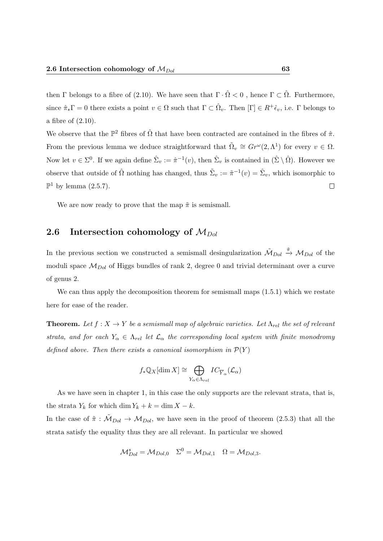then Γ belongs to a fibre of (2.10). We have seen that  $\Gamma \cdot \hat{\Omega} < 0$ , hence  $\Gamma \subset \hat{\Omega}$ . Furthermore, since  $\hat{\pi}_{*}\Gamma = 0$  there exists a point  $v \in \Omega$  such that  $\Gamma \subset \hat{\Omega}_{v}$ . Then  $[\Gamma] \in R^{+}\hat{\epsilon}_{v}$ , i.e.  $\Gamma$  belongs to a fibre of (2.10).

We observe that the  $\mathbb{P}^2$  fibres of  $\hat{\Omega}$  that have been contracted are contained in the fibres of  $\hat{\pi}$ . From the previous lemma we deduce straightforward that  $\tilde{\Omega}_v \cong Gr^{\omega}(2, \Lambda^1)$  for every  $v \in \Omega$ . Now let  $v \in \Sigma^0$ . If we again define  $\hat{\Sigma}_v := \hat{\pi}^{-1}(v)$ , then  $\hat{\Sigma}_v$  is contained in  $(\hat{\Sigma} \setminus \hat{\Omega})$ . However we observe that outside of  $\hat{\Omega}$  nothing has changed, thus  $\tilde{\Sigma}_v := \tilde{\pi}^{-1}(v) = \hat{\Sigma}_v$ , which isomorphic to  $\mathbb{P}^1$  by lemma (2.5.7).  $\Box$ 

We are now ready to prove that the map  $\tilde{\pi}$  is semismall.

## 2.6 Intersection cohomology of  $M_{Dol}$

In the previous section we constructed a semismall desingularization  $\tilde{M}_{Dol} \stackrel{\tilde{\pi}}{\rightarrow} M_{Dol}$  of the moduli space  $\mathcal{M}_{Dol}$  of Higgs bundles of rank 2, degree 0 and trivial determinant over a curve of genus 2.

We can thus apply the decomposition theorem for semismall maps  $(1.5.1)$  which we restate here for ease of the reader.

**Theorem.** Let  $f : X \to Y$  be a semismall map of algebraic varieties. Let  $\Lambda_{rel}$  the set of relevant strata, and for each  $Y_{\alpha} \in \Lambda_{rel}$  let  $\mathcal{L}_{\alpha}$  the corresponding local system with finite monodromy defined above. Then there exists a canonical isomorphism in  $\mathcal{P}(Y)$ 

$$
f_*\mathbb{Q}_X[\dim X] \cong \bigoplus_{Y_\alpha \in \Lambda_{rel}} IC_{\overline{Y}_\alpha}(\mathcal{L}_\alpha)
$$

As we have seen in chapter 1, in this case the only supports are the relevant strata, that is, the strata  $Y_k$  for which dim  $Y_k + k = \dim X - k$ .

In the case of  $\tilde{\pi}: \tilde{M}_{Dol} \to M_{Dol}$ , we have seen in the proof of theorem (2.5.3) that all the strata satisfy the equality thus they are all relevant. In particular we showed

$$
\mathcal{M}_{Dol}^s = \mathcal{M}_{Dol,0} \quad \Sigma^0 = \mathcal{M}_{Dol,1} \quad \Omega = \mathcal{M}_{Dol,3}.
$$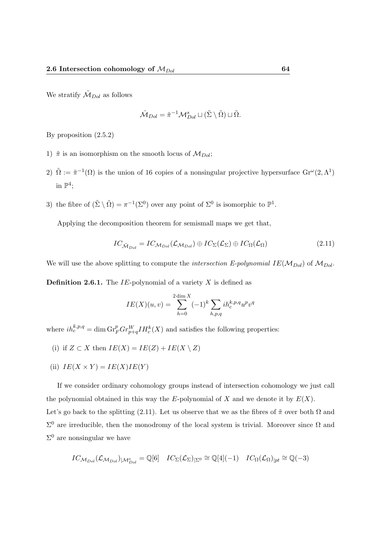We stratify  $\tilde{\mathcal{M}}_{Dol}$  as follows

$$
\hat{\mathcal{M}}_{Dol} = \tilde{\pi}^{-1} \mathcal{M}_{Dol}^s \sqcup (\tilde{\Sigma} \setminus \tilde{\Omega}) \sqcup \tilde{\Omega}.
$$

By proposition (2.5.2)

- 1)  $\tilde{\pi}$  is an isomorphism on the smooth locus of  $M_{Dol}$ ;
- 2)  $\tilde{\Omega} := \tilde{\pi}^{-1}(\Omega)$  is the union of 16 copies of a nonsingular projective hypersurface  $\text{Gr}^{\omega}(2, \Lambda^1)$ in  $\mathbb{P}^4$ ;
- 3) the fibre of  $(\tilde{\Sigma} \setminus \tilde{\Omega}) = \pi^{-1}(\Sigma^0)$  over any point of  $\Sigma^0$  is isomorphic to  $\mathbb{P}^1$ .

Applying the decomposition theorem for semismall maps we get that,

$$
IC_{\tilde{M}_{Dol}} = IC_{M_{Dol}}(\mathcal{L}_{M_{Dol}}) \oplus IC_{\Sigma}(\mathcal{L}_{\Sigma}) \oplus IC_{\Omega}(\mathcal{L}_{\Omega})
$$
\n(2.11)

We will use the above splitting to compute the *intersection E-polynomial*  $IE(\mathcal{M}_{Dol})$  of  $\mathcal{M}_{Dol}$ .

**Definition 2.6.1.** The IE-polynomial of a variety X is defined as

$$
IE(X)(u, v) = \sum_{h=0}^{2 \dim X} (-1)^k \sum_{h, p, q} ih_c^{k, p, q} u^p v^q
$$

where  $ih_c^{k,p,q} = \dim \mathrm{Gr}_F^p Gr_{p+q}^W IH_c^k(X)$  and satisfies the following properties:

- (i) if  $Z \subset X$  then  $IE(X) = IE(Z) + IE(X \setminus Z)$
- (ii)  $IE(X \times Y) = IE(X)IE(Y)$

If we consider ordinary cohomology groups instead of intersection cohomology we just call the polynomial obtained in this way the E-polynomial of X and we denote it by  $E(X)$ . Let's go back to the splitting (2.11). Let us observe that we as the fibres of  $\tilde{\pi}$  over both  $\Omega$  and  $\Sigma^0$  are irreducible, then the monodromy of the local system is trivial. Moreover since Ω and  $\Sigma^0$  are nonsingular we have

$$
IC_{\mathcal{M}_{Dol}}(\mathcal{L}_{\mathcal{M}_{Dol}})_{|\mathcal{M}_{Dol}^s} = \mathbb{Q}[6] \quad IC_{\Sigma}(\mathcal{L}_{\Sigma})_{|\Sigma^0} \cong \mathbb{Q}[4](-1) \quad IC_{\Omega}(\mathcal{L}_{\Omega})_{|pt} \cong \mathbb{Q}(-3)
$$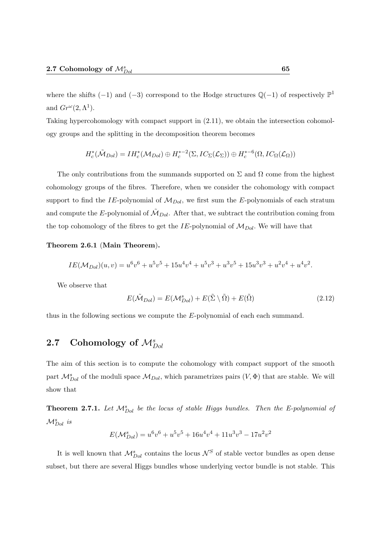where the shifts  $(-1)$  and  $(-3)$  correspond to the Hodge structures  $\mathbb{Q}(-1)$  of respectively  $\mathbb{P}^1$ and  $Gr^{\omega}(2,\Lambda^1)$ .

Taking hypercohomology with compact support in (2.11), we obtain the intersection cohomology groups and the splitting in the decomposition theorem becomes

$$
H_c^*(\tilde{M}_{Dol}) = IH_c^*(\mathcal{M}_{Dol}) \oplus H_c^{*-2}(\Sigma, IC_{\Sigma}(\mathcal{L}_{\Sigma})) \oplus H_c^{*-6}(\Omega, IC_{\Omega}(\mathcal{L}_{\Omega}))
$$

The only contributions from the summands supported on  $\Sigma$  and  $\Omega$  come from the highest cohomology groups of the fibres. Therefore, when we consider the cohomology with compact support to find the IE-polynomial of  $\mathcal{M}_{Dol}$ , we first sum the E-polynomials of each stratum and compute the E-polynomial of  $\tilde{M}_{Dol}$ . After that, we subtract the contribution coming from the top cohomology of the fibres to get the IE-polynomial of  $\mathcal{M}_{Dol}$ . We will have that

### Theorem 2.6.1 (Main Theorem).

$$
IE(\mathcal{M}_{Dol})(u,v) = u^6v^6 + u^5v^5 + 15u^4v^4 + u^5v^3 + u^3v^5 + 15u^3v^3 + u^2v^4 + u^4v^2.
$$

We observe that

$$
E(\tilde{\mathcal{M}}_{Dol}) = E(\mathcal{M}_{Dol}^s) + E(\tilde{\Sigma} \setminus \tilde{\Omega}) + E(\tilde{\Omega})
$$
\n(2.12)

thus in the following sections we compute the E-polynomial of each each summand.

# 2.7 Cohomology of  $\mathcal{M}_{Dol}^s$

The aim of this section is to compute the cohomology with compact support of the smooth part  $\mathcal{M}_{Dol}^{s}$  of the moduli space  $\mathcal{M}_{Dol}$ , which parametrizes pairs  $(V, \Phi)$  that are stable. We will show that

**Theorem 2.7.1.** Let  $\mathcal{M}_{Dol}^s$  be the locus of stable Higgs bundles. Then the E-polynomial of  $\mathcal{M}_{Dol}^s$  is

$$
E(\mathcal{M}_{Dol}^s) = u^6v^6 + u^5v^5 + 16u^4v^4 + 11u^3v^3 - 17u^2v^2
$$

It is well known that  $\mathcal{M}_{Dol}^s$  contains the locus  $\mathcal{N}^S$  of stable vector bundles as open dense subset, but there are several Higgs bundles whose underlying vector bundle is not stable. This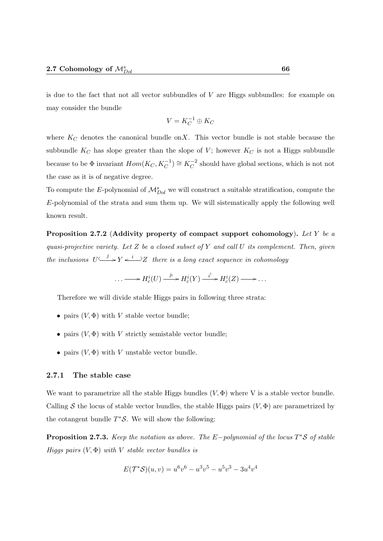is due to the fact that not all vector subbundles of  $V$  are Higgs subbundles: for example on may consider the bundle

$$
V = K_C^{-1} \oplus K_C
$$

where  $K_C$  denotes the canonical bundle on X. This vector bundle is not stable because the subbundle  $K_C$  has slope greater than the slope of V; however  $K_C$  is not a Higgs subbundle because to be  $\Phi$  invariant  $Hom(K_C, K_C^{-1}) \cong K_C^{-2}$  should have global sections, which is not not the case as it is of negative degree.

To compute the E-polynomial of  $\mathcal{M}_{Dol}^{s}$  we will construct a suitable stratification, compute the  $E$ -polynomial of the strata and sum them up. We will sistematically apply the following well known result.

Proposition 2.7.2 (Addivity property of compact support cohomology). Let Y be a quasi-projective variety. Let  $Z$  be a closed subset of  $Y$  and call  $U$  its complement. Then, given the inclusions  $U \longrightarrow Y \longleftarrow i \longrightarrow Z$  there is a long exact sequence in cohomology

$$
\ldots \longrightarrow H_c^i(U) \xrightarrow{j_!} H_c^i(Y) \xrightarrow{i^!} H_c^i(Z) \longrightarrow \ldots
$$

Therefore we will divide stable Higgs pairs in following three strata:

- pairs  $(V, \Phi)$  with V stable vector bundle;
- pairs  $(V, \Phi)$  with V strictly semistable vector bundle;
- pairs  $(V, \Phi)$  with V unstable vector bundle.

### 2.7.1 The stable case

We want to parametrize all the stable Higgs bundles  $(V, \Phi)$  where V is a stable vector bundle. Calling S the locus of stable vector bundles, the stable Higgs pairs  $(V, \Phi)$  are parametrized by the cotangent bundle  $T^{\ast}S$ . We will show the following:

**Proposition 2.7.3.** Keep the notation as above. The  $E$ -polynomial of the locus T\*S of stable Higgs pairs  $(V, \Phi)$  with V stable vector bundles is

$$
E(\mathcal{T}^*\mathcal{S})(u,v) = u^6v^6 - u^3v^5 - u^5v^3 - 3u^4v^4
$$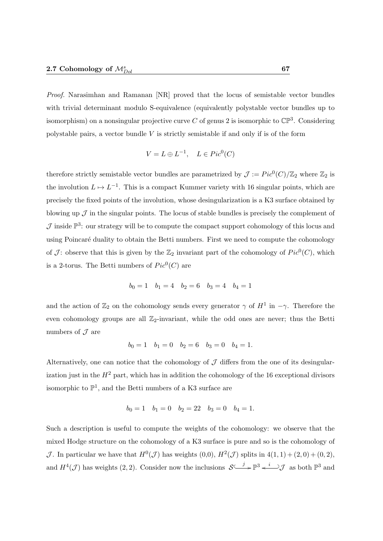Proof. Narasimhan and Ramanan [NR] proved that the locus of semistable vector bundles with trivial determinant modulo S-equivalence (equivalently polystable vector bundles up to isomorphism) on a nonsingular projective curve C of genus 2 is isomorphic to  $\mathbb{CP}^3$ . Considering polystable pairs, a vector bundle  $V$  is strictly semistable if and only if is of the form

$$
V = L \oplus L^{-1}, \quad L \in Pic^0(C)
$$

therefore strictly semistable vector bundles are parametrized by  $\mathcal{J} := Pic^0(C)/\mathbb{Z}_2$  where  $\mathbb{Z}_2$  is the involution  $L \mapsto L^{-1}$ . This is a compact Kummer variety with 16 singular points, which are precisely the fixed points of the involution, whose desingularization is a K3 surface obtained by blowing up  $\mathcal J$  in the singular points. The locus of stable bundles is precisely the complement of  $\mathcal J$  inside  $\mathbb P^3$ : our strategy will be to compute the compact support cohomology of this locus and using Poincaré duality to obtain the Betti numbers. First we need to compute the cohomology of  $\mathcal{J}$ : observe that this is given by the  $\mathbb{Z}_2$  invariant part of the cohomology of  $Pic^0(C)$ , which is a 2-torus. The Betti numbers of  $Pic^0(C)$  are

$$
b_0 = 1 \quad b_1 = 4 \quad b_2 = 6 \quad b_3 = 4 \quad b_4 = 1
$$

and the action of  $\mathbb{Z}_2$  on the cohomology sends every generator  $\gamma$  of  $H^1$  in  $-\gamma$ . Therefore the even cohomology groups are all  $\mathbb{Z}_2$ -invariant, while the odd ones are never; thus the Betti numbers of  $\mathcal J$  are

$$
b_0 = 1 \quad b_1 = 0 \quad b_2 = 6 \quad b_3 = 0 \quad b_4 = 1.
$$

Alternatively, one can notice that the cohomology of  $J$  differs from the one of its desingularization just in the  $H^2$  part, which has in addition the cohomology of the 16 exceptional divisors isomorphic to  $\mathbb{P}^1$ , and the Betti numbers of a K3 surface are

$$
b_0 = 1
$$
  $b_1 = 0$   $b_2 = 22$   $b_3 = 0$   $b_4 = 1$ .

Such a description is useful to compute the weights of the cohomology: we observe that the mixed Hodge structure on the cohomology of a K3 surface is pure and so is the cohomology of J. In particular we have that  $H^0(\mathcal{J})$  has weights  $(0,0), H^2(\mathcal{J})$  splits in  $4(1,1) + (2,0) + (0,2)$ , and  $H^4(\mathcal{J})$  has weights (2, 2). Consider now the inclusions  $\mathcal{S} \longrightarrow \mathbb{P}^3 \longrightarrow \mathbb{P}^3 \longrightarrow \mathbb{P}^3$  as both  $\mathbb{P}^3$  and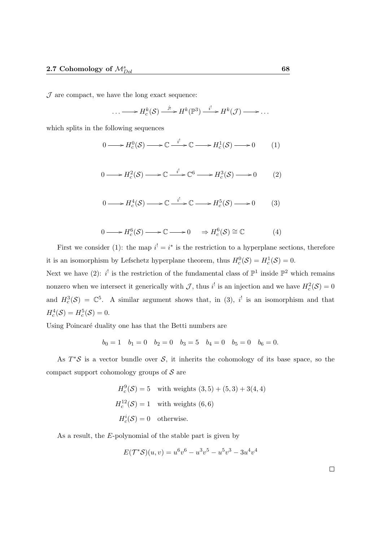$J$  are compact, we have the long exact sequence:

$$
\ldots \longrightarrow H_c^k(\mathcal{S}) \xrightarrow{j_!} H^k(\mathbb{P}^3) \xrightarrow{i^!} H^k(\mathcal{J}) \longrightarrow \ldots
$$

which splits in the following sequences

$$
0 \longrightarrow H_c^0(\mathcal{S}) \longrightarrow \mathbb{C} \xrightarrow{i^!} \mathbb{C} \longrightarrow H_c^1(\mathcal{S}) \longrightarrow 0 \tag{1}
$$

$$
0 \longrightarrow H_c^2(\mathcal{S}) \longrightarrow \mathbb{C} \xrightarrow{i'} \mathbb{C}^6 \longrightarrow H_c^3(\mathcal{S}) \longrightarrow 0 \tag{2}
$$

$$
0 \longrightarrow H_c^4(\mathcal{S}) \longrightarrow \mathbb{C} \xrightarrow{i^!} \mathbb{C} \longrightarrow H_c^5(\mathcal{S}) \longrightarrow 0 \tag{3}
$$

$$
0 \longrightarrow H_c^6(\mathcal{S}) \longrightarrow \mathbb{C} \longrightarrow 0 \quad \Rightarrow H_c^6(\mathcal{S}) \cong \mathbb{C} \tag{4}
$$

First we consider (1): the map  $i^! = i^*$  is the restriction to a hyperplane sections, therefore it is an isomorphism by Lefschetz hyperplane theorem, thus  $H_c^0(\mathcal{S}) = H_c^1(\mathcal{S}) = 0$ . Next we have (2):  $i^!$  is the restriction of the fundamental class of  $\mathbb{P}^1$  inside  $\mathbb{P}^2$  which remains nonzero when we intersect it generically with  $\mathcal{J}$ , thus i<sup>!</sup> is an injection and we have  $H_c^2(\mathcal{S}) = 0$ 

and  $H_c^3(\mathcal{S}) = \mathbb{C}^5$ . A similar argument shows that, in (3), i<sup>1</sup> is an isomorphism and that  $H_c^4(\mathcal{S}) = H_c^5(\mathcal{S}) = 0.$ 

Using Poincaré duality one has that the Betti numbers are

$$
b_0 = 1
$$
  $b_1 = 0$   $b_2 = 0$   $b_3 = 5$   $b_4 = 0$   $b_5 = 0$   $b_6 = 0$ .

As  $T^*S$  is a vector bundle over S, it inherits the cohomology of its base space, so the compact support cohomology groups of  $S$  are

$$
H_c^9(\mathcal{S}) = 5 \quad \text{with weights } (3,5) + (5,3) + 3(4,4)
$$
\n
$$
H_c^{12}(\mathcal{S}) = 1 \quad \text{with weights } (6,6)
$$
\n
$$
H_c^i(\mathcal{S}) = 0 \quad \text{otherwise.}
$$

As a result, the E-polynomial of the stable part is given by

$$
E(\mathcal{T}^*\mathcal{S})(u,v) = u^6v^6 - u^3v^5 - u^5v^3 - 3u^4v^4
$$

 $\Box$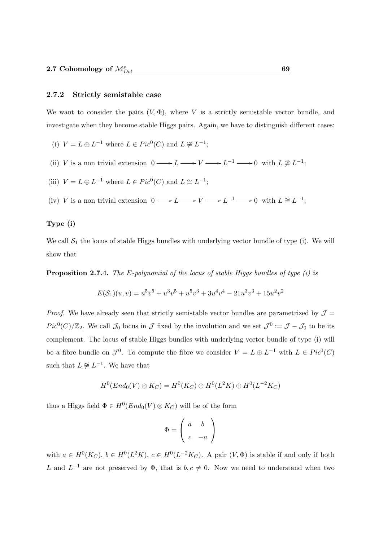### 2.7.2 Strictly semistable case

We want to consider the pairs  $(V, \Phi)$ , where V is a strictly semistable vector bundle, and investigate when they become stable Higgs pairs. Again, we have to distinguish different cases:

- (i)  $V = L \oplus L^{-1}$  where  $L \in Pic^0(C)$  and  $L \not\cong L^{-1}$ ;
- (ii) V is a non trivial extension  $0 \longrightarrow L \longrightarrow V \longrightarrow L^{-1} \longrightarrow 0$  with  $L \not\cong L^{-1}$ ;
- (iii)  $V = L \oplus L^{-1}$  where  $L \in Pic^0(C)$  and  $L \cong L^{-1}$ ;
- (iv) V is a non trivial extension  $0 \longrightarrow L \longrightarrow V \longrightarrow L^{-1} \longrightarrow 0$  with  $L \cong L^{-1}$ ;

### Type (i)

We call  $S_1$  the locus of stable Higgs bundles with underlying vector bundle of type (i). We will show that

**Proposition 2.7.4.** The E-polynomial of the locus of stable Higgs bundles of type  $(i)$  is

$$
E(\mathcal{S}_1)(u,v) = u^5v^5 + u^3v^5 + u^5v^3 + 3u^4v^4 - 21u^3v^3 + 15u^2v^2
$$

*Proof.* We have already seen that strictly semistable vector bundles are parametrized by  $\mathcal{J} =$  $Pic^0(C)/\mathbb{Z}_2$ . We call  $\mathcal{J}_0$  locus in  $\mathcal J$  fixed by the involution and we set  $\mathcal{J}^0 := \mathcal{J} - \mathcal{J}_0$  to be its complement. The locus of stable Higgs bundles with underlying vector bundle of type (i) will be a fibre bundle on  $\mathcal{J}^0$ . To compute the fibre we consider  $V = L \oplus L^{-1}$  with  $L \in Pic^0(C)$ such that  $L \not\cong L^{-1}$ . We have that

$$
H^0(End_0(V) \otimes K_C) = H^0(K_C) \oplus H^0(L^2K) \oplus H^0(L^{-2}K_C)
$$

thus a Higgs field  $\Phi \in H^0(End_0(V) \otimes K_C)$  will be of the form

$$
\Phi = \left(\begin{array}{cc} a & b \\ c & -a \end{array}\right)
$$

with  $a \in H^0(K_C)$ ,  $b \in H^0(L^2K)$ ,  $c \in H^0(L^{-2}K_C)$ . A pair  $(V, \Phi)$  is stable if and only if both L and  $L^{-1}$  are not preserved by  $\Phi$ , that is  $b, c \neq 0$ . Now we need to understand when two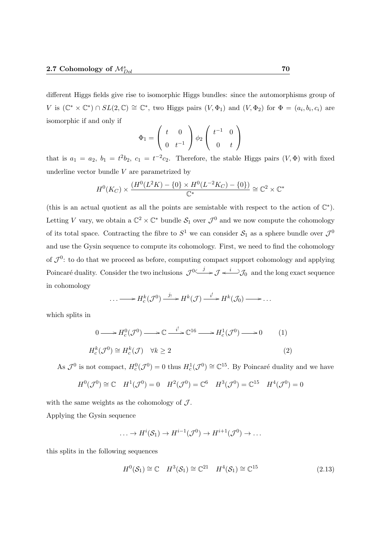different Higgs fields give rise to isomorphic Higgs bundles: since the automorphisms group of V is  $(\mathbb{C}^* \times \mathbb{C}^*) \cap SL(2,\mathbb{C}) \cong \mathbb{C}^*$ , two Higgs pairs  $(V, \Phi_1)$  and  $(V, \Phi_2)$  for  $\Phi = (a_i, b_i, c_i)$  are isomorphic if and only if

$$
\Phi_1 = \left(\begin{array}{cc} t & 0 \\ 0 & t^{-1} \end{array}\right) \phi_2 \left(\begin{array}{cc} t^{-1} & 0 \\ 0 & t \end{array}\right)
$$

that is  $a_1 = a_2$ ,  $b_1 = t^2b_2$ ,  $c_1 = t^{-2}c_2$ . Therefore, the stable Higgs pairs  $(V, \Phi)$  with fixed underline vector bundle  $V$  are parametrized by

$$
H^{0}(K_{C}) \times \frac{(H^{0}(L^{2}K) - \{0\} \times H^{0}(L^{-2}K_{C}) - \{0\})}{\mathbb{C}^{*}} \cong \mathbb{C}^{2} \times \mathbb{C}^{*}
$$

(this is an actual quotient as all the points are semistable with respect to the action of  $\mathbb{C}^*$ ). Letting V vary, we obtain a  $\mathbb{C}^2 \times \mathbb{C}^*$  bundle  $S_1$  over  $\mathcal{J}^0$  and we now compute the cohomology of its total space. Contracting the fibre to  $S^1$  we can consider  $S_1$  as a sphere bundle over  $\mathcal{J}^0$ and use the Gysin sequence to compute its cohomology. First, we need to find the cohomology of  $\mathcal{J}^0$ : to do that we proceed as before, computing compact support cohomology and applying Poincaré duality. Consider the two inclusions  $\mathcal{J}^{0} \longrightarrow \mathcal{J} \longrightarrow \mathcal{J}_{0}$  and the long exact sequence in cohomology

$$
\ldots \longrightarrow H_c^k(\mathcal{J}^0) \xrightarrow{j_!} H^k(\mathcal{J}) \xrightarrow{i^!} H^k(\mathcal{J}_0) \longrightarrow \ldots
$$

which splits in

$$
0 \longrightarrow H_c^0(\mathcal{J}^0) \longrightarrow \mathbb{C} \xrightarrow{i'} \mathbb{C}^{16} \longrightarrow H_c^1(\mathcal{J}^0) \longrightarrow 0 \qquad (1)
$$
  

$$
H_c^k(\mathcal{J}^0) \cong H_c^k(\mathcal{J}) \quad \forall k \ge 2 \qquad (2)
$$

As  $\mathcal{J}^0$  is not compact,  $H_c^0(\mathcal{J}^0) = 0$  thus  $H_c^1(\mathcal{J}^0) \cong \mathbb{C}^{15}$ . By Poincaré duality and we have

$$
H^0(\mathcal{J}^0) \cong \mathbb{C} \quad H^1(\mathcal{J}^0) = 0 \quad H^2(\mathcal{J}^0) = \mathbb{C}^6 \quad H^3(\mathcal{J}^0) = \mathbb{C}^{15} \quad H^4(\mathcal{J}^0) = 0
$$

with the same weights as the cohomology of  $J$ . Applying the Gysin sequence

$$
\ldots \to H^{i}(\mathcal{S}_1) \to H^{i-1}(\mathcal{J}^0) \to H^{i+1}(\mathcal{J}^0) \to \ldots
$$

this splits in the following sequences

$$
H^{0}(\mathcal{S}_{1}) \cong \mathbb{C} \quad H^{3}(\mathcal{S}_{1}) \cong \mathbb{C}^{21} \quad H^{4}(\mathcal{S}_{1}) \cong \mathbb{C}^{15} \tag{2.13}
$$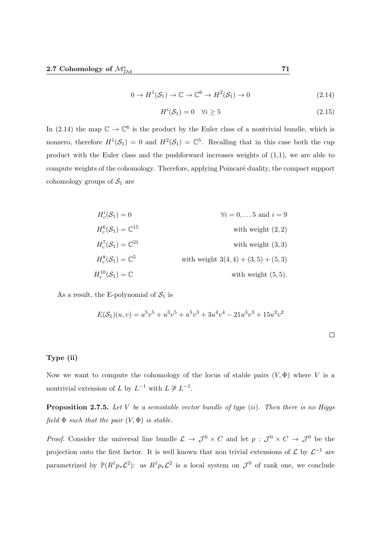$$
0 \to H^1(\mathcal{S}_1) \to \mathbb{C} \to \mathbb{C}^6 \to H^2(\mathcal{S}_1) \to 0 \tag{2.14}
$$

$$
H^i(\mathcal{S}_1) = 0 \quad \forall i \ge 5 \tag{2.15}
$$

In (2.14) the map  $\mathbb{C} \to \mathbb{C}^6$  is the product by the Euler class of a nontrivial bundle, which is nonzero, therefore  $H^1(\mathcal{S}_1) = 0$  and  $H^2(\mathcal{S}_1) = \mathbb{C}^5$ . Recalling that in this case both the cup product with the Euler class and the pushforward increases weights of (1,1), we are able to compute weights of the cohomology. Therefore, applying Poincaré duality, the compact support cohomology groups of  $S_1$  are

$$
H_c^i(\mathcal{S}_1) = 0 \qquad \forall i = 0, \dots 5 \text{ and } i = 9
$$
  
\n
$$
H_c^6(\mathcal{S}_1) = \mathbb{C}^{15} \qquad \text{with weight } (2, 2)
$$
  
\n
$$
H_c^7(\mathcal{S}_1) = \mathbb{C}^{21} \qquad \text{with weight } (3, 3)
$$
  
\n
$$
H_c^{10}(\mathcal{S}_1) = \mathbb{C}^5 \qquad \text{with weight } 3(4, 4) + (3, 5) + (5, 3)
$$
  
\n
$$
H_c^{10}(\mathcal{S}_1) = \mathbb{C} \qquad \text{with weight } (5, 5).
$$

As a result, the E-polynomial of  $S_1$  is

$$
E(S_1)(u, v) = u^5v^5 + u^3v^5 + u^5v^3 + 3u^4v^4 - 21u^3v^3 + 15u^2v^2
$$

### Type (ii)

Now we want to compute the cohomology of the locus of stable pairs  $(V, \Phi)$  where V is a nontrivial extension of L by  $L^{-1}$  with  $L \not\cong L^{-1}$ .

**Proposition 2.7.5.** Let V be a semistable vector bundle of type  $(ii)$ . Then there is no Higgs field  $\Phi$  such that the pair  $(V, \Phi)$  is stable.

*Proof.* Consider the universal line bundle  $\mathcal{L} \to \mathcal{J}^0 \times C$  and let  $p : \mathcal{J}^0 \times C \to \mathcal{J}^0$  be the projection onto the first factor. It is well known that non trivial extensions of  $\mathcal{L}$  by  $\mathcal{L}^{-1}$  are parametrized by  $\mathbb{P}(R^1p_*\mathcal{L}^2)$ : as  $R^1p_*\mathcal{L}^2$  is a local system on  $\mathcal{J}^0$  of rank one, we conclude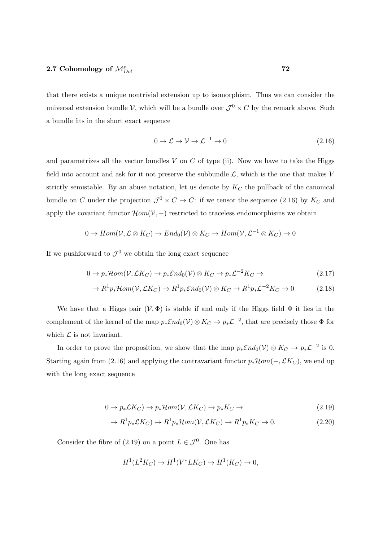that there exists a unique nontrivial extension up to isomorphism. Thus we can consider the universal extension bundle V, which will be a bundle over  $\mathcal{J}^0 \times C$  by the remark above. Such a bundle fits in the short exact sequence

$$
0 \to \mathcal{L} \to \mathcal{V} \to \mathcal{L}^{-1} \to 0 \tag{2.16}
$$

and parametrizes all the vector bundles  $V$  on  $C$  of type (ii). Now we have to take the Higgs field into account and ask for it not preserve the subbundle  $\mathcal{L}$ , which is the one that makes V strictly semistable. By an abuse notation, let us denote by  $K_C$  the pullback of the canonical bundle on C under the projection  $\mathcal{J}^0 \times C \to C$ : if we tensor the sequence (2.16) by  $K_C$  and apply the covariant functor  $\mathcal{H}om(\mathcal{V},-)$  restricted to traceless endomorphisms we obtain

$$
0 \to Hom(\mathcal{V}, \mathcal{L} \otimes K_C) \to End_0(\mathcal{V}) \otimes K_C \to Hom(\mathcal{V}, \mathcal{L}^{-1} \otimes K_C) \to 0
$$

If we pushforward to  $\mathcal{J}^0$  we obtain the long exact sequence

$$
0 \to p_*\mathcal{H}om(\mathcal{V}, \mathcal{L}K_C) \to p_*\mathcal{E}nd_0(\mathcal{V}) \otimes K_C \to p_*\mathcal{L}^{-2}K_C \to \tag{2.17}
$$

$$
\to R^1 p_* \mathcal{H}om(\mathcal{V}, \mathcal{L}K_C) \to R^1 p_* \mathcal{E}nd_0(\mathcal{V}) \otimes K_C \to R^1 p_* \mathcal{L}^{-2} K_C \to 0 \tag{2.18}
$$

We have that a Higgs pair  $(V, \Phi)$  is stable if and only if the Higgs field  $\Phi$  it lies in the complement of the kernel of the map  $p_*\mathcal{E}nd_0(\mathcal{V})\otimes K_C\to p_*\mathcal{L}^{-2}$ , that are precisely those  $\Phi$  for which  $\mathcal L$  is not invariant.

In order to prove the proposition, we show that the map  $p_*\mathcal{E}nd_0(\mathcal{V})\otimes K_C\to p_*\mathcal{L}^{-2}$  is 0. Starting again from (2.16) and applying the contravariant functor  $p_*\mathcal{H}om(-,\mathcal{L}K_C)$ , we end up with the long exact sequence

$$
0 \to p_*\mathcal{L}K_C) \to p_*\mathcal{H}om(\mathcal{V}, \mathcal{L}K_C) \to p_*K_C \to
$$
\n(2.19)

$$
\to R^1 p_* \mathcal{L} K_C) \to R^1 p_* \mathcal{H}om(\mathcal{V}, \mathcal{L} K_C) \to R^1 p_* K_C \to 0. \tag{2.20}
$$

Consider the fibre of (2.19) on a point  $L \in \mathcal{J}^0$ . One has

$$
H1(L2KC) \to H1(V*LKC) \to H1(KC) \to 0,
$$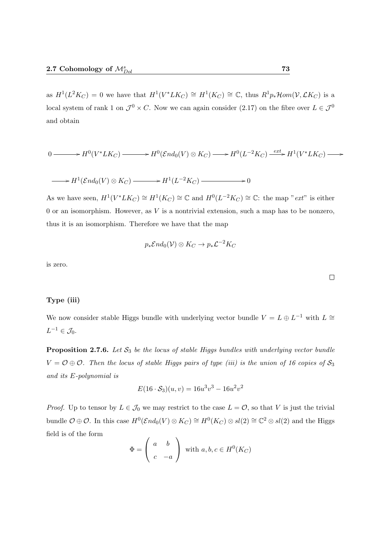as  $H^1(L^2 K_C) = 0$  we have that  $H^1(V^* L K_C) \cong H^1(K_C) \cong \mathbb{C}$ , thus  $R^1 p_* \mathcal{H} om(\mathcal{V}, \mathcal{L} K_C)$  is a local system of rank 1 on  $\mathcal{J}^0 \times C$ . Now we can again consider (2.17) on the fibre over  $L \in \mathcal{J}^0$ and obtain

$$
0 \longrightarrow H^0(V^*LK_C) \longrightarrow H^0(\mathcal{E}nd_0(V)\otimes K_C) \longrightarrow H^0(L^{-2}K_C) \xrightarrow{ext} H^1(V^*LK_C) \longrightarrow
$$

$$
\longrightarrow H^1(\mathcal{E}nd_0(V)\otimes K_C) \longrightarrow H^1(L^{-2}K_C) \longrightarrow 0
$$

As we have seen,  $H^1(V^*LK_C) \cong H^1(K_C) \cong \mathbb{C}$  and  $H^0(L^{-2}K_C) \cong \mathbb{C}$ : the map "*ext*" is either  $0$  or an isomorphism. However, as  $V$  is a nontrivial extension, such a map has to be nonzero, thus it is an isomorphism. Therefore we have that the map

$$
p_*\mathcal{E} nd_0(\mathcal{V}) \otimes K_C \to p_*\mathcal{L}^{-2}K_C
$$

is zero.

#### Type (iii)

We now consider stable Higgs bundle with underlying vector bundle  $V = L \oplus L^{-1}$  with  $L \cong$  $L^{-1} \in \mathcal{J}_0.$ 

**Proposition 2.7.6.** Let  $S_3$  be the locus of stable Higgs bundles with underlying vector bundle  $V = \mathcal{O} \oplus \mathcal{O}$ . Then the locus of stable Higgs pairs of type (iii) is the union of 16 copies of  $\mathcal{S}_3$ and its E-polynomial is

$$
E(16 \cdot S_3)(u, v) = 16u^3v^3 - 16u^2v^2
$$

*Proof.* Up to tensor by  $L \in \mathcal{J}_0$  we may restrict to the case  $L = \mathcal{O}$ , so that V is just the trivial bundle  $\mathcal{O} \oplus \mathcal{O}$ . In this case  $H^0(\mathcal{E}nd_0(V) \otimes K_C) \cong H^0(K_C) \otimes sl(2) \cong \mathbb{C}^2 \otimes sl(2)$  and the Higgs field is of the form

$$
\Phi = \begin{pmatrix} a & b \\ c & -a \end{pmatrix} \text{ with } a, b, c \in H^0(K_C)
$$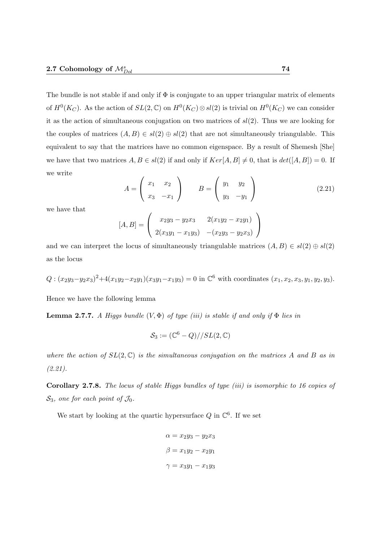The bundle is not stable if and only if  $\Phi$  is conjugate to an upper triangular matrix of elements of  $H^0(K_C)$ . As the action of  $SL(2,\mathbb{C})$  on  $H^0(K_C) \otimes sl(2)$  is trivial on  $H^0(K_C)$  we can consider it as the action of simultaneous conjugation on two matrices of  $sl(2)$ . Thus we are looking for the couples of matrices  $(A, B) \in sl(2) \oplus sl(2)$  that are not simultaneously triangulable. This equivalent to say that the matrices have no common eigenspace. By a result of Shemesh [She] we have that two matrices  $A, B \in sl(2)$  if and only if  $Ker[A, B] \neq 0$ , that is  $det([A, B]) = 0$ . If we write

$$
A = \begin{pmatrix} x_1 & x_2 \\ x_3 & -x_1 \end{pmatrix} \qquad B = \begin{pmatrix} y_1 & y_2 \\ y_3 & -y_1 \end{pmatrix} \tag{2.21}
$$

we have that

$$
[A, B] = \begin{pmatrix} x_2y_3 - y_2x_3 & 2(x_1y_2 - x_2y_1) \\ 2(x_3y_1 - x_1y_3) & -(x_2y_3 - y_2x_3) \end{pmatrix}
$$

and we can interpret the locus of simultaneously triangulable matrices  $(A, B) \in sl(2) \oplus sl(2)$ as the locus

$$
Q: (x_2y_3 - y_2x_3)^2 + 4(x_1y_2 - x_2y_1)(x_3y_1 - x_1y_3) = 0
$$
 in  $\mathbb{C}^6$  with coordinates  $(x_1, x_2, x_3, y_1, y_2, y_3)$ .

Hence we have the following lemma

**Lemma 2.7.7.** A Higgs bundle  $(V, \Phi)$  of type (iii) is stable if and only if  $\Phi$  lies in

$$
\mathcal{S}_3 := (\mathbb{C}^6 - Q) // SL(2, \mathbb{C})
$$

where the action of  $SL(2,\mathbb{C})$  is the simultaneous conjugation on the matrices A and B as in  $(2.21)$ .

Corollary 2.7.8. The locus of stable Higgs bundles of type (iii) is isomorphic to 16 copies of  $S_3$ , one for each point of  $\mathcal{J}_0$ .

We start by looking at the quartic hypersurface  $Q$  in  $\mathbb{C}^6$ . If we set

$$
\alpha = x_2y_3 - y_2x_3
$$

$$
\beta = x_1y_2 - x_2y_1
$$

$$
\gamma = x_3y_1 - x_1y_3
$$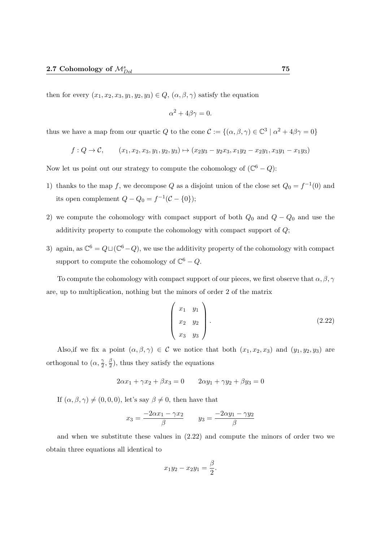then for every  $(x_1, x_2, x_3, y_1, y_2, y_3) \in Q$ ,  $(\alpha, \beta, \gamma)$  satisfy the equation

$$
\alpha^2 + 4\beta\gamma = 0.
$$

thus we have a map from our quartic Q to the cone  $\mathcal{C} := \{(\alpha, \beta, \gamma) \in \mathbb{C}^3 \mid \alpha^2 + 4\beta\gamma = 0\}$ 

$$
f: Q \to C
$$
,  $(x_1, x_2, x_3, y_1, y_2, y_3) \mapsto (x_2y_3 - y_2x_3, x_1y_2 - x_2y_1, x_3y_1 - x_1y_3)$ 

Now let us point out our strategy to compute the cohomology of  $(\mathbb{C}^6 - Q)$ :

- 1) thanks to the map f, we decompose Q as a disjoint union of the close set  $Q_0 = f^{-1}(0)$  and its open complement  $Q - Q_0 = f^{-1}(\mathcal{C} - \{0\});$
- 2) we compute the cohomology with compact support of both  $Q_0$  and  $Q Q_0$  and use the additivity property to compute the cohomology with compact support of Q;
- 3) again, as  $\mathbb{C}^6 = Q \sqcup (\mathbb{C}^6 Q)$ , we use the additivity property of the cohomology with compact support to compute the cohomology of  $\mathbb{C}^6 - Q$ .

To compute the cohomology with compact support of our pieces, we first observe that  $\alpha, \beta, \gamma$ are, up to multiplication, nothing but the minors of order 2 of the matrix

$$
\begin{pmatrix} x_1 & y_1 \\ x_2 & y_2 \\ x_3 & y_3 \end{pmatrix}.
$$
 (2.22)

Also, if we fix a point  $(\alpha, \beta, \gamma) \in \mathcal{C}$  we notice that both  $(x_1, x_2, x_3)$  and  $(y_1, y_2, y_3)$  are orthogonal to  $(\alpha, \frac{\gamma}{2})$  $\frac{\gamma}{2}, \frac{\beta}{2}$  $(\frac{\beta}{2})$ , thus they satisfy the equations

$$
2\alpha x_1 + \gamma x_2 + \beta x_3 = 0 \qquad 2\alpha y_1 + \gamma y_2 + \beta y_3 = 0
$$

If  $(\alpha, \beta, \gamma) \neq (0, 0, 0)$ , let's say  $\beta \neq 0$ , then have that

$$
x_3 = \frac{-2\alpha x_1 - \gamma x_2}{\beta} \qquad y_3 = \frac{-2\alpha y_1 - \gamma y_2}{\beta}
$$

and when we substitute these values in (2.22) and compute the minors of order two we obtain three equations all identical to

$$
x_1y_2 - x_2y_1 = \frac{\beta}{2}.
$$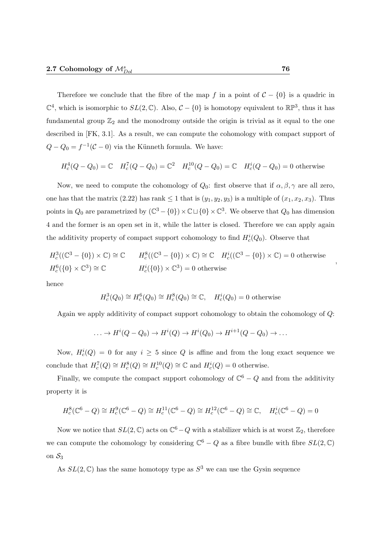Therefore we conclude that the fibre of the map f in a point of  $C - \{0\}$  is a quadric in  $\mathbb{C}^4$ , which is isomorphic to  $SL(2,\mathbb{C})$ . Also,  $\mathcal{C} - \{0\}$  is homotopy equivalent to  $\mathbb{RP}^3$ , thus it has fundamental group  $\mathbb{Z}_2$  and the monodromy outside the origin is trivial as it equal to the one described in [FK, 3.1]. As a result, we can compute the cohomology with compact support of  $Q - Q_0 = f^{-1}(C - 0)$  via the Künneth formula. We have:

$$
H_c^4(Q - Q_0) = \mathbb{C} \quad H_c^7(Q - Q_0) = \mathbb{C}^2 \quad H_c^{10}(Q - Q_0) = \mathbb{C} \quad H_c^4(Q - Q_0) = 0 \text{ otherwise}
$$

Now, we need to compute the cohomology of  $Q_0$ : first observe that if  $\alpha, \beta, \gamma$  are all zero, one has that the matrix (2.22) has rank  $\leq 1$  that is  $(y_1, y_2, y_3)$  is a multiple of  $(x_1, x_2, x_3)$ . Thus points in  $Q_0$  are parametrized by  $(\mathbb{C}^3 - \{0\}) \times \mathbb{C} \sqcup \{0\} \times \mathbb{C}^3$ . We observe that  $Q_0$  has dimension 4 and the former is an open set in it, while the latter is closed. Therefore we can apply again the additivity property of compact support cohomology to find  $H_c^i(Q_0)$ . Observe that

$$
H_c^3((\mathbb{C}^3 - \{0\}) \times \mathbb{C}) \cong \mathbb{C} \qquad H_c^8((\mathbb{C}^3 - \{0\}) \times \mathbb{C}) \cong \mathbb{C} \qquad H_c^i((\mathbb{C}^3 - \{0\}) \times \mathbb{C}) = 0 \text{ otherwise}
$$
  

$$
H_c^6(\{0\} \times \mathbb{C}^3) \cong \mathbb{C} \qquad H_c^i(\{0\}) \times \mathbb{C}^3 = 0 \text{ otherwise}
$$

hence

$$
H_c^3(Q_0) \cong H_c^6(Q_0) \cong H_c^8(Q_0) \cong \mathbb{C}, \quad H_c^i(Q_0) = 0 \text{ otherwise}
$$

Again we apply additivity of compact support cohomology to obtain the cohomology of Q:

$$
\ldots \to H^i(Q - Q_0) \to H^i(Q) \to H^i(Q_0) \to H^{i+1}(Q - Q_0) \to \ldots
$$

Now,  $H_c^i(Q) = 0$  for any  $i \geq 5$  since Q is affine and from the long exact sequence we conclude that  $H_c^7(Q) \cong H_c^8(Q) \cong H_c^{10}(Q) \cong \mathbb{C}$  and  $H_c^i(Q) = 0$  otherwise.

Finally, we compute the compact support cohomology of  $\mathbb{C}^6 - Q$  and from the additivity property it is

$$
H_c^8(\mathbb{C}^6 - Q) \cong H_c^9(\mathbb{C}^6 - Q) \cong H_c^{11}(\mathbb{C}^6 - Q) \cong H_c^{12}(\mathbb{C}^6 - Q) \cong \mathbb{C}, \quad H_c^i(\mathbb{C}^6 - Q) = 0
$$

Now we notice that  $SL(2,\mathbb{C})$  acts on  $\mathbb{C}^6-Q$  with a stabilizer which is at worst  $\mathbb{Z}_2$ , therefore we can compute the cohomology by considering  $\mathbb{C}^6 - Q$  as a fibre bundle with fibre  $SL(2,\mathbb{C})$ on  $S_3$ 

As  $SL(2,\mathbb{C})$  has the same homotopy type as  $S^3$  we can use the Gysin sequence

,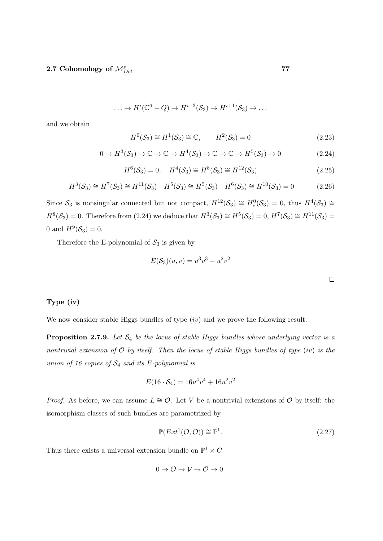$$
\ldots \to H^{i}(\mathbb{C}^{6}-Q) \to H^{i-3}(\mathcal{S}_3) \to H^{i+1}(\mathcal{S}_3) \to \ldots
$$

and we obtain

$$
H^{0}(\mathcal{S}_{3}) \cong H^{1}(\mathcal{S}_{3}) \cong \mathbb{C}, \qquad H^{2}(\mathcal{S}_{3}) = 0 \tag{2.23}
$$

$$
0 \to H^3(\mathcal{S}_3) \to \mathbb{C} \to \mathbb{C} \to H^4(\mathcal{S}_3) \to \mathbb{C} \to \mathbb{C} \to H^5(\mathcal{S}_3) \to 0
$$
\n(2.24)

$$
H^{6}(\mathcal{S}_{3}) = 0, \quad H^{4}(\mathcal{S}_{3}) \cong H^{8}(\mathcal{S}_{3}) \cong H^{12}(\mathcal{S}_{3}) \tag{2.25}
$$

$$
H^3(\mathcal{S}_3) \cong H^7(\mathcal{S}_3) \cong H^{11}(\mathcal{S}_3) \quad H^5(\mathcal{S}_3) \cong H^5(\mathcal{S}_3) \quad H^6(\mathcal{S}_3) \cong H^{10}(\mathcal{S}_3) = 0 \tag{2.26}
$$

Since  $S_3$  is nonsingular connected but not compact,  $H^{12}(\mathcal{S}_3) \cong H_c^0(\mathcal{S}_3) = 0$ , thus  $H^4(\mathcal{S}_3) \cong$  $H^{8}(\mathcal{S}_3) = 0$ . Therefore from (2.24) we deduce that  $H^{3}(\mathcal{S}_3) \cong H^{5}(\mathcal{S}_3) = 0$ ,  $H^{7}(\mathcal{S}_3) \cong H^{11}(\mathcal{S}_3) = 0$ 0 and  $H^9(\mathcal{S}_3) = 0$ .

Therefore the E-polynomial of  $S_3$  is given by

$$
E(S_3)(u, v) = u3v3 - u2v2
$$

### Type (iv)

We now consider stable Higgs bundles of type  $(iv)$  and we prove the following result.

**Proposition 2.7.9.** Let  $S_4$  be the locus of stable Higgs bundles whose underlying vector is a nontrivial extension of  $O$  by itself. Then the locus of stable Higgs bundles of type (iv) is the union of 16 copies of  $S_4$  and its E-polynomial is

$$
E(16 \cdot S_4) = 16u^4v^4 + 16u^2v^2
$$

*Proof.* As before, we can assume  $L \cong \mathcal{O}$ . Let V be a nontrivial extensions of  $\mathcal{O}$  by itself: the isomorphism classes of such bundles are parametrized by

$$
\mathbb{P}(Ext^1(\mathcal{O}, \mathcal{O})) \cong \mathbb{P}^1. \tag{2.27}
$$

Thus there exists a universal extension bundle on  $\mathbb{P}^1 \times C$ 

$$
0 \to \mathcal{O} \to \mathcal{V} \to \mathcal{O} \to 0.
$$

 $\Box$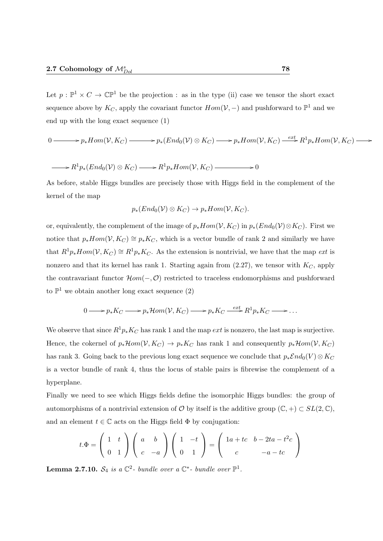Let  $p: \mathbb{P}^1 \times C \to \mathbb{C} \mathbb{P}^1$  be the projection : as in the type (ii) case we tensor the short exact sequence above by  $K_C$ , apply the covariant functor  $Hom(\mathcal{V}, -)$  and pushforward to  $\mathbb{P}^1$  and we end up with the long exact sequence (1)

$$
0 \longrightarrow p_* Hom(V, K_C) \longrightarrow p_* (End_0(V) \otimes K_C) \longrightarrow p_* Hom(V, K_C) \stackrel{ext}{\longrightarrow} R^1 p_* Hom(V, K_C) \longrightarrow
$$

$$
\longrightarrow R^1p_*(End_0(\mathcal{V}) \otimes K_C) \longrightarrow R^1p_*Hom(\mathcal{V}, K_C) \longrightarrow 0
$$

As before, stable Higgs bundles are precisely those with Higgs field in the complement of the kernel of the map

$$
p_*(End_0(\mathcal{V}) \otimes K_C) \to p_* Hom(\mathcal{V}, K_C).
$$

or, equivalently, the complement of the image of  $p_*Hom(V, K_C)$  in  $p_*(End_0(V)\otimes K_C)$ . First we notice that  $p_*Hom(V, K_C) \cong p_*K_C$ , which is a vector bundle of rank 2 and similarly we have that  $R^1p_*Hom(V, K_C) \cong R^1p_*K_C$ . As the extension is nontrivial, we have that the map *ext* is nonzero and that its kernel has rank 1. Starting again from  $(2.27)$ , we tensor with  $K_C$ , apply the contravariant functor  $\mathcal{H}om(-, \mathcal{O})$  restricted to traceless endomorphisms and pushforward to  $\mathbb{P}^1$  we obtain another long exact sequence (2)

$$
0 \longrightarrow p_* K_C \longrightarrow p_* \mathcal{H}om(\mathcal{V}, K_C) \longrightarrow p_* K_C \stackrel{ext}{\longrightarrow} R^1 p_* K_C \longrightarrow \dots
$$

We observe that since  $R^1p_*K_C$  has rank 1 and the map ext is nonzero, the last map is surjective. Hence, the cokernel of  $p_*\mathcal{H}om(\mathcal{V}, K_C) \to p_*K_C$  has rank 1 and consequently  $p_*\mathcal{H}om(\mathcal{V}, K_C)$ has rank 3. Going back to the previous long exact sequence we conclude that  $p_*\mathcal{E}nd_0(V) \otimes K_C$ is a vector bundle of rank 4, thus the locus of stable pairs is fibrewise the complement of a hyperplane.

Finally we need to see which Higgs fields define the isomorphic Higgs bundles: the group of automorphisms of a nontrivial extension of  $\mathcal O$  by itself is the additive group  $(\mathbb C, +) \subset SL(2, \mathbb C)$ , and an element  $t \in \mathbb{C}$  acts on the Higgs field  $\Phi$  by conjugation:

$$
t.\Phi = \begin{pmatrix} 1 & t \\ 0 & 1 \end{pmatrix} \begin{pmatrix} a & b \\ c & -a \end{pmatrix} \begin{pmatrix} 1 & -t \\ 0 & 1 \end{pmatrix} = \begin{pmatrix} 1a + tc & b - 2ta - t^2c \\ c & -a - tc \end{pmatrix}
$$

**Lemma 2.7.10.**  $S_4$  is a  $\mathbb{C}^2$ - bundle over a  $\mathbb{C}^*$ - bundle over  $\mathbb{P}^1$ .

/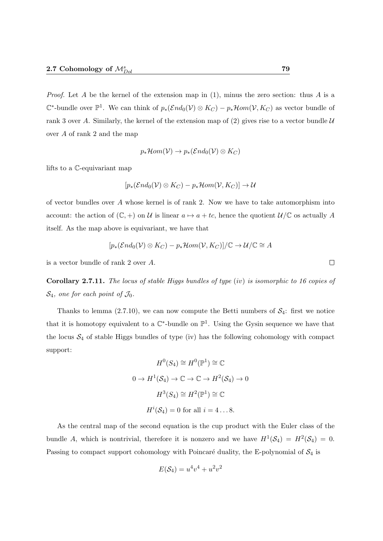*Proof.* Let A be the kernel of the extension map in  $(1)$ , minus the zero section: thus A is a  $\mathbb{C}^*$ -bundle over  $\mathbb{P}^1$ . We can think of  $p_*(\mathcal{E} nd_0(\mathcal{V}) \otimes K_C) - p_*\mathcal{H} om(\mathcal{V}, K_C)$  as vector bundle of rank 3 over A. Similarly, the kernel of the extension map of  $(2)$  gives rise to a vector bundle U over A of rank 2 and the map

$$
p_*\mathcal{H}om(\mathcal{V})\to p_*(\mathcal{E}nd_0(\mathcal{V})\otimes K_C)
$$

lifts to a C-equivariant map

$$
[p_*(\mathcal{E}nd_0(\mathcal{V}) \otimes K_C) - p_*\mathcal{H}om(\mathcal{V}, K_C)] \to \mathcal{U}
$$

of vector bundles over A whose kernel is of rank 2. Now we have to take automorphism into account: the action of  $(\mathbb{C}, +)$  on U is linear  $a \mapsto a + tc$ , hence the quotient  $\mathcal{U}/\mathbb{C}$  os actually A itself. As the map above is equivariant, we have that

$$
[p_*(\mathcal{E} nd_0(\mathcal{V}) \otimes K_C) - p_*\mathcal{H} om(\mathcal{V}, K_C)]/\mathbb{C} \to \mathcal{U}/\mathbb{C} \cong A
$$

is a vector bundle of rank 2 over A.

**Corollary 2.7.11.** The locus of stable Higgs bundles of type (iv) is isomorphic to 16 copies of  $\mathcal{S}_4$ , one for each point of  $\mathcal{J}_0$ .

Thanks to lemma (2.7.10), we can now compute the Betti numbers of  $S_4$ : first we notice that it is homotopy equivalent to a  $\mathbb{C}^*$ -bundle on  $\mathbb{P}^1$ . Using the Gysin sequence we have that the locus  $S_4$  of stable Higgs bundles of type (iv) has the following cohomology with compact support:

$$
H^{0}(S_{4}) \cong H^{0}(\mathbb{P}^{1}) \cong \mathbb{C}
$$
  

$$
0 \to H^{1}(S_{4}) \to \mathbb{C} \to \mathbb{C} \to H^{2}(S_{4}) \to 0
$$
  

$$
H^{3}(S_{4}) \cong H^{2}(\mathbb{P}^{1}) \cong \mathbb{C}
$$
  

$$
H^{i}(S_{4}) = 0 \text{ for all } i = 4...8.
$$

As the central map of the second equation is the cup product with the Euler class of the bundle A, which is nontrivial, therefore it is nonzero and we have  $H^1(\mathcal{S}_4) = H^2(\mathcal{S}_4) = 0$ . Passing to compact support cohomology with Poincaré duality, the E-polynomial of  $S_4$  is

$$
E(\mathcal{S}_4) = u^4v^4 + u^2v^2
$$

 $\Box$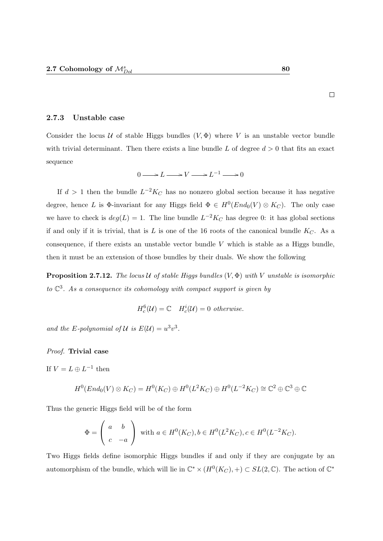2.7.3 Unstable case

Consider the locus U of stable Higgs bundles  $(V, \Phi)$  where V is an unstable vector bundle with trivial determinant. Then there exists a line bundle L of degree  $d > 0$  that fits an exact sequence

$$
0 \longrightarrow L \longrightarrow V \longrightarrow L^{-1} \longrightarrow 0
$$

If  $d > 1$  then the bundle  $L^{-2}K_C$  has no nonzero global section because it has negative degree, hence L is  $\Phi$ -invariant for any Higgs field  $\Phi \in H^0(End_0(V) \otimes K_C)$ . The only case we have to check is  $deg(L) = 1$ . The line bundle  $L^{-2}K_C$  has degree 0: it has global sections if and only if it is trivial, that is  $L$  is one of the 16 roots of the canonical bundle  $K_C$ . As a consequence, if there exists an unstable vector bundle  $V$  which is stable as a Higgs bundle, then it must be an extension of those bundles by their duals. We show the following

**Proposition 2.7.12.** The locus U of stable Higgs bundles  $(V, \Phi)$  with V unstable is isomorphic to  $\mathbb{C}^3$ . As a consequence its cohomology with compact support is given by

$$
H_c^6(\mathcal{U}) = \mathbb{C} \quad H_c^i(\mathcal{U}) = 0 \quad otherwise.
$$

and the E-polynomial of U is  $E(\mathcal{U}) = u^3v^3$ .

#### Proof. Trivial case

If  $V = L \oplus L^{-1}$  then

$$
H^0(End_0(V)\otimes K_C)=H^0(K_C)\oplus H^0(L^2K_C)\oplus H^0(L^{-2}K_C)\cong \mathbb{C}^2\oplus \mathbb{C}^3\oplus \mathbb{C}
$$

Thus the generic Higgs field will be of the form

$$
\Phi = \begin{pmatrix} a & b \\ c & -a \end{pmatrix} \text{ with } a \in H^0(K_C), b \in H^0(L^2K_C), c \in H^0(L^{-2}K_C).
$$

Two Higgs fields define isomorphic Higgs bundles if and only if they are conjugate by an automorphism of the bundle, which will lie in  $\mathbb{C}^* \times (H^0(K_C), +) \subset SL(2, \mathbb{C})$ . The action of  $\mathbb{C}^*$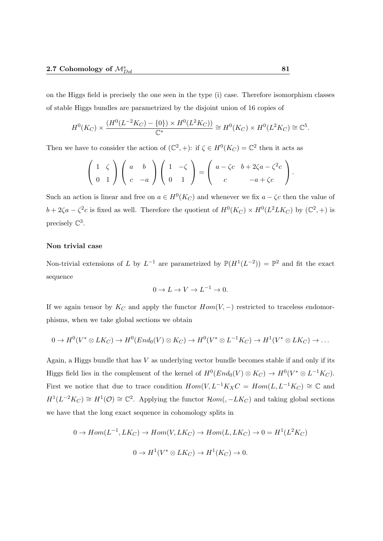on the Higgs field is precisely the one seen in the type (i) case. Therefore isomorphism classes of stable Higgs bundles are parametrized by the disjoint union of 16 copies of

$$
H^{0}(K_C) \times \frac{(H^{0}(L^{-2}K_C) - \{0\}) \times H^{0}(L^{2}K_C))}{\mathbb{C}^*} \cong H^{0}(K_C) \times H^{0}(L^{2}K_C) \cong \mathbb{C}^5.
$$

Then we have to consider the action of  $(\mathbb{C}^2, +)$ : if  $\zeta \in H^0(K_C) = \mathbb{C}^2$  then it acts as

$$
\left(\begin{array}{cc}1 & \zeta \\ 0 & 1\end{array}\right)\left(\begin{array}{cc}a & b \\ c & -a\end{array}\right)\left(\begin{array}{cc}1 & -\zeta \\ 0 & 1\end{array}\right)=\left(\begin{array}{cc}a-\zeta c & b+2\zeta a-\zeta^2 c \\ c & -a+\zeta c\end{array}\right).
$$

Such an action is linear and free on  $a \in H^0(K_C)$  and whenever we fix  $a - \zeta c$  then the value of  $b+2\zeta a-\zeta^2c$  is fixed as well. Therefore the quotient of  $H^0(K_C)\times H^0(L^2 L K_C)$  by  $(\mathbb{C}^2, +)$  is precisely  $\mathbb{C}^3$ .

#### Non trivial case

Non-trivial extensions of L by  $L^{-1}$  are parametrized by  $\mathbb{P}(H^1(L^{-2})) = \mathbb{P}^2$  and fit the exact sequence

$$
0 \to L \to V \to L^{-1} \to 0.
$$

If we again tensor by  $K_C$  and apply the functor  $Hom(V, -)$  restricted to traceless endomorphisms, when we take global sections we obtain

$$
0 \to H^0(V^* \otimes LK_C) \to H^0(End_0(V) \otimes K_C) \to H^0(V^* \otimes L^{-1}K_C) \to H^1(V^* \otimes LK_C) \to \dots
$$

Again, a Higgs bundle that has  $V$  as underlying vector bundle becomes stable if and only if its Higgs field lies in the complement of the kernel of  $H^0(End_0(V) \otimes K_C) \to H^0(V^* \otimes L^{-1}K_C)$ . First we notice that due to trace condition  $Hom(V, L^{-1}K_XC = Hom(L, L^{-1}K_C) \cong \mathbb{C}$  and  $H^1(L^{-2}K_C) \cong H^1(\mathcal{O}) \cong \mathbb{C}^2$ . Applying the functor  $\mathcal{H}om(-LK_C)$  and taking global sections we have that the long exact sequence in cohomology splits in

$$
0 \to Hom(L^{-1}, LK_C) \to Hom(V, LK_C) \to Hom(L, LK_C) \to 0 = H^1(L^2K_C)
$$
  

$$
0 \to H^1(V^* \otimes LK_C) \to H^1(K_C) \to 0.
$$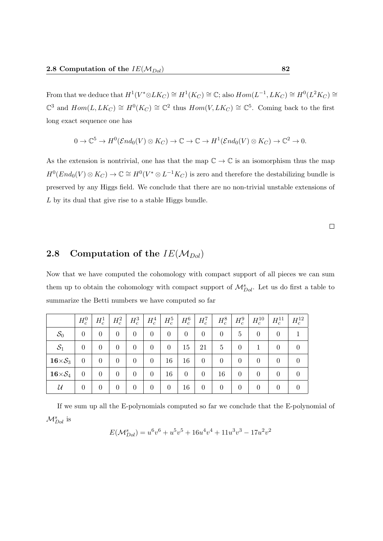From that we deduce that  $H^1(V^* \otimes LK_C) \cong H^1(K_C) \cong \mathbb{C}$ ; also  $Hom(L^{-1}, LK_C) \cong H^0(L^2K_C) \cong$  $\mathbb{C}^3$  and  $Hom(L, LK_C) \cong H^0(K_C) \cong \mathbb{C}^2$  thus  $Hom(V, LK_C) \cong \mathbb{C}^5$ . Coming back to the first long exact sequence one has

$$
0 \to \mathbb{C}^5 \to H^0(\mathcal{E}nd_0(V)\otimes K_C) \to \mathbb{C} \to \mathbb{C} \to H^1(\mathcal{E}nd_0(V)\otimes K_C) \to \mathbb{C}^2 \to 0.
$$

As the extension is nontrivial, one has that the map  $\mathbb{C} \to \mathbb{C}$  is an isomorphism thus the map  $H^0(End_0(V)\otimes K_C) \to \mathbb{C} \cong H^0(V^*\otimes L^{-1}K_C)$  is zero and therefore the destabilizing bundle is preserved by any Higgs field. We conclude that there are no non-trivial unstable extensions of L by its dual that give rise to a stable Higgs bundle.

 $\Box$ 

# 2.8 Computation of the  $IE(\mathcal{M}_{Dol})$

Now that we have computed the cohomology with compact support of all pieces we can sum them up to obtain the cohomology with compact support of  $\mathcal{M}_{Dol}^s$ . Let us do first a table to summarize the Betti numbers we have computed so far

|                           | $H_c^0$        | $H_c^1$        | $H_c^2$        | $H_c^3$        | $H_c^4$        | $H_c^5$        | $H_c^6$        | $H_c^7$        | $H_c^8$ .      | $H_c^9$        | $H_c^{10}$       | $\mid H^{11}_c \mid$ | $H_c^{12}$ |
|---------------------------|----------------|----------------|----------------|----------------|----------------|----------------|----------------|----------------|----------------|----------------|------------------|----------------------|------------|
| $\mathcal{S}_0$           | $\theta$       | $\theta$       | $\overline{0}$ | $\overline{0}$ | $\theta$       | $\overline{0}$ | $\overline{0}$ | $\overline{0}$ | $\overline{0}$ | 5              | 0                | $\overline{0}$       |            |
| $\mathcal{S}_1$           | $\theta$       | $\theta$       | $\theta$       | $\overline{0}$ | $\overline{0}$ | $\overline{0}$ | 15             | 21             | 5              | $\theta$       | 1                | $\overline{0}$       | $\theta$   |
| $16 \times S_3$           | $\overline{0}$ | $\overline{0}$ | $\overline{0}$ | $\overline{0}$ | $\overline{0}$ | 16             | 16             | $\overline{0}$ | $\overline{0}$ | $\overline{0}$ | $\theta$         | $\theta$             | $\theta$   |
| $16{\times}\mathcal{S}_4$ | $\overline{0}$ | $\overline{0}$ | $\overline{0}$ | $\overline{0}$ | $\overline{0}$ | 16             | $\overline{0}$ | $\overline{0}$ | 16             | $\overline{0}$ | $\theta$         | $\theta$             | $\theta$   |
| $\mathcal U$              | $\theta$       | $\overline{0}$ | $\overline{0}$ | $\overline{0}$ | $\overline{0}$ | $\overline{0}$ | 16             | $\overline{0}$ | $\overline{0}$ | $\overline{0}$ | $\boldsymbol{0}$ | $\theta$             |            |

If we sum up all the E-polynomials computed so far we conclude that the E-polynomial of  $\mathcal{M}_{Dol}^{s}$  is

$$
E(\mathcal{M}_{Dol}^s) = u^6v^6 + u^5v^5 + 16u^4v^4 + 11u^3v^3 - 17u^2v^2
$$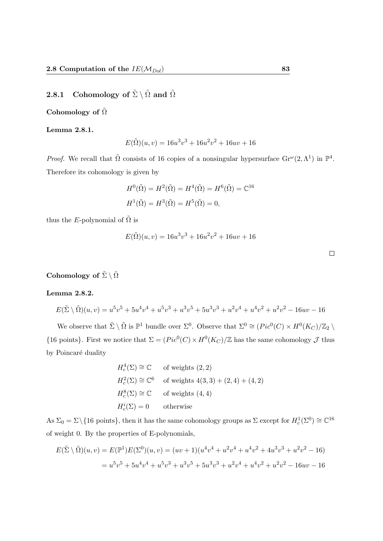# 2.8.1 Cohomology of  $\tilde{\Sigma} \setminus \tilde{\Omega}$  and  $\tilde{\Omega}$

#### Cohomology of  $\tilde{\Omega}$

Lemma 2.8.1.

$$
E(\tilde{\Omega})(u,v) = 16u^3v^3 + 16u^2v^2 + 16uv + 16
$$

*Proof.* We recall that  $\tilde{\Omega}$  consists of 16 copies of a nonsingular hypersurface  $\text{Gr}^{\omega}(2,\Lambda^1)$  in  $\mathbb{P}^4$ . Therefore its cohomology is given by

$$
H^0(\tilde{\Omega}) = H^2(\tilde{\Omega}) = H^4(\tilde{\Omega}) = H^6(\tilde{\Omega}) = \mathbb{C}^{16}
$$

$$
H^1(\tilde{\Omega}) = H^3(\tilde{\Omega}) = H^5(\tilde{\Omega}) = 0,
$$

thus the E-polynomial of  $\tilde{\Omega}$  is

$$
E(\tilde{\Omega})(u,v) = 16u^3v^3 + 16u^2v^2 + 16uv + 16
$$

| Cohomology of $\tilde{\Sigma}\setminus \tilde{\Omega}$ |  |  |
|--------------------------------------------------------|--|--|

#### Lemma 2.8.2.

$$
E(\tilde{\Sigma} \setminus \tilde{\Omega})(u, v) = u^5v^5 + 5u^4v^4 + u^5v^3 + u^3v^5 + 5u^3v^3 + u^2v^4 + u^4v^2 + u^2v^2 - 16uv - 16
$$

We observe that  $\tilde{\Sigma} \setminus \tilde{\Omega}$  is  $\mathbb{P}^1$  bundle over  $\Sigma^0$ . Observe that  $\Sigma^0 \cong (Pic^0(C) \times H^0(K_C)/\mathbb{Z}_2 \setminus$ {16 points}. First we notice that  $\Sigma = (Pic^0(C) \times H^0(K_C)/\mathbb{Z}$  has the same cohomology  $\mathcal J$  thus by Poincaré duality

$$
H_c^4(\Sigma) \cong \mathbb{C} \qquad \text{of weights } (2, 2)
$$
  
\n
$$
H_c^2(\Sigma) \cong \mathbb{C}^6 \qquad \text{of weights } 4(3, 3) + (2, 4) + (4, 2)
$$
  
\n
$$
H_c^8(\Sigma) \cong \mathbb{C} \qquad \text{of weights } (4, 4)
$$
  
\n
$$
H_c^i(\Sigma) = 0 \qquad \text{otherwise}
$$

As  $\Sigma_0 = \Sigma \setminus \{16 \text{ points}\}\$ , then it has the same cohomology groups as  $\Sigma$  except for  $H_c^1(\Sigma^0) \cong \mathbb{C}^{16}$ of weight 0. By the properties of E-polynomials,

$$
E(\tilde{\Sigma}\setminus\tilde{\Omega})(u,v) = E(\mathbb{P}^1)E(\Sigma^0)(u,v) = (uv+1)(u^4v^4 + u^2v^4 + u^4v^2 + 4u^3v^3 + u^2v^2 - 16)
$$
  
=  $u^5v^5 + 5u^4v^4 + u^5v^3 + u^3v^5 + 5u^3v^3 + u^2v^4 + u^4v^2 + u^2v^2 - 16uv - 16$ 

 $\Box$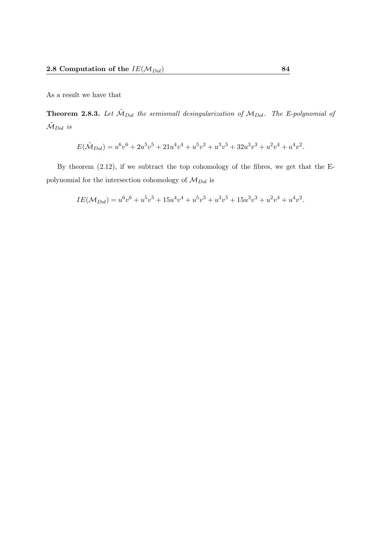As a result we have that

**Theorem 2.8.3.** Let  $\tilde{M}_{Dol}$  the semismall desingularization of  $M_{Dol}$ . The E-polynomial of  $\tilde{\mathcal{M}}_{Dol}$  is

$$
E(\tilde{\mathcal{M}}_{Dol}) = u^6v^6 + 2u^5v^5 + 21u^4v^4 + u^5v^3 + u^3v^5 + 32u^3v^3 + u^2v^4 + u^4v^2.
$$

By theorem (2.12), if we subtract the top cohomology of the fibres, we get that the Epolynomial for the intersection cohomology of  $\mathcal{M}_{Dol}$  is

$$
IE(\mathcal{M}_{Dol}) = u^6v^6 + u^5v^5 + 15u^4v^4 + u^5v^3 + u^3v^5 + 15u^3v^3 + u^2v^4 + u^4v^2.
$$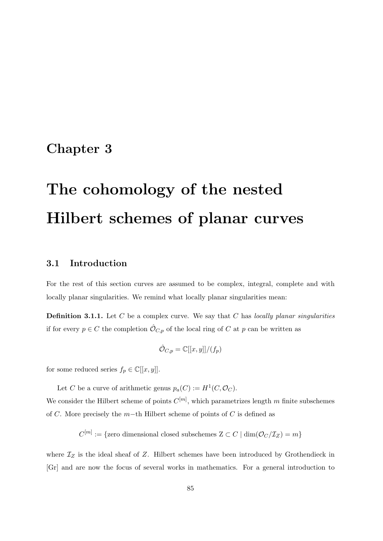# Chapter 3

# The cohomology of the nested Hilbert schemes of planar curves

# 3.1 Introduction

For the rest of this section curves are assumed to be complex, integral, complete and with locally planar singularities. We remind what locally planar singularities mean:

**Definition 3.1.1.** Let  $C$  be a complex curve. We say that  $C$  has locally planar singularities if for every  $p \in C$  the completion  $\hat{\mathcal{O}}_{C,p}$  of the local ring of C at p can be written as

$$
\hat{\mathcal{O}}_{C,p} = \mathbb{C}[[x,y]]/(f_p)
$$

for some reduced series  $f_p \in \mathbb{C}[[x, y]].$ 

Let C be a curve of arithmetic genus  $p_a(C) := H^1(C, \mathcal{O}_C)$ .

We consider the Hilbert scheme of points  $C^{[m]}$ , which parametrizes length m finite subschemes of C. More precisely the m−th Hilbert scheme of points of C is defined as

 $C^{[m]} := \{$ zero dimensional closed subschemes  $Z \subset C \mid \dim(\mathcal O_C/\mathcal I_Z) = m\}$ 

where  $\mathcal{I}_Z$  is the ideal sheaf of Z. Hilbert schemes have been introduced by Grothendieck in [Gr] and are now the focus of several works in mathematics. For a general introduction to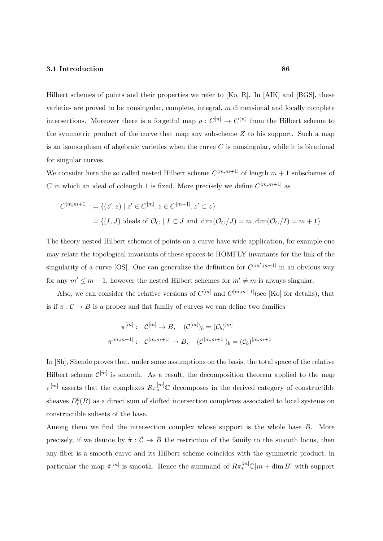Hilbert schemes of points and their properties we refer to [Ko, R]. In [AIK] and [BGS], these varieties are proved to be nonsingular, complete, integral,  $m$  dimensional and locally complete intersections. Moreover there is a forgetful map  $\rho: C^{[n]} \to C^{(n)}$  from the Hilbert scheme to the symmetric product of the curve that map any subscheme Z to his support. Such a map is an isomorphism of algebraic varieties when the curve  $C$  is nonsingular, while it is birational for singular curves.

We consider here the so called nested Hilbert scheme  $C^{[m,m+1]}$  of length  $m+1$  subschemes of C in which an ideal of colength 1 is fixed. More precisely we define  $C^{[m,m+1]}$  as

$$
C^{[m,m+1]} := \{ (z', z) \mid z' \in C^{[m]}, z \in C^{[m+1]}, z' \subset z \}
$$
  
=  $\{ (I, J) \text{ ideals of } \mathcal{O}_C \mid I \subset J \text{ and } \dim(\mathcal{O}_C / J) = m, \dim(\mathcal{O}_C / I) = m + 1 \}$ 

The theory nested Hilbert schemes of points on a curve have wide application, for example one may relate the topological invariants of these spaces to HOMFLY invariants for the link of the singularity of a curve [OS]. One can generalize the definition for  $C^{[m',m+1]}$  in an obvious way for any  $m' \leq m+1$ , however the nested Hilbert schemes for  $m' \neq m$  is always singular.

Also, we can consider the relative versions of  $C^{[m]}$  and  $C^{[m,m+1]}$  (see [Ko] for details), that is if  $\pi$  :  $\mathcal{C} \rightarrow B$  is a proper and flat family of curves we can define two families

$$
\pi^{[m]}: C^{[m]} \to B, (C^{[m]})_b = (C_b)^{[m]}
$$

$$
\pi^{[m,m+1]}: C^{[m,m+1]} \to B, (C^{[m,m+1]})_b = (C_b)^{[m,m+1]}
$$

In  $[Sh]$ , Shende proves that, under some assumptions on the basis, the total space of the relative Hilbert scheme  $\mathcal{C}^{[m]}$  is smooth. As a result, the decomposition theorem applied to the map  $\pi^{[m]}$  asserts that the complexes  $R\pi^{[m]}_*\mathbb{C}$  decomposes in the derived category of constructible sheaves  $D_c^b(B)$  as a direct sum of shifted intersection complexes associated to local systems on constructible subsets of the base.

Among them we find the intersection complex whose support is the whole base B. More precisely, if we denote by  $\tilde{\pi}: \tilde{\mathcal{C}} \to \tilde{B}$  the restriction of the family to the smooth locus, then any fiber is a smooth curve and its Hilbert scheme coincides with the symmetric product; in particular the map  $\tilde{\pi}^{[m]}$  is smooth. Hence the summand of  $R\pi_*^{[m]} \mathbb{C}[m + \dim B]$  with support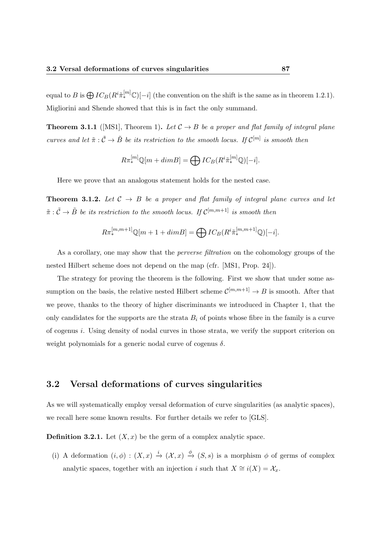equal to B is  $\bigoplus IC_B(R^i\tilde{\pi}_*^{[m]}\mathbb{C})[-i]$  (the convention on the shift is the same as in theorem 1.2.1). Migliorini and Shende showed that this is in fact the only summand.

**Theorem 3.1.1** ([MS1], Theorem 1). Let  $C \rightarrow B$  be a proper and flat family of integral plane curves and let  $\tilde{\pi}$  :  $\tilde{\mathcal{C}} \to \tilde{B}$  be its restriction to the smooth locus. If  $\mathcal{C}^{[m]}$  is smooth then

$$
R\pi_*^{[m]} \mathbb{Q}[m+dim B] = \bigoplus IC_B(R^i \tilde{\pi}_*^{[m]} \mathbb{Q})[-i].
$$

Here we prove that an analogous statement holds for the nested case.

**Theorem 3.1.2.** Let  $C \rightarrow B$  be a proper and flat family of integral plane curves and let  $\tilde{\pi}: \tilde{\mathcal{C}} \to \tilde{B}$  be its restriction to the smooth locus. If  $\mathcal{C}^{[m,m+1]}$  is smooth then

$$
R\pi^{[m,m+1]}_{*}\mathbb{Q}[m+1+dim B] = \bigoplus IC_{B}(R^{i}\tilde{\pi}^{[m,m+1]}_{*}\mathbb{Q})[-i].
$$

As a corollary, one may show that the *perverse filtration* on the cohomology groups of the nested Hilbert scheme does not depend on the map (cfr. [MS1, Prop. 24]).

The strategy for proving the theorem is the following. First we show that under some assumption on the basis, the relative nested Hilbert scheme  $\mathcal{C}^{[m,m+1]} \to B$  is smooth. After that we prove, thanks to the theory of higher discriminants we introduced in Chapter 1, that the only candidates for the supports are the strata  $B_i$  of points whose fibre in the family is a curve of cogenus i. Using density of nodal curves in those strata, we verify the support criterion on weight polynomials for a generic nodal curve of cogenus  $\delta$ .

## 3.2 Versal deformations of curves singularities

As we will systematically employ versal deformation of curve singularities (as analytic spaces), we recall here some known results. For further details we refer to [GLS].

**Definition 3.2.1.** Let  $(X, x)$  be the germ of a complex analytic space.

(i) A deformation  $(i, \phi) : (X, x) \stackrel{i}{\rightarrow} (X, x) \stackrel{\phi}{\rightarrow} (S, s)$  is a morphism  $\phi$  of germs of complex analytic spaces, together with an injection i such that  $X \cong i(X) = \mathcal{X}_x$ .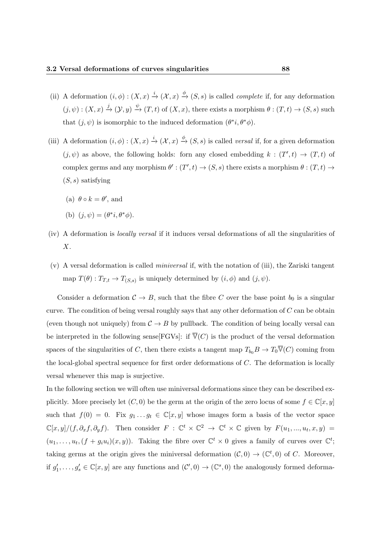- (ii) A deformation  $(i, \phi) : (X, x) \stackrel{i}{\rightarrow} (X, x) \stackrel{\phi}{\rightarrow} (S, s)$  is called *complete* if, for any deformation  $(j, \psi) : (X, x) \xrightarrow{j} (\mathcal{Y}, y) \xrightarrow{\psi} (T, t)$  of  $(X, x)$ , there exists a morphism  $\theta : (T, t) \to (S, s)$  such that  $(j, \psi)$  is isomorphic to the induced deformation  $(\theta^*i, \theta^* \phi)$ .
- (iii) A deformation  $(i, \phi) : (X, x) \stackrel{i}{\rightarrow} (X, x) \stackrel{\phi}{\rightarrow} (S, s)$  is called *versal* if, for a given deformation  $(j, \psi)$  as above, the following holds: forn any closed embedding  $k : (T', t) \to (T, t)$  of complex germs and any morphism  $\theta': (T', t) \to (S, s)$  there exists a morphism  $\theta: (T, t) \to$  $(S, s)$  satisfying
	- (a)  $\theta \circ k = \theta'$ , and
	- (b)  $(j, \psi) = (\theta^*i, \theta^* \phi).$
- (iv) A deformation is locally versal if it induces versal deformations of all the singularities of X.
- $(v)$  A versal deformation is called *miniversal* if, with the notation of (iii), the Zariski tangent map  $T(\theta): T_{T,t} \to T_{(S,s)}$  is uniquely determined by  $(i, \phi)$  and  $(j, \psi)$ .

Consider a deformation  $C \to B$ , such that the fibre C over the base point  $b_0$  is a singular curve. The condition of being versal roughly says that any other deformation of  $C$  can be obtain (even though not uniquely) from  $C \rightarrow B$  by pullback. The condition of being locally versal can be interpreted in the following sense  $[FGVs]$ : if  $\overline{V}(C)$  is the product of the versal deformation spaces of the singularities of C, then there exists a tangent map  $T_{b_0}B \to T_0\overline{V}(C)$  coming from the local-global spectral sequence for first order deformations of C. The deformation is locally versal whenever this map is surjective.

In the following section we will often use miniversal deformations since they can be described explicitly. More precisely let  $(C, 0)$  be the germ at the origin of the zero locus of some  $f \in \mathbb{C}[x, y]$ such that  $f(0) = 0$ . Fix  $g_1 \dots g_t \in \mathbb{C}[x, y]$  whose images form a basis of the vector space  $\mathbb{C}[x,y]/(f,\partial_x f,\partial_y f)$ . Then consider  $F: \mathbb{C}^t \times \mathbb{C}^2 \to \mathbb{C}^t \times \mathbb{C}$  given by  $F(u_1,...,u_t,x,y) =$  $(u_1,\ldots,u_t,(f+g_iu_i)(x,y))$ . Taking the fibre over  $\mathbb{C}^t\times 0$  gives a family of curves over  $\mathbb{C}^t$ ; taking germs at the origin gives the miniversal deformation  $(C, 0) \to (C^t, 0)$  of C. Moreover, if  $g'_1, \ldots, g'_s \in \mathbb{C}[x, y]$  are any functions and  $(\mathcal{C}', 0) \to (\mathbb{C}^s, 0)$  the analogously formed deforma-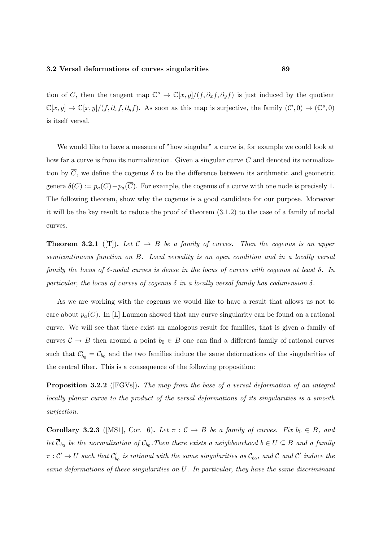tion of C, then the tangent map  $\mathbb{C}^s \to \mathbb{C}[x,y]/(f,\partial_x f,\partial_y f)$  is just induced by the quotient  $\mathbb{C}[x,y] \to \mathbb{C}[x,y]/(f,\partial_x f,\partial_y f)$ . As soon as this map is surjective, the family  $(\mathcal{C}',0) \to (\mathbb{C}^s,0)$ is itself versal.

We would like to have a measure of "how singular" a curve is, for example we could look at how far a curve is from its normalization. Given a singular curve C and denoted its normalization by  $\overline{C}$ , we define the cogenus  $\delta$  to be the difference between its arithmetic and geometric genera  $\delta(C) := p_a(C) - p_a(\overline{C})$ . For example, the cogenus of a curve with one node is precisely 1. The following theorem, show why the cogenus is a good candidate for our purpose. Moreover it will be the key result to reduce the proof of theorem (3.1.2) to the case of a family of nodal curves.

**Theorem 3.2.1** ([T]). Let  $C \rightarrow B$  be a family of curves. Then the cogenus is an upper semicontinuous function on B. Local versality is an open condition and in a locally versal family the locus of  $\delta$ -nodal curves is dense in the locus of curves with cogenus at least  $\delta$ . In particular, the locus of curves of cogenus  $\delta$  in a locally versal family has codimension  $\delta$ .

As we are working with the cogenus we would like to have a result that allows us not to care about  $p_a(\overline{C})$ . In [L] Laumon showed that any curve singularity can be found on a rational curve. We will see that there exist an analogous result for families, that is given a family of curves  $C \to B$  then around a point  $b_0 \in B$  one can find a different family of rational curves such that  $\mathcal{C}'_{b_0} = \mathcal{C}_{b_0}$  and the two families induce the same deformations of the singularities of the central fiber. This is a consequence of the following proposition:

Proposition 3.2.2 ([FGVs]). The map from the base of a versal deformation of an integral locally planar curve to the product of the versal deformations of its singularities is a smooth surjection.

**Corollary 3.2.3** ([MS1], Cor. 6). Let  $\pi : C \to B$  be a family of curves. Fix  $b_0 \in B$ , and let  $\overline{\mathcal{C}}_{b_0}$  be the normalization of  $\mathcal{C}_{b_0}$ . Then there exists a neighbourhood  $b \in U \subseteq B$  and a family  $\pi:\mathcal{C}'\to U$  such that  $\mathcal{C}'_{b_0}$  is rational with the same singularities as  $\mathcal{C}_{b_0}$ , and  $\mathcal C$  and  $\mathcal C'$  induce the same deformations of these singularities on U. In particular, they have the same discriminant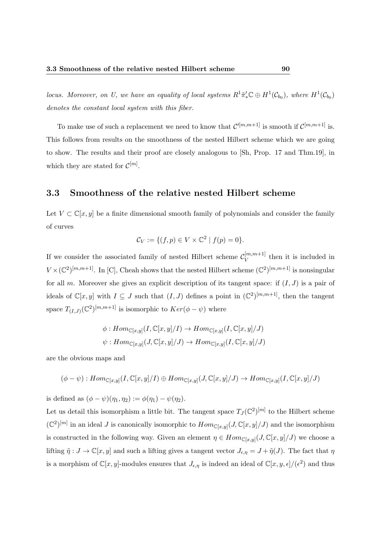locus. Moreover, on U, we have an equality of local systems  $R^1 \tilde{\pi}'_* \mathbb{C} \oplus H^1(\mathcal{C}_{b_0})$ , where  $H^1(\mathcal{C}_{b_0})$ denotes the constant local system with this fiber.

To make use of such a replacement we need to know that  $\mathcal{C}^{\prime[m,m+1]}$  is smooth if  $\mathcal{C}^{\left[m,m+1\right]}$  is. This follows from results on the smoothness of the nested Hilbert scheme which we are going to show. The results and their proof are closely analogous to [Sh, Prop. 17 and Thm.19], in which they are stated for  $\mathcal{C}^{[m]}$ .

# 3.3 Smoothness of the relative nested Hilbert scheme

Let  $V \subset \mathbb{C}[x, y]$  be a finite dimensional smooth family of polynomials and consider the family of curves

$$
\mathcal{C}_V := \{ (f, p) \in V \times \mathbb{C}^2 \mid f(p) = 0 \}.
$$

If we consider the associated family of nested Hilbert scheme  $\mathcal{C}_V^{[m,m+1]}$  $\sum_{V}$  then it is included in  $V \times (\mathbb{C}^2)^{[m,m+1]}$ . In [C], Cheah shows that the nested Hilbert scheme  $(\mathbb{C}^2)^{[m,m+1]}$  is nonsingular for all m. Moreover she gives an explicit description of its tangent space: if  $(I, J)$  is a pair of ideals of  $\mathbb{C}[x,y]$  with  $I \subseteq J$  such that  $(I,J)$  defines a point in  $(\mathbb{C}^2)^{[m,m+1]}$ , then the tangent space  $T_{(I,J)}(\mathbb{C}^2)^{[m,m+1]}$  is isomorphic to  $Ker(\phi - \psi)$  where

$$
\phi: Hom_{\mathbb{C}[x,y]}(I, \mathbb{C}[x,y]/I) \to Hom_{\mathbb{C}[x,y]}(I, \mathbb{C}[x,y]/J)
$$
  

$$
\psi: Hom_{\mathbb{C}[x,y]}(J, \mathbb{C}[x,y]/J) \to Hom_{\mathbb{C}[x,y]}(I, \mathbb{C}[x,y]/J)
$$

are the obvious maps and

$$
(\phi - \psi) : Hom_{\mathbb{C}[x,y]}(I, \mathbb{C}[x,y]/I) \oplus Hom_{\mathbb{C}[x,y]}(J, \mathbb{C}[x,y]/J) \rightarrow Hom_{\mathbb{C}[x,y]}(I, \mathbb{C}[x,y]/J)
$$

is defined as  $(\phi - \psi)(\eta_1, \eta_2) := \phi(\eta_1) - \psi(\eta_2)$ .

Let us detail this isomorphism a little bit. The tangent space  $T_J(\mathbb{C}^2)^{[m]}$  to the Hilbert scheme  $(\mathbb{C}^2)^{[m]}$  in an ideal J is canonically isomorphic to  $Hom_{\mathbb{C}[x,y]}(J,\mathbb{C}[x,y]/J)$  and the isomorphism is constructed in the following way. Given an element  $\eta \in Hom_{\mathbb{C}[x,y]}(J,\mathbb{C}[x,y]/J)$  we choose a lifting  $\tilde{\eta}: J \to \mathbb{C}[x, y]$  and such a lifting gives a tangent vector  $J_{\epsilon, \eta} = J + \tilde{\eta}(J)$ . The fact that  $\eta$ is a morphism of  $\mathbb{C}[x,y]$ -modules ensures that  $J_{\epsilon,\eta}$  is indeed an ideal of  $\mathbb{C}[x,y,\epsilon]/(\epsilon^2)$  and thus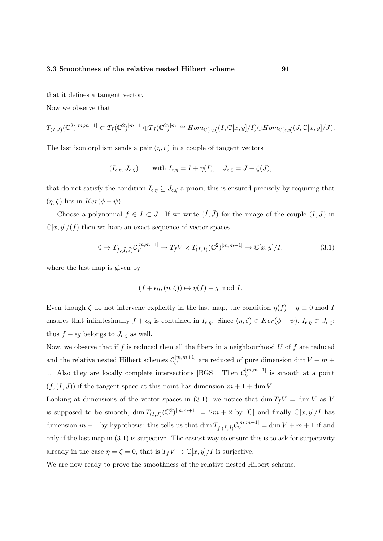that it defines a tangent vector.

Now we observe that

$$
T_{(I,J)}(\mathbb{C}^2)^{[m,m+1]} \subset T_I(\mathbb{C}^2)^{[m+1]} \oplus T_J(\mathbb{C}^2)^{[m]} \cong Hom_{\mathbb{C}[x,y]}(I,\mathbb{C}[x,y]/I) \oplus Hom_{\mathbb{C}[x,y]}(J,\mathbb{C}[x,y]/J).
$$

The last isomorphism sends a pair  $(\eta, \zeta)$  in a couple of tangent vectors

$$
(I_{\epsilon,\eta}, J_{\epsilon,\zeta})
$$
 with  $I_{\epsilon,\eta} = I + \tilde{\eta}(I)$ ,  $J_{\epsilon,\zeta} = J + \tilde{\zeta}(J)$ ,

that do not satisfy the condition  $I_{\epsilon,\eta} \subseteq J_{\epsilon,\zeta}$  a priori; this is ensured precisely by requiring that  $(\eta, \zeta)$  lies in  $Ker(\phi - \psi)$ .

Choose a polynomial  $f \in I \subset J$ . If we write  $(\tilde{I}, \tilde{J})$  for the image of the couple  $(I, J)$  in  $\mathbb{C}[x,y]/(f)$  then we have an exact sequence of vector spaces

$$
0 \to T_{f,(\tilde{I},\tilde{J})} \mathcal{C}_V^{[m,m+1]} \to T_f V \times T_{(I,J)}(\mathbb{C}^2)^{[m,m+1]} \to \mathbb{C}[x,y]/I,
$$
\n(3.1)

where the last map is given by

$$
(f + \epsilon g, (\eta, \zeta)) \mapsto \eta(f) - g \mod I.
$$

Even though  $\zeta$  do not intervene explicitly in the last map, the condition  $\eta(f) - g \equiv 0 \text{ mod } I$ ensures that infinitesimally  $f + \epsilon g$  is contained in  $I_{\epsilon,\eta}$ . Since  $(\eta,\zeta) \in Ker(\phi - \psi)$ ,  $I_{\epsilon,\eta} \subset J_{\epsilon,\zeta}$ ; thus  $f + \epsilon g$  belongs to  $J_{\epsilon, \zeta}$  as well.

Now, we observe that if  $f$  is reduced then all the fibers in a neighbourhood  $U$  of  $f$  are reduced and the relative nested Hilbert schemes  $\mathcal{C}_{U}^{[m,m+1]}$  $\mathcal{U}^{[m,m+1]}$  are reduced of pure dimension dim  $V + m +$ 1. Also they are locally complete intersections [BGS]. Then  $\mathcal{C}_V^{[m,m+1]}$  $V^{[m,m+1]}$  is smooth at a point  $(f,(I, J))$  if the tangent space at this point has dimension  $m + 1 + \dim V$ .

Looking at dimensions of the vector spaces in (3.1), we notice that dim  $T_fV = \dim V$  as V is supposed to be smooth,  $\dim T_{(I,J)}(\mathbb{C}^2)^{[m,m+1]} = 2m + 2$  by [C] and finally  $\mathbb{C}[x,y]/I$  has dimension  $m+1$  by hypothesis: this tells us that  $\dim T_{f,(\tilde{I},\tilde{J})}\mathcal{C}_V^{[m,m+1]} = \dim V + m + 1$  if and only if the last map in (3.1) is surjective. The easiest way to ensure this is to ask for surjectivity already in the case  $\eta = \zeta = 0$ , that is  $T_f V \to \mathbb{C}[x, y]/I$  is surjective.

We are now ready to prove the smoothness of the relative nested Hilbert scheme.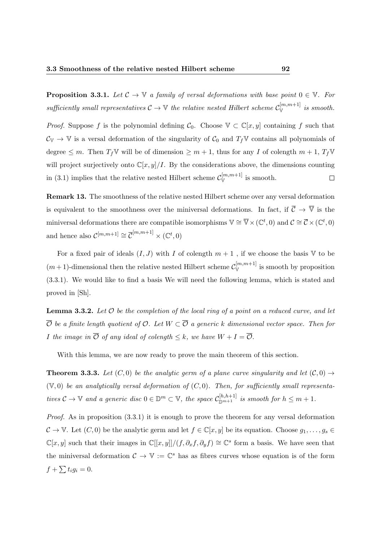**Proposition 3.3.1.** Let  $\mathcal{C} \to \mathbb{V}$  a family of versal deformations with base point  $0 \in \mathbb{V}$ . For sufficiently small representatives  $C \to \mathbb{V}$  the relative nested Hilbert scheme  $C_{\mathbb{V}}^{[m,m+1]}$  is smooth.

*Proof.* Suppose f is the polynomial defining  $C_0$ . Choose  $\mathbb{V} \subset \mathbb{C}[x, y]$  containing f such that  $C_V \rightarrow V$  is a versal deformation of the singularity of  $C_0$  and  $T_fV$  contains all polynomials of degree  $\leq m$ . Then  $T_f \mathbb{V}$  will be of dimension  $\geq m+1$ , thus for any I of colength  $m+1$ ,  $T_f \mathbb{V}$ will project surjectively onto  $\mathbb{C}[x, y]/I$ . By the considerations above, the dimensions counting in (3.1) implies that the relative nested Hilbert scheme  $\mathcal{C}_{\mathbb{V}}^{[m,m+1]}$  is smooth.  $\Box$ 

Remark 13. The smoothness of the relative nested Hilbert scheme over any versal deformation is equivalent to the smoothness over the miniversal deformations. In fact, if  $\overline{C} \to \overline{\mathbb{V}}$  is the miniversal deformations there are compatible isomorphisms  $\mathbb{V} \cong \overline{\mathbb{V}} \times (\mathbb{C}^t, 0)$  and  $\mathcal{C} \cong \overline{\mathcal{C}} \times (\mathbb{C}^t, 0)$ and hence also  $\mathcal{C}^{[m,m+1]} \cong \overline{\mathcal{C}}^{[m,m+1]} \times (\mathbb{C}^t, 0)$ 

For a fixed pair of ideals  $(I, J)$  with I of colength  $m + 1$ , if we choose the basis V to be  $(m+1)$ -dimensional then the relative nested Hilbert scheme  $\mathcal{C}_{\mathbb{V}}^{[m,m+1]}$  is smooth by proposition (3.3.1). We would like to find a basis We will need the following lemma, which is stated and proved in [Sh].

**Lemma 3.3.2.** Let  $\mathcal O$  be the completion of the local ring of a point on a reduced curve, and let  $\overline{\mathcal{O}}$  be a finite length quotient of  $\mathcal{O}$ . Let  $W \subset \overline{\mathcal{O}}$  a generic k dimensional vector space. Then for I the image in  $\overline{\mathcal{O}}$  of any ideal of colength  $\leq k$ , we have  $W + I = \overline{\mathcal{O}}$ .

With this lemma, we are now ready to prove the main theorem of this section.

**Theorem 3.3.3.** Let  $(C, 0)$  be the analytic germ of a plane curve singularity and let  $(C, 0) \rightarrow$  $(V, 0)$  be an analytically versal deformation of  $(C, 0)$ . Then, for sufficiently small representatives  $C \to \mathbb{V}$  and a generic disc  $0 \in \mathbb{D}^m \subset \mathbb{V}$ , the space  $C_{\mathbb{D}^{m+1}}^{[h,h+1]}$  is smooth for  $h \leq m+1$ .

Proof. As in proposition  $(3.3.1)$  it is enough to prove the theorem for any versal deformation  $C \to \mathbb{V}$ . Let  $(C, 0)$  be the analytic germ and let  $f \in \mathbb{C}[x, y]$  be its equation. Choose  $g_1, \ldots, g_s \in$  $\mathbb{C}[x,y]$  such that their images in  $\mathbb{C}[[x,y]]/(f, \partial_x f, \partial_y f) \cong \mathbb{C}^s$  form a basis. We have seen that the miniversal deformation  $C \to V := \mathbb{C}^s$  has as fibres curves whose equation is of the form  $f + \sum t_i g_i = 0.$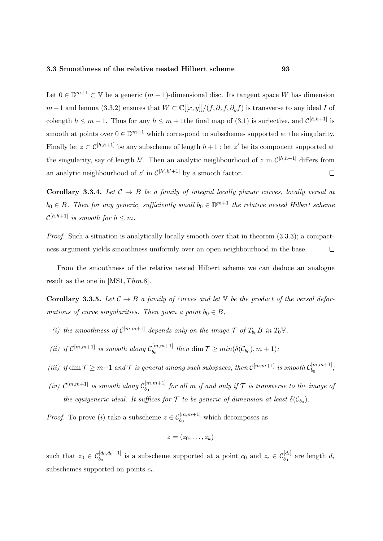Let  $0 \in \mathbb{D}^{m+1} \subset \mathbb{V}$  be a generic  $(m+1)$ -dimensional disc. Its tangent space W has dimension  $m+1$  and lemma (3.3.2) ensures that  $W \subset \mathbb{C}[[x,y]]/(f,\partial_x f, \partial_y f)$  is transverse to any ideal I of colength  $h \leq m+1$ . Thus for any  $h \leq m+1$  the final map of (3.1) is surjective, and  $\mathcal{C}^{[h,h+1]}$  is smooth at points over  $0 \in \mathbb{D}^{m+1}$  which correspond to subschemes supported at the singularity. Finally let  $z \subset \mathcal{C}^{[h,h+1]}$  be any subscheme of length  $h+1$ ; let  $z'$  be its component supported at the singularity, say of length h'. Then an analytic neighbourhood of z in  $\mathcal{C}^{[h,h+1]}$  differs from an analytic neighbourhood of  $z'$  in  $\mathcal{C}^{[h',h'+1]}$  by a smooth factor.  $\Box$ 

Corollary 3.3.4. Let  $C \rightarrow B$  be a family of integral locally planar curves, locally versal at  $b_0 \in B$ . Then for any generic, sufficiently small  $b_0 \in \mathbb{D}^{m+1}$  the relative nested Hilbert scheme  $\mathcal{C}^{[h,h+1]}$  is smooth for  $h\leq m$ .

Proof. Such a situation is analytically locally smooth over that in theorem  $(3.3.3)$ ; a compactness argument yields smoothness uniformly over an open neighbourhood in the base.  $\Box$ 

From the smoothness of the relative nested Hilbert scheme we can deduce an analogue result as the one in  $[MS1, Thm.8]$ .

**Corollary 3.3.5.** Let  $C \rightarrow B$  a family of curves and let V be the product of the versal deformations of curve singularities. Then given a point  $b_0 \in B$ ,

- (i) the smoothness of  $\mathcal{C}^{[m,m+1]}$  depends only on the image  $\mathcal{T}$  of  $T_{b_0}B$  in  $T_0\mathbb{V}$ ;
- (ii) if  $\mathcal{C}^{[m,m+1]}$  is smooth along  $\mathcal{C}_{b_0}^{[m,m+1]}$  $\lim_{b_0} t^{[m,m+1]}$  then  $\dim \mathcal{T} \geq min(\delta(\mathcal{C}_{b_0}), m+1);$
- (iii) if  $\dim \mathcal{T} \geq m+1$  and  $\mathcal{T}$  is general among such subspaces, then  $\mathcal{C}^{[m,m+1]}$  is smooth  $\mathcal{C}^{[m,m+1]}_{b}$  $\binom{m,m+1}{b_0}$
- (iv)  $\mathcal{C}^{[m,m+1]}$  is smooth along  $\mathcal{C}^{[m,m+1]}_{b_0}$  $\delta_{b_0}^{[m,m+1]}$  for all m if and only if  ${\cal T}$  is transverse to the image of the equigeneric ideal. It suffices for  $\mathcal T$  to be generic of dimension at least  $\delta(\mathcal{C}_{b_0})$ .

*Proof.* To prove (*i*) take a subscheme  $z \in C_{b_0}^{[m,m+1]}$  which decomposes as

$$
z=(z_0,\ldots,z_k)
$$

such that  $z_0 \in C_{b_0}^{[d_0, d_0+1]}$  is a subscheme supported at a point  $c_0$  and  $z_i \in C_{b_0}^{[d_i]}$  are length  $d_i$ subschemes supported on points  $c_i$ .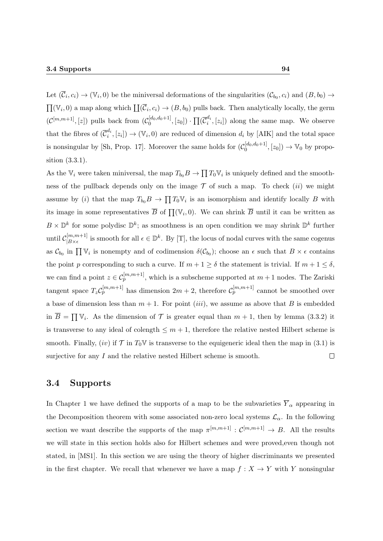Let  $(\overline{C}_i, c_i) \to (\mathbb{V}_i, 0)$  be the miniversal deformations of the singularities  $(\mathcal{C}_{b_0}, c_i)$  and  $(B, b_0) \to$  $\prod(V_i, 0)$  a map along which  $\prod(\overline{C}_i, c_i) \to (B, b_0)$  pulls back. Then analytically locally, the germ  $(\mathcal{C}^{[m,m+1]}, [z])$  pulls back from  $(\mathcal{C}^{[d_0,d_0+1]}_0)$  $\{\bar{c}_0^{[d_0,d_0+1]},[z_0])\cdot \prod (\overline{\mathcal{C}}_i^{d_i}$  $\binom{u_i}{i}, [z_i]$  along the same map. We observe that the fibres of  $(\overline{\mathcal{C}}_i^{d_i})$  $\binom{d_i}{i}, [z_i] \rightarrow (\mathbb{V}_i, 0)$  are reduced of dimension  $d_i$  by [AIK] and the total space is nonsingular by [Sh, Prop. 17]. Moreover the same holds for  $(\mathcal{C}_0^{[d_0,d_0+1]}$  $[{}_{0}^{[d_0, d_0+1]}, [z_0]) \to \mathbb{V}_0$  by proposition (3.3.1).

As the  $\mathbb{V}_i$  were taken miniversal, the map  $T_{b_0}B \to \prod T_0 \mathbb{V}_i$  is uniquely defined and the smoothness of the pullback depends only on the image  $\mathcal T$  of such a map. To check *(ii)* we might assume by (*i*) that the map  $T_{b_0}B \to \prod T_0 \mathbb{V}_i$  is an isomorphism and identify locally B with its image in some representatives  $\overline{B}$  of  $\prod(\mathbb{V}_i,0)$ . We can shrink  $\overline{B}$  until it can be written as  $B \times \mathbb{D}^k$  for some polydisc  $\mathbb{D}^k$ ; as smoothness is an open condition we may shrink  $\mathbb{D}^k$  further until  $\mathcal{C}_{\vert B \vee \epsilon}^{[m,m+1]}$  $\mathbb{R}^{[m,m+1]}_{B \times \epsilon}$  is smooth for all  $\epsilon \in \mathbb{D}^k$ . By [T], the locus of nodal curves with the same cogenus as  $\mathcal{C}_{b_0}$  in  $\prod \mathbb{V}_i$  is nonempty and of codimension  $\delta(\mathcal{C}_{b_0})$ ; choose an  $\epsilon$  such that  $B \times \epsilon$  contains the point p corresponding to such a curve. If  $m + 1 \ge \delta$  the statement is trivial. If  $m + 1 \le \delta$ , we can find a point  $z \in C_p^{[m,m+1]}$ , which is a subscheme supported at  $m+1$  nodes. The Zariski tangent space  $T_z C_p^{[m,m+1]}$  has dimension  $2m+2$ , therefore  $C_p^{[m,m+1]}$  cannot be smoothed over a base of dimension less than  $m + 1$ . For point *(iii)*, we assume as above that B is embedded in  $\overline{B} = \prod V_i$ . As the dimension of  $\mathcal T$  is greater equal than  $m + 1$ , then by lemma (3.3.2) it is transverse to any ideal of colength  $\leq m+1$ , therefore the relative nested Hilbert scheme is smooth. Finally, (iv) if  $\mathcal{T}$  in  $T_0\mathbb{V}$  is transverse to the equigeneric ideal then the map in (3.1) is surjective for any  $I$  and the relative nested Hilbert scheme is smooth.  $\Box$ 

# 3.4 Supports

In Chapter 1 we have defined the supports of a map to be the subvarieties  $\overline{Y}_{\alpha}$  appearing in the Decomposition theorem with some associated non-zero local systems  $\mathcal{L}_{\alpha}$ . In the following section we want describe the supports of the map  $\pi^{[m,m+1]} : \mathcal{C}^{[m,m+1]} \to B$ . All the results we will state in this section holds also for Hilbert schemes and were proved,even though not stated, in [MS1]. In this section we are using the theory of higher discriminants we presented in the first chapter. We recall that whenever we have a map  $f: X \to Y$  with Y nonsingular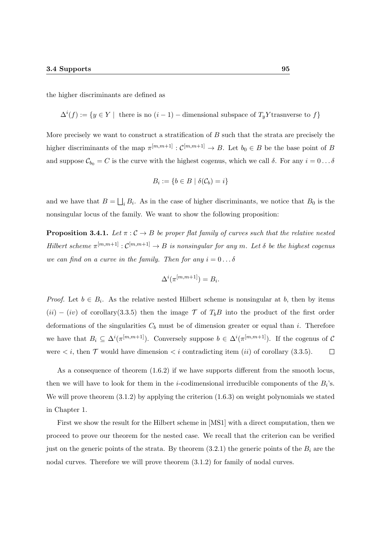the higher discriminants are defined as

 $\Delta^{i}(f) := \{y \in Y \mid \text{ there is no } (i-1) - \text{dimensional subspace of } T_y Y \text{ transverse to } f\}$ 

More precisely we want to construct a stratification of B such that the strata are precisely the higher discriminants of the map  $\pi^{[m,m+1]} : \mathcal{C}^{[m,m+1]} \to B$ . Let  $b_0 \in B$  be the base point of B and suppose  $C_{b_0} = C$  is the curve with the highest cogenus, which we call  $\delta$ . For any  $i = 0 \dots \delta$ 

$$
B_i := \{ b \in B \mid \delta(C_b) = i \}
$$

and we have that  $B = \bigsqcup_i B_i$ . As in the case of higher discriminants, we notice that  $B_0$  is the nonsingular locus of the family. We want to show the following proposition:

**Proposition 3.4.1.** Let  $\pi : \mathcal{C} \to B$  be proper flat family of curves such that the relative nested Hilbert scheme  $\pi^{[m,m+1]} : \mathcal{C}^{[m,m+1]} \to B$  is nonsingular for any m. Let  $\delta$  be the highest cogenus we can find on a curve in the family. Then for any  $i = 0 \dots \delta$ 

$$
\Delta^i(\pi^{[m,m+1]}) = B_i.
$$

*Proof.* Let  $b \in B_i$ . As the relative nested Hilbert scheme is nonsingular at b, then by items  $(ii) - (iv)$  of corollary(3.3.5) then the image T of T<sub>b</sub>B into the product of the first order deformations of the singularities  $C_b$  must be of dimension greater or equal than i. Therefore we have that  $B_i \subseteq \Delta^i(\pi^{[m,m+1]})$ . Conversely suppose  $b \in \Delta^i(\pi^{[m,m+1]})$ . If the cogenus of C were *, then*  $T$  *would have dimension*  $*i*$  *contradicting item <i>(ii)* of corollary (3.3.5).  $\Box$ 

As a consequence of theorem (1.6.2) if we have supports different from the smooth locus, then we will have to look for them in the *i*-codimensional irreducible components of the  $B_i$ 's. We will prove theorem (3.1.2) by applying the criterion (1.6.3) on weight polynomials we stated in Chapter 1.

First we show the result for the Hilbert scheme in [MS1] with a direct computation, then we proceed to prove our theorem for the nested case. We recall that the criterion can be verified just on the generic points of the strata. By theorem  $(3.2.1)$  the generic points of the  $B_i$  are the nodal curves. Therefore we will prove theorem (3.1.2) for family of nodal curves.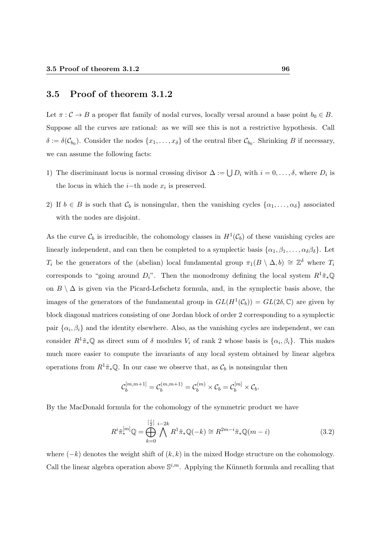## 3.5 Proof of theorem 3.1.2

Let  $\pi : \mathcal{C} \to B$  a proper flat family of nodal curves, locally versal around a base point  $b_0 \in B$ . Suppose all the curves are rational: as we will see this is not a restrictive hypothesis. Call  $\delta := \delta(\mathcal{C}_{b_0})$ . Consider the nodes  $\{x_1, \ldots, x_{\delta}\}\$  of the central fiber  $\mathcal{C}_{b_0}$ . Shrinking B if necessary, we can assume the following facts:

- 1) The discriminant locus is normal crossing divisor  $\Delta := \bigcup D_i$  with  $i = 0, \ldots, \delta$ , where  $D_i$  is the locus in which the *i*-th node  $x_i$  is preserved.
- 2) If  $b \in B$  is such that  $C_b$  is nonsingular, then the vanishing cycles  $\{\alpha_1, \dots, \alpha_\delta\}$  associated with the nodes are disjoint.

As the curve  $\mathcal{C}_b$  is irreducible, the cohomology classes in  $H^1(\mathcal{C}_b)$  of these vanishing cycles are linearly independent, and can then be completed to a symplectic basis  $\{\alpha_1, \beta_1, \dots, \alpha_\delta \beta_\delta\}$ . Let T<sub>i</sub> be the generators of the (abelian) local fundamental group  $\pi_1(B \setminus \Delta, b) \cong \mathbb{Z}^{\delta}$  where  $T_i$ corresponds to "going around  $D_i$ ". Then the monodromy defining the local system  $R^1\tilde{\pi}_*\mathbb{Q}$ on  $B \setminus \Delta$  is given via the Picard-Lefschetz formula, and, in the symplectic basis above, the images of the generators of the fundamental group in  $GL(H^1(\mathcal{C}_b)) = GL(2\delta, \mathbb{C})$  are given by block diagonal matrices consisting of one Jordan block of order 2 corresponding to a symplectic pair  $\{\alpha_i, \beta_i\}$  and the identity elsewhere. Also, as the vanishing cycles are independent, we can consider  $R^1\tilde{\pi}_*\mathbb{Q}$  as direct sum of  $\delta$  modules  $V_i$  of rank 2 whose basis is  $\{\alpha_i,\beta_i\}$ . This makes much more easier to compute the invariants of any local system obtained by linear algebra operations from  $R^1\tilde{\pi}_*\mathbb{Q}$ . In our case we observe that, as  $\mathcal{C}_b$  is nonsingular then

$$
\mathcal{C}_b^{[m,m+1]} = \mathcal{C}_b^{(m,m+1)} = \mathcal{C}_b^{(m)} \times \mathcal{C}_b = \mathcal{C}_b^{[m]} \times \mathcal{C}_b.
$$

By the MacDonald formula for the cohomology of the symmetric product we have

$$
R^{i}\tilde{\pi}_{*}^{[m]}\mathbb{Q} = \bigoplus_{k=0}^{\left[\frac{i}{2}\right]} \bigwedge^{i-2k} R^{1}\tilde{\pi}_{*}\mathbb{Q}(-k) \cong R^{2m-i}\tilde{\pi}_{*}\mathbb{Q}(m-i)
$$
\n(3.2)

where  $(-k)$  denotes the weight shift of  $(k, k)$  in the mixed Hodge structure on the cohomology. Call the linear algebra operation above  $\mathbb{S}^{i,m}$ . Applying the Künneth formula and recalling that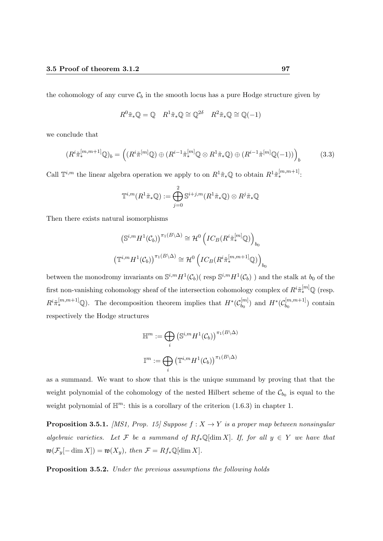the cohomology of any curve  $\mathcal{C}_b$  in the smooth locus has a pure Hodge structure given by

$$
R^0 \tilde{\pi}_* \mathbb{Q} = \mathbb{Q} \quad R^1 \tilde{\pi}_* \mathbb{Q} \cong \mathbb{Q}^{2\delta} \quad R^2 \tilde{\pi}_* \mathbb{Q} \cong \mathbb{Q}(-1)
$$

we conclude that

$$
(R^i \tilde{\pi}_*^{[m,m+1]} \mathbb{Q})_b = \left( (R^i \tilde{\pi}^{[m]} \mathbb{Q}) \oplus (R^{i-1} \tilde{\pi}_*^{[m]} \mathbb{Q} \otimes R^1 \tilde{\pi}_* \mathbb{Q}) \oplus (R^{i-1} \tilde{\pi}^{[m]} \mathbb{Q}(-1)) \right)_b \tag{3.3}
$$

Call  $\mathbb{T}^{i,m}$  the linear algebra operation we apply to on  $R^1\tilde{\pi}_*^{\omega}$  to obtain  $R^1\tilde{\pi}_*^{[m,m+1]}$ :

$$
\mathbb{T}^{i,m}(R^1\tilde{\pi}_*\mathbb{Q}) := \bigoplus_{j=0}^2 \mathbb{S}^{i+j,m}(R^1\tilde{\pi}_*\mathbb{Q}) \otimes R^j\tilde{\pi}_*\mathbb{Q}
$$

Then there exists natural isomorphisms

$$
\left(\mathbb{S}^{i,m} H^1(\mathcal{C}_b)\right)^{\pi_1(B\backslash \Delta)} \cong \mathcal{H}^0 \left({IC}_B(R^i \tilde{\pi}_*^{[m]}\mathbb{Q})\right)_{b_0}
$$

$$
\left(\mathbb{T}^{i,m} H^1(\mathcal{C}_b)\right)^{\pi_1(B\backslash \Delta)} \cong \mathcal{H}^0 \left({IC}_B(R^i \tilde{\pi}_*^{[m,m+1]}\mathbb{Q})\right)_{b_0}
$$

between the monodromy invariants on  $\mathbb{S}^{i,m} H^1(\mathcal{C}_b)$  (resp  $\mathbb{S}^{i,m} H^1(\mathcal{C}_b)$ ) and the stalk at  $b_0$  of the first non-vanishing cohomology sheaf of the intersection cohomology complex of  $R^i \tilde{\pi}_*^{[m]} \mathbb{Q}$  (resp.  $R^{i}\tilde{\pi}_{*}^{[m,m+1]}$ Q). The decomposition theorem implies that  $H^{*}(C_{b_{0}}^{[m]})$  $b_0^{[m]})$  and  $H^*(\mathcal{C}_{b_0}^{[m,m+1]})$  $\binom{[m,m+1]}{b_0}$  contain respectively the Hodge structures

$$
\mathbb{H}^m := \bigoplus_i \left( \mathbb{S}^{i,m} H^1(\mathcal{C}_b) \right)^{\pi_1(B \setminus \Delta)}
$$

$$
\mathbb{I}^m := \bigoplus_i \left( \mathbb{T}^{i,m} H^1(\mathcal{C}_b) \right)^{\pi_1(B \setminus \Delta)}
$$

as a summand. We want to show that this is the unique summand by proving that that the weight polynomial of the cohomology of the nested Hilbert scheme of the  $\mathcal{C}_{b_0}$  is equal to the weight polynomial of  $\mathbb{H}^m$ : this is a corollary of the criterion (1.6.3) in chapter 1.

**Proposition 3.5.1.** [MS1, Prop. 15] Suppose  $f : X \to Y$  is a proper map between nonsingular algebraic varieties. Let F be a summand of  $Rf_*\mathbb{Q}[\dim X]$ . If, for all  $y \in Y$  we have that  $\mathfrak{w}(\mathcal{F}_y[-\dim X]) = \mathfrak{w}(X_y)$ , then  $\mathcal{F} = Rf_*\mathbb{Q}[\dim X]$ .

Proposition 3.5.2. Under the previous assumptions the following holds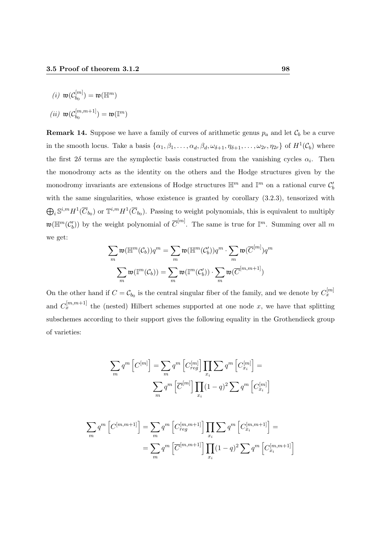$$
(i) \ \mathfrak{w}(\mathcal{C}_{b_0}^{[m]}) = \mathfrak{w}(\mathbb{H}^m)
$$

$$
(ii) \ \mathfrak{w}(\mathcal{C}_{b_0}^{[m,m+1]}) = \mathfrak{w}(\mathbb{I}^m)
$$

**Remark 14.** Suppose we have a family of curves of arithmetic genus  $p_a$  and let  $\mathcal{C}_b$  be a curve in the smooth locus. Take a basis  $\{\alpha_1, \beta_1, \ldots, \alpha_d, \beta_d, \omega_{\delta+1}, \eta_{\delta+1}, \ldots, \omega_{2r}, \eta_{2r}\}\$  of  $H^1(\mathcal{C}_b)$  where the first  $2\delta$  terms are the symplectic basis constructed from the vanishing cycles  $\alpha_i$ . Then the monodromy acts as the identity on the others and the Hodge structures given by the monodromy invariants are extensions of Hodge structures  $\mathbb{H}^m$  and  $\mathbb{I}^m$  on a rational curve  $\mathcal{C}'_b$ with the same singularities, whose existence is granted by corollary  $(3.2.3)$ , tensorized with  $\bigoplus_i S^{i,m} H^1(\overline{C}_{b_0})$  or  $\mathbb{T}^{i,m} H^1(\overline{C}_{b_0})$ . Passing to weight polynomials, this is equivalent to multiply  $\mathfrak{w}(\mathbb{H}^m(\mathcal{C}'_b))$  by the weight polynomial of  $\overline{C}^{[m]}$ . The same is true for  $\mathbb{I}^m$ . Summing over all m we get:

$$
\sum_{m} \mathfrak{w}(\mathbb{H}^m(\mathcal{C}_b)) q^m = \sum_{m} \mathfrak{w}(\mathbb{H}^m(\mathcal{C}'_b)) q^m \cdot \sum_{m} \mathfrak{w}(\overline{C}^{[m]}) q^m
$$

$$
\sum_{m} \mathfrak{w}(\mathbb{I}^m(\mathcal{C}_b)) = \sum_{m} \mathfrak{w}(\mathbb{I}^m(\mathcal{C}'_b)) \cdot \sum_{m} \mathfrak{w}(\overline{C}^{[m,m+1]})
$$

On the other hand if  $C = C_{b_0}$  is the central singular fiber of the family, and we denote by  $C_x^{[m]}$ and  $C_x^{[m,m+1]}$  the (nested) Hilbert schemes supported at one node x, we have that splitting subschemes according to their support gives the following equality in the Grothendieck group of varieties:

$$
\sum_{m} q^{m} \left[ C^{[m]} \right] = \sum_{m} q^{m} \left[ C^{[m]}_{reg} \right] \prod_{x_i} \sum_{q} q^{m} \left[ C^{[m]}_{x_i} \right] =
$$

$$
\sum_{m} q^{m} \left[ \overline{C}^{[m]} \right] \prod_{x_i} (1-q)^2 \sum_{q} q^{m} \left[ C^{[m]}_{x_i} \right]
$$

$$
\sum_{m} q^{m} \left[ C^{[m,m+1]} \right] = \sum_{m} q^{m} \left[ C^{[m,m+1]}_{reg} \right] \prod_{x_i} \sum_{x_i} q^{m} \left[ C^{[m,m+1]}_{x_i} \right] =
$$
  

$$
= \sum_{m} q^{m} \left[ \overline{C}^{[m,m+1]} \right] \prod_{x_i} (1-q)^2 \sum_{x_i} q^{m} \left[ C^{[m,m+1]}_{x_i} \right]
$$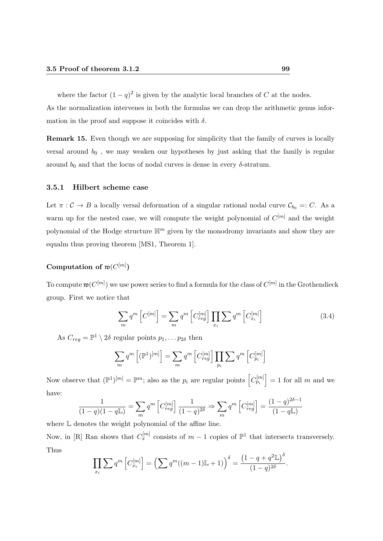where the factor  $(1 - q)^2$  is given by the analytic local branches of C at the nodes.

As the normalization intervenes in both the formulas we can drop the arithmetic genus information in the proof and suppose it coincides with  $\delta$ .

Remark 15. Even though we are supposing for simplicity that the family of curves is locally versal around  $b_0$ , we may weaken our hypotheses by just asking that the family is regular around  $b_0$  and that the locus of nodal curves is dense in every  $\delta$ -stratum.

#### 3.5.1 Hilbert scheme case

Let  $\pi : \mathcal{C} \to B$  a locally versal deformation of a singular rational nodal curve  $\mathcal{C}_{b_0} =: C$ . As a warm up for the nested case, we will compute the weight polynomial of  $C^{[m]}$  and the weight polynomial of the Hodge structure  $\mathbb{H}^m$  given by the monodromy invariants and show they are equalm thus proving theorem [MS1, Theorem 1].

#### Computation of  $\mathfrak{w}(C^{[m]})$

To compute  $\mathfrak{w}(C^{[m]})$  we use power series to find a formula for the class of  $C^{[m]}$  in the Grothendieck group. First we notice that

$$
\sum_{m} q^{m} \left[ C^{[m]} \right] = \sum_{m} q^{m} \left[ C^{[m]}_{reg} \right] \prod_{x_i} \sum q^{m} \left[ C^{[m]}_{x_i} \right]
$$
\n(3.4)

As  $C_{reg} = \mathbb{P}^1 \setminus 2\delta$  regular points  $p_1, \ldots p_{2\delta}$  then

$$
\sum_{m} q^{m} \left[ (\mathbb{P}^{1})^{[m]} \right] = \sum_{m} q^{m} \left[ C_{reg}^{[m]} \right] \prod_{p_{i}} \sum q^{m} \left[ C_{p_{i}}^{[m]} \right]
$$

Now observe that  $(\mathbb{P}^1)^{[m]} = \mathbb{P}^m$ ; also as the  $p_i$  are regular points  $\left[C_{p_i}^{[m]}\right] = 1$  for all m and we have:

$$
\frac{1}{(1-q)(1-q\mathbb{L})} = \sum_{m} q^m \left[ C_{reg}^{[m]} \right] \frac{1}{(1-q)^{2\delta}} \Rightarrow \sum_{m} q^m \left[ C_{reg}^{[m]} \right] = \frac{(1-q)^{2\delta - 1}}{(1-q\mathbb{L})}
$$

where L denotes the weight polynomial of the affine line.

Now, in [R] Ran shows that  $C_x^{[m]}$  consists of  $m-1$  copies of  $\mathbb{P}^1$  that intersects transversely. Thus

$$
\prod_{x_i} \sum q^m \left[ C_{x_i}^{[m]} \right] = \left( \sum q^m ((m-1)\mathbb{L} + 1) \right)^{\delta} = \frac{\left( 1 - q + q^2 \mathbb{L} \right)^{\delta}}{(1 - q)^{2\delta}}.
$$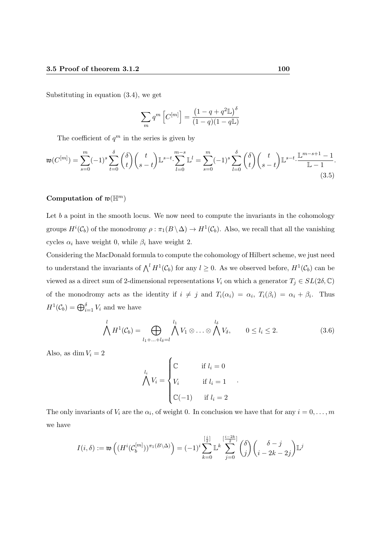Substituting in equation (3.4), we get

$$
\sum_{m} q^{m} \left[ C^{[m]} \right] = \frac{\left( 1 - q + q^{2} \mathbb{L} \right)^{\delta}}{(1 - q)(1 - q \mathbb{L})}
$$

The coefficient of  $q^m$  in the series is given by

$$
\mathfrak{w}(C^{[m]}) = \sum_{s=0}^{m} (-1)^s \sum_{t=0}^{\delta} {\delta \choose t} {t \choose s-t} \mathbb{L}^{s-t} \cdot \sum_{l=0}^{m-s} \mathbb{L}^l = \sum_{s=0}^{m} (-1)^s \sum_{l=0}^{\delta} {\delta \choose t} {t \choose s-t} \mathbb{L}^{s-t} \cdot \frac{\mathbb{L}^{m-s+1}-1}{\mathbb{L}-1}.
$$
\n(3.5)

#### Computation of  $\mathfrak{w}(\mathbb{H}^m)$

Let  $b$  a point in the smooth locus. We now need to compute the invariants in the cohomology groups  $H^i(\mathcal{C}_b)$  of the monodromy  $\rho : \pi_1(B \setminus \Delta) \to H^1(\mathcal{C}_b)$ . Also, we recall that all the vanishing cycles  $\alpha_i$  have weight 0, while  $\beta_i$  have weight 2.

Considering the MacDonald formula to compute the cohomology of Hilbert scheme, we just need to understand the invariants of  $\bigwedge^l H^1(\mathcal{C}_b)$  for any  $l \geq 0$ . As we observed before,  $H^1(\mathcal{C}_b)$  can be viewed as a direct sum of 2-dimensional representations  $V_i$  on which a generator  $T_j \in SL(2\delta,\mathbb{C})$ of the monodromy acts as the identity if  $i \neq j$  and  $T_i(\alpha_i) = \alpha_i$ ,  $T_i(\beta_i) = \alpha_i + \beta_i$ . Thus  $H^1(\mathcal{C}_b) = \bigoplus_{i=1}^{\delta} V_i$  and we have

$$
\bigwedge^l H^1(\mathcal{C}_b) = \bigoplus_{l_1 + \ldots + l_\delta = l} \bigwedge^{l_1} V_1 \otimes \ldots \otimes \bigwedge^{l_\delta} V_\delta, \qquad 0 \le l_i \le 2. \tag{3.6}
$$

Also, as dim  $V_i = 2$ 

$$
\bigwedge^{l_i} V_i = \begin{cases} \mathbb{C} & \text{if } l_i = 0 \\ V_i & \text{if } l_i = 1 \\ \mathbb{C}(-1) & \text{if } l_i = 2 \end{cases}
$$

The only invariants of  $V_i$  are the  $\alpha_i$ , of weight 0. In conclusion we have that for any  $i = 0, \ldots, m$ we have

$$
I(i,\delta) := \mathfrak{w}\left( (H^i(\mathcal{C}_b^{[m]}))^{\pi_1(B \setminus \Delta)} \right) = (-1)^i \sum_{k=0}^{\lfloor \frac{i}{2} \rfloor} \mathbb{L}^k \sum_{j=0}^{\lfloor \frac{i-2k}{2} \rfloor} {\binom{\delta}{j}}{\binom{\delta-j}{i-2k-2j}} \mathbb{L}^j
$$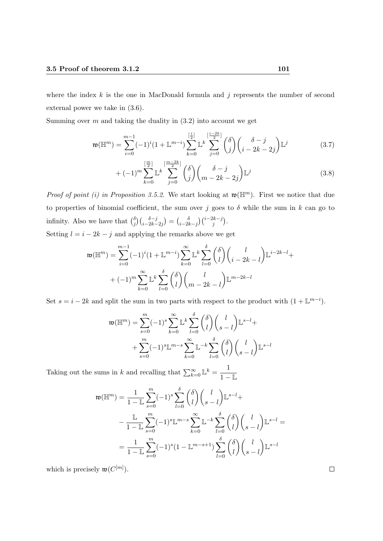where the index  $k$  is the one in MacDonald formula and  $j$  represents the number of second external power we take in (3.6).

Summing over  $m$  and taking the duality in  $(3.2)$  into account we get

$$
\mathfrak{w}(\mathbb{H}^m) = \sum_{i=0}^{m-1} (-1)^i (1 + \mathbb{L}^{m-i}) \sum_{k=0}^{\left[\frac{i}{2}\right]} \mathbb{L}^k \sum_{j=0}^{\left[\frac{i-2k}{2}\right]} {\binom{\delta}{j}} {\binom{\delta-j}{i-2k-2j}} \mathbb{L}^j
$$
(3.7)

$$
+(-1)^{m} \sum_{k=0}^{\left[\frac{m}{2}\right]} \mathbb{L}^{k} \sum_{j=0}^{\left[\frac{m-2k}{2}\right]} {\binom{\delta}{j}} {\binom{\delta-j}{m-2k-2j}} \mathbb{L}^{j}
$$
(3.8)

*Proof of point (i) in Proposition 3.5.2.* We start looking at  $\mathfrak{w}(\mathbb{H}^m)$ . First we notice that due to properties of binomial coefficient, the sum over j goes to  $\delta$  while the sum in k can go to infinity. Also we have that  $\binom{\delta}{i}$  $j \binom{\delta-j}{i-2k-2j} = \binom{\delta}{i-2k}$  $\frac{\delta}{i-2k-j}\Big)\Big(\frac{i-2k-j}{j}\Big).$ 

Setting  $l = i - 2k - j$  and applying the remarks above we get

$$
\mathfrak{w}(\mathbb{H}^m) = \sum_{i=0}^{m-1} (-1)^i (1 + \mathbb{L}^{m-i}) \sum_{k=0}^{\infty} \mathbb{L}^k \sum_{l=0}^{\delta} {\delta \choose l} {l \choose i-2k-l} \mathbb{L}^{i-2k-l} + (-1)^m \sum_{k=0}^{\infty} \mathbb{L}^k \sum_{l=0}^{\delta} {\delta \choose l} {l \choose m-2k-l} \mathbb{L}^{m-2k-l}
$$

Set  $s = i - 2k$  and split the sum in two parts with respect to the product with  $(1 + \mathbb{L}^{m-i})$ .

$$
\mathfrak{w}(\mathbb{H}^m) = \sum_{s=0}^m (-1)^s \sum_{k=0}^\infty \mathbb{L}^k \sum_{l=0}^\delta \binom{\delta}{l} \binom{l}{s-l} \mathbb{L}^{s-l} + \\ + \sum_{s=0}^m (-1)^s \mathbb{L}^{m-s} \sum_{k=0}^\infty \mathbb{L}^{-k} \sum_{l=0}^\delta \binom{\delta}{l} \binom{l}{s-l} \mathbb{L}^{s-l}
$$

Taking out the sums in k and recalling that  $\sum_{k=0}^{\infty} \mathbb{L}^{k} = \frac{1}{1 - k}$  $1 - L$ 

$$
\mathfrak{w}(\mathbb{H}^m) = \frac{1}{1-\mathbb{L}} \sum_{s=0}^m (-1)^s \sum_{l=0}^{\delta} {\delta \choose l} {l \choose s-l} \mathbb{L}^{s-l} +
$$

$$
- \frac{\mathbb{L}}{1-\mathbb{L}} \sum_{s=0}^m (-1)^s \mathbb{L}^{m-s} \sum_{k=0}^{\infty} \mathbb{L}^{-k} \sum_{l=0}^{\delta} {\delta \choose l} {l \choose s-l} \mathbb{L}^{s-l} =
$$

$$
= \frac{1}{1-\mathbb{L}} \sum_{s=0}^m (-1)^s (1-\mathbb{L}^{m-s+1}) \sum_{l=0}^{\delta} {\delta \choose l} {l \choose s-l} \mathbb{L}^{s-l}
$$

which is precisely  $\mathfrak{w}(C^{[m]})$ .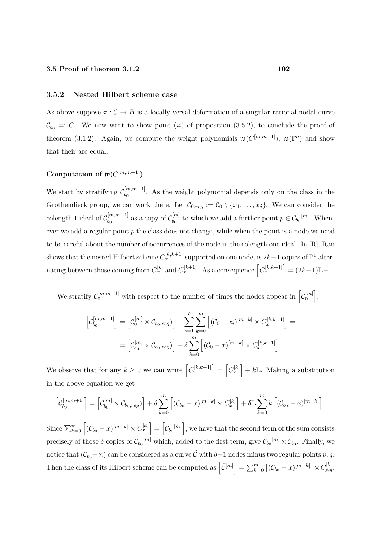#### 3.5.2 Nested Hilbert scheme case

As above suppose  $\pi : \mathcal{C} \to B$  is a locally versal deformation of a singular rational nodal curve  $C_{b_0}$  =: C. We now want to show point (ii) of proposition (3.5.2), to conclude the proof of theorem (3.1.2). Again, we compute the weight polynomials  $\mathfrak{w}(C^{[m,m+1]})$ ,  $\mathfrak{w}(\mathbb{I}^m)$  and show that their are equal.

#### Computation of  $\mathfrak{w}(C^{[m,m+1]})$

We start by stratifying  $\mathcal{C}_{b_0}^{[m,m+1]}$  $b_0^{[m,m+1]}$ . As the weight polynomial depends only on the class in the Grothendieck group, we can work there. Let  $\mathcal{C}_{0,reg} := \mathcal{C}_0 \setminus \{x_1, \ldots, x_\delta\}$ . We can consider the colength 1 ideal of  $\mathcal{C}_{b_0}^{[m,m+1]}$  $\omega_{b_0}^{[m,m+1]}$  as a copy of  $\mathcal{C}_{b_0}^{[m]}$  $b_0^{[m]}$  to which we add a further point  $p \in \mathcal{C}_{b_0}[m]$ . Whenever we add a regular point  $p$  the class does not change, while when the point is a node we need to be careful about the number of occurrences of the node in the colength one ideal. In [R], Ran shows that the nested Hilbert scheme  $C_x^{[k,k+1]}$  supported on one node, is  $2k-1$  copies of  $\mathbb{P}^1$  alternating between those coming from  $C_x^{[k]}$  and  $C_x^{[k+1]}$ . As a consequence  $\left[C_x^{[k,k+1]}\right] = (2k-1)\mathbb{L}+1$ .

We stratify  $\mathcal{C}_0^{[m,m+1]}$  with respect to the number of times the nodes appear in  $\left[\mathcal{C}_0^{[m]} \right]$  $\genfrac{[}{]}{0pt}{}{m}{0}$ 

$$
\begin{aligned} \left[\mathcal{C}_{b_0}^{[m,m+1]}\right] &= \left[\mathcal{C}_0^{[m]} \times \mathcal{C}_{b_0,reg}\right] + \sum_{i=1}^{\delta} \sum_{k=0}^{m} \left[ (\mathcal{C}_0 - x_i)^{[m-k]} \times C_{x_i}^{[k,k+1]} \right] = \\ &= \left[\mathcal{C}_{b_0}^{[m]} \times \mathcal{C}_{b_0,reg}\right] + \delta \sum_{k=0}^{m} \left[ (\mathcal{C}_0 - x)^{[m-k]} \times C_x^{[k,k+1]}\right] \end{aligned}
$$

We observe that for any  $k \geq 0$  we can write  $\left[C_x^{[k,k+1]}\right] = \left[C_x^{[k]}\right] + k\mathbb{L}$ . Making a substitution in the above equation we get

$$
\left[C_{b_0}^{[m,m+1]}\right] = \left[C_{b_0}^{[m]} \times C_{b_0,reg}\right] + \delta \sum_{k=0}^{m} \left[ (C_{b_0} - x)^{[m-k]} \times C_x^{[k]} \right] + \delta \mathbb{L} \sum_{k=0}^{m} k \left[ (C_{b_0} - x)^{[m-k]} \right].
$$

 $\text{Since } \sum_{k=0}^m \left[ (\mathcal{C}_{b_0} - x)^{[m-k]} \times C_x^{[k]} \right] = \left[ \mathcal{C}_{b_0}^{[m]} \right], \text{ we have that the second term of the sum consists of the terms of the sum.}$ precisely of those  $\delta$  copies of  $\mathcal{C}_{b_0}^{[m]}$  which, added to the first term, give  $\mathcal{C}_{b_0}^{[m]} \times \mathcal{C}_{b_0}$ . Finally, we notice that  $(\mathcal{C}_{b_0} - \times)$  can be considered as a curve  $\tilde{\mathcal{C}}$  with  $\delta-1$  nodes minus two regular points p, q. Then the class of its Hilbert scheme can be computed as  $\left[\tilde{C}^{[m]}\right] = \sum_{k=0}^{m} \left[ (\mathcal{C}_{b_0} - x)^{[m-k]} \right] \times C_{p,q}^{[k]}$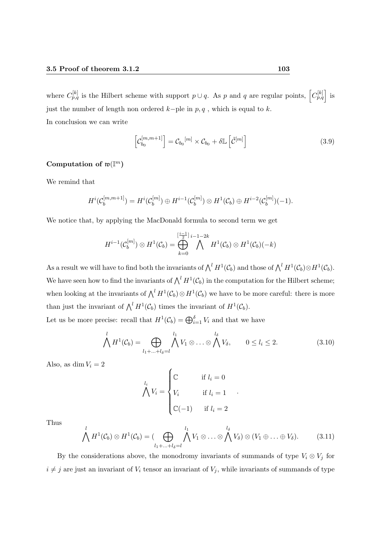where  $C_{p,q}^{[k]}$  is the Hilbert scheme with support  $p \cup q$ . As p and q are regular points,  $\left[C_{p,q}^{[k]}\right]$  is just the number of length non ordered  $k$ −ple in  $p, q$ , which is equal to  $k$ . In conclusion we can write

$$
\left[\mathcal{C}_{b_0}^{[m,m+1]}\right] = \mathcal{C}_{b_0}^{[m]} \times \mathcal{C}_{b_0} + \delta \mathbb{L}\left[\tilde{\mathcal{C}}^{[m]}\right]
$$
\n(3.9)

# Computation of  $\mathfrak{w}(\mathbb{I}^m)$

We remind that

$$
H^{i}(\mathcal{C}_{b}^{[m,m+1]}) = H^{i}(\mathcal{C}_{b}^{[m]}) \oplus H^{i-1}(\mathcal{C}_{b}^{[m]}) \otimes H^{1}(\mathcal{C}_{b}) \oplus H^{i-2}(\mathcal{C}_{b}^{[m]})(-1).
$$

We notice that, by applying the MacDonald formula to second term we get

$$
H^{i-1}(\mathcal{C}_b^{[m]}) \otimes H^1(\mathcal{C}_b) = \bigoplus_{k=0}^{\left[\frac{i-1}{2}\right]}\bigwedge^{i-1-2k} H^1(\mathcal{C}_b) \otimes H^1(\mathcal{C}_b)(-k)
$$

As a result we will have to find both the invariants of  $\bigwedge^l H^1(\mathcal{C}_b)$  and those of  $\bigwedge^l H^1(\mathcal{C}_b) \otimes H^1(\mathcal{C}_b)$ . We have seen how to find the invariants of  $\bigwedge^l H^1(\mathcal{C}_b)$  in the computation for the Hilbert scheme; when looking at the invariants of  $\bigwedge^l H^1(\mathcal{C}_b) \otimes H^1(\mathcal{C}_b)$  we have to be more careful: there is more than just the invariant of  $\bigwedge^l H^1(\mathcal{C}_b)$  times the invariant of  $H^1(\mathcal{C}_b)$ .

Let us be more precise: recall that  $H^1(\mathcal{C}_b) = \bigoplus_{i=1}^{\delta} V_i$  and that we have

$$
\bigwedge^l H^1(\mathcal{C}_b) = \bigoplus_{l_1 + \ldots + l_\delta = l} \bigwedge^{l_1} V_1 \otimes \ldots \otimes \bigwedge^{l_\delta} V_\delta, \qquad 0 \le l_i \le 2.
$$
 (3.10)

.

Also, as dim  $V_i = 2$ 

$$
\bigwedge^{l_i} V_i = \begin{cases} \mathbb{C} & \text{if } l_i = 0 \\ V_i & \text{if } l_i = 1 \\ \mathbb{C}(-1) & \text{if } l_i = 2 \end{cases}
$$

Thus

$$
\bigwedge^l H^1(\mathcal{C}_b) \otimes H^1(\mathcal{C}_b) = (\bigoplus_{l_1 + \ldots + l_\delta = l} \bigwedge^{l_1} V_1 \otimes \ldots \otimes \bigwedge^{l_\delta} V_\delta) \otimes (V_1 \oplus \ldots \oplus V_\delta). \tag{3.11}
$$

By the considerations above, the monodromy invariants of summands of type  $V_i \otimes V_j$  for  $i \neq j$  are just an invariant of  $V_i$  tensor an invariant of  $V_j$ , while invariants of summands of type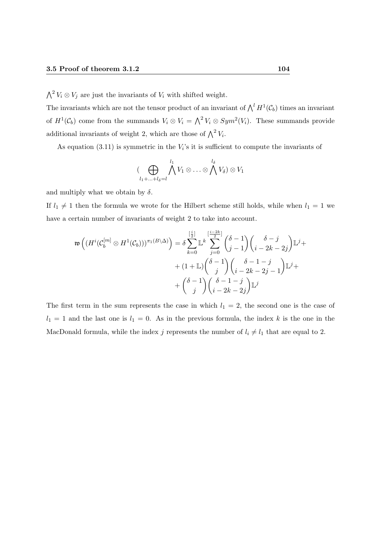$\bigwedge^2 V_i \otimes V_j$  are just the invariants of  $V_i$  with shifted weight.

The invariants which are not the tensor product of an invariant of  $\bigwedge^l H^1(\mathcal{C}_b)$  times an invariant of  $H^1(\mathcal{C}_b)$  come from the summands  $V_i \otimes V_i = \bigwedge^2 V_i \otimes Sym^2(V_i)$ . These summands provide additional invariants of weight 2, which are those of  $\bigwedge^2 V_i$ .

As equation  $(3.11)$  is symmetric in the  $V_i$ 's it is sufficient to compute the invariants of

$$
(\bigoplus_{l_1+\ldots+l_{\delta}=l}\bigwedge^{l_1}V_1\otimes\ldots\otimes\bigwedge^{l_{\delta}}V_{\delta})\otimes V_1
$$

and multiply what we obtain by  $\delta$ .

If  $l_1 \neq 1$  then the formula we wrote for the Hilbert scheme still holds, while when  $l_1 = 1$  we have a certain number of invariants of weight 2 to take into account.

$$
\mathfrak{w}\left((H^{i}(\mathcal{C}_{b}^{[m]}\otimes H^{1}(\mathcal{C}_{b})))^{\pi_{1}(B\backslash\Delta)}\right) = \delta \sum_{k=0}^{\left[\frac{i}{2}\right]} \mathbb{L}^{k} \sum_{j=0}^{\left[\frac{i-2k}{2}\right]} {\binom{\delta-1}{j-1}} {\binom{\delta-j}{i-2k-2j}} \mathbb{L}^{j} + (1+\mathbb{L}) {\binom{\delta-1}{j}} {\binom{\delta-1-1}{i-2k-2j-1}} \mathbb{L}^{j} + \binom{\delta-1}{j} {\binom{\delta-1-1}{i-2k-2j}} \mathbb{L}^{j}
$$

The first term in the sum represents the case in which  $l_1 = 2$ , the second one is the case of  $l_1 = 1$  and the last one is  $l_1 = 0$ . As in the previous formula, the index k is the one in the MacDonald formula, while the index j represents the number of  $l_i \neq l_1$  that are equal to 2.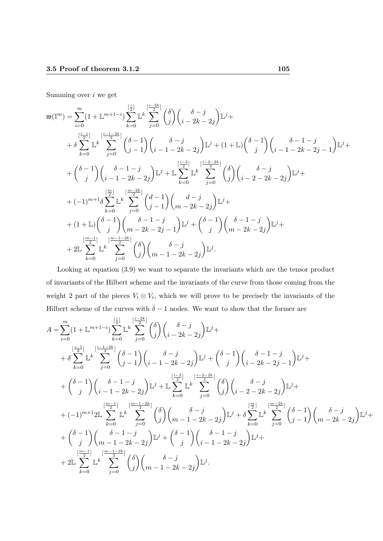Summing over i we get

$$
\begin{split} \mathfrak{w}(\mathbb{I}^m) &= \sum_{i=0}^m (1+\mathbb{L}^{m+1-i}) \sum_{k=0}^{[\frac{i}{2}]} \mathbb{L}^k \sum_{j=0}^{[\frac{i-2k}{2}]} \binom{\delta}{j} \binom{\delta-j}{i-2k-2j} \mathbb{L}^j + \\ &+ \delta \sum_{k=0}^{[\frac{i-1}{2}]} \mathbb{L}^k \sum_{j=0}^{[\frac{i-1-2k}{2}]} \binom{\delta-1}{j-1} \binom{\delta-j}{i-1-2k-2j} \mathbb{L}^j + (1+\mathbb{L}) \binom{\delta-1}{j} \binom{\delta-1-1}{i-1-2k-2j-1} \mathbb{L}^j + \\ &+ \binom{\delta-1}{j} \binom{\delta-1-j}{i-1-2k-2j} \mathbb{L}^j + \mathbb{L} \sum_{k=0}^{[\frac{i-2}{2}]} \mathbb{L}^k \sum_{j=0}^{[\frac{i-2-2k}{2}]} \binom{\delta}{j} \binom{\delta-j}{i-2-2k-2j} \mathbb{L}^j + \\ &+ (-1)^{m+1} \delta \sum_{k=0}^{[\frac{m}{2}]} \mathbb{L}^k \sum_{j=0}^{[\frac{m-2k}{2}]} \binom{d-1}{j-1} \binom{d-j}{m-2k-2j} \mathbb{L}^j + \\ &+ (1+\mathbb{L}) \binom{\delta-1}{j} \binom{\delta-1-j}{m-2k-2j-1} \mathbb{L}^j + \binom{\delta-1}{j} \binom{\delta-1-j}{m-2k-2j} \mathbb{L}^j + \\ &+ 2\mathbb{L} \sum_{k=0}^{[\frac{m-1}{2}]} \mathbb{L}^k \sum_{j=0}^{[\frac{m-1-2k}{2}]} \binom{\delta}{j} \binom{\delta-j}{m-1-2k-2j} \mathbb{L}^j. \end{split}
$$

Looking at equation (3.9) we want to separate the invariants which are the tensor product of invariants of the Hilbert scheme and the invariants of the curve from those coming from the weight 2 part of the pieces  $V_i \otimes V_i$ , which we will prove to be precisely the invariants of the Hilbert scheme of the curves with  $\delta - 1$  nodes. We want to show that the former are

$$
\begin{split} A&=\sum_{i=0}^{m}(1+\mathbb{L}^{m+1-i})\sum_{k=0}^{\left[\frac{i-1}{2}\right]}\mathbb{L}^{k}\sum_{j=0}^{\left[\frac{i-2k}{2}\right]}\binom{\delta}{j}\binom{\delta-j}{i-2k-2j}\mathbb{L}^{j}+\\ &+\delta\sum_{k=0}^{\left[\frac{i-1}{2}\right]}\mathbb{L}^{k}\sum_{j=0}^{\left[\frac{i-1-2k}{2}\right]}\binom{\delta-1}{j-1}\binom{\delta-j}{i-1-2k-2j}\mathbb{L}^{j}+\binom{\delta-1}{j}\binom{\delta-1-1}{i-2k-2j-1}\mathbb{L}^{j}+\\ &+\binom{\delta-1}{j}\binom{\delta-1-1}{i-1-2k-2j}\mathbb{L}^{j}+\mathbb{L}\sum_{k=0}^{\left[\frac{i-2}{2}\right]}\mathbb{L}^{k}\sum_{j=0}^{\left[\frac{i-2-2k}{2}\right]}\binom{\delta}{j}\binom{\delta-j}{i-2-2k-2j}\mathbb{L}^{j}+\\ &+(-1)^{m+1}2\mathbb{L}\sum_{k=0}^{\left[\frac{m-1}{2}\right]}\mathbb{L}^{k}\sum_{j=0}^{\left[\frac{m-1-2k}{2}\right]}\binom{\delta}{j}\binom{\delta-j}{m-1-2k-2j}\mathbb{L}^{j}+\delta\sum_{k=0}^{\left[\frac{m}{2}\right]}\mathbb{L}^{k}\sum_{j=0}^{\left[\frac{m-2k}{2}\right]}\binom{\delta-1}{j-1}\binom{\delta-j}{m-2k-2j}\mathbb{L}^{j}+\\ &+\binom{\delta-1}{j}\binom{\delta-1-j}{m-1-2k-2j}\mathbb{L}^{j}+\binom{\delta-1}{j}\binom{\delta-1-2}{i-1-2k-2j}\mathbb{L}^{j}+\\ &+2\mathbb{L}\sum_{k=0}^{\left[\frac{m-1}{2}\right]}\mathbb{L}^{k}\sum_{j=0}^{\left[\frac{m-1-2k}{2}\right]}\binom{\delta}{j}\binom{\delta-j}{m-1-2k-2j}\mathbb{L}^{j}. \end{split}
$$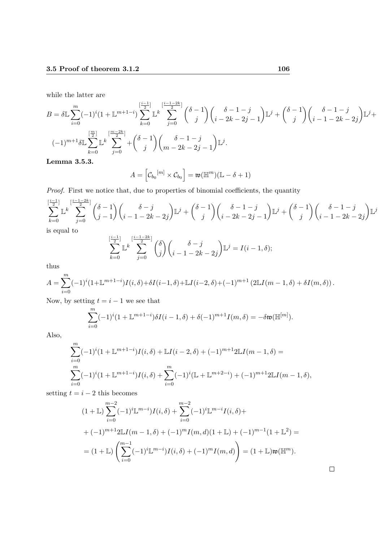while the latter are

$$
B = \delta \mathbb{L} \sum_{i=0}^{m} (-1)^{i} (1 + \mathbb{L}^{m+1-i}) \sum_{k=0}^{\left[\frac{i-1}{2}\right]} \mathbb{L}^{k} \sum_{j=0}^{\left[\frac{i-1-2k}{2}\right]} {\binom{\delta-1}{j}} {\binom{\delta-1-1}{i-2k-2j-1}} \mathbb{L}^{j} + {\binom{\delta-1-1}{j}} {\binom{\delta-1-2k-2j}{i-2k-2j}} \mathbb{L}^{j} + (-1)^{m+1} \delta \mathbb{L} \sum_{k=0}^{\left[\frac{m}{2}\right]} \mathbb{L}^{k} \sum_{j=0}^{\left[\frac{m-2k}{2}\right]} + {\binom{\delta-1}{j}} {\binom{\delta-1-j}{m-2k-2j-1}} \mathbb{L}^{j}.
$$
  
\nI express 2.5.2

Lemma 3.5.3.

$$
A = \left[ \mathcal{C}_{b_0}^{[m]} \times \mathcal{C}_{b_0} \right] = \mathfrak{w}(\mathbb{H}^m)(\mathbb{L} - \delta + 1)
$$

Proof. First we notice that, due to properties of binomial coefficients, the quantity

$$
\sum_{k=0}^{\left[\frac{i-1}{2}\right]} \mathbb{L}^{k} \sum_{j=0}^{\left[\frac{i-1-2k}{2}\right]} {\binom{\delta-1}{j-1}} {\binom{\delta-j}{i-1-2k-2j}} \mathbb{L}^{j} + {\binom{\delta-1}{j}} {\binom{\delta-1-j}{i-2k-2j-1}} \mathbb{L}^{j} + {\binom{\delta-1}{j}} {\binom{\delta-1-j}{i-1-2k-2j}} \mathbb{L}^{j}
$$
 is equal to

is equal to

$$
\sum_{k=0}^{\left[\frac{i-1}{2}\right]} \mathbb{L}^k \sum_{j=0}^{\left[\frac{i-1-2k}{2}\right]} {\binom{\delta}{j}} {\binom{\delta-j}{i-1-2k-2j}} \mathbb{L}^j = I(i-1,\delta);
$$

thus

$$
A = \sum_{i=0}^{m} (-1)^{i} (1 + \mathbb{L}^{m+1-i}) I(i, \delta) + \delta I(i-1, \delta) + \mathbb{L} I(i-2, \delta) + (-1)^{m+1} (2\mathbb{L} I(m-1, \delta) + \delta I(m, \delta)).
$$

Now, by setting  $t = i - 1$  we see that

$$
\sum_{i=0}^{m} (-1)^{i} (1 + \mathbb{L}^{m+1-i}) \delta I(i-1, \delta) + \delta (-1)^{m+1} I(m, \delta) = -\delta \mathfrak{w}(\mathbb{H}^{[m]}).
$$

Also,

$$
\sum_{i=0}^{m} (-1)^{i} (1 + \mathbb{L}^{m+1-i}) I(i, \delta) + \mathbb{L} I(i-2, \delta) + (-1)^{m+1} 2 \mathbb{L} I(m-1, \delta) =
$$
  

$$
\sum_{i=0}^{m} (-1)^{i} (1 + \mathbb{L}^{m+1-i}) I(i, \delta) + \sum_{i=0}^{m} (-1)^{i} (\mathbb{L} + \mathbb{L}^{m+2-i}) + (-1)^{m+1} 2 \mathbb{L} I(m-1, \delta),
$$

setting  $t = i - 2$  this becomes

$$
(1+\mathbb{L})\sum_{i=0}^{m-2}(-1)^{i}\mathbb{L}^{m-i}I(i,\delta)+\sum_{i=0}^{m-2}(-1)^{i}\mathbb{L}^{m-i}I(i,\delta)++(-1)^{m+1}2\mathbb{L}I(m-1,\delta)+(-1)^{m}I(m,d)(1+\mathbb{L})+(-1)^{m-1}(1+\mathbb{L}^{2})==(1+\mathbb{L})\left(\sum_{i=0}^{m-1}(-1)^{i}\mathbb{L}^{m-i}I(i,\delta)+(-1)^{m}I(m,d)\right)=(1+\mathbb{L})\mathfrak{w}(\mathbb{H}^{m}).
$$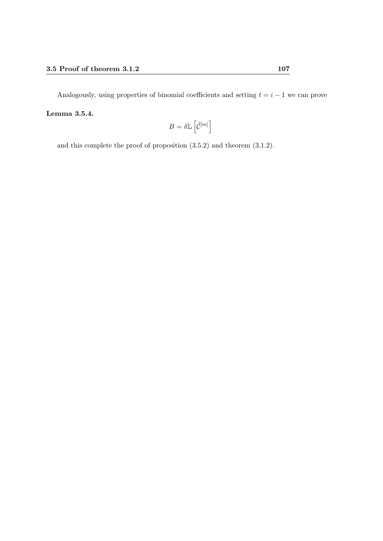Analogously, using properties of binomial coefficients and setting  $t = i - 1$  we can prove Lemma 3.5.4.

$$
B=\delta\mathbb{L}\left[\tilde{\mathcal{C}}^{[m]}\right]
$$

and this complete the proof of proposition (3.5.2) and theorem (3.1.2).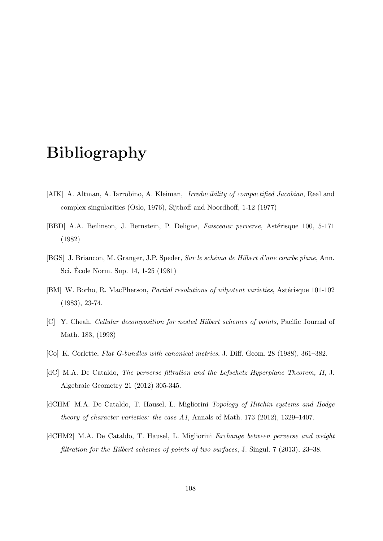## Bibliography

- [AIK] A. Altman, A. Iarrobino, A. Kleiman, Irreducibility of compactified Jacobian, Real and complex singularities (Oslo, 1976), Sijthoff and Noordhoff, 1-12 (1977)
- [BBD] A.A. Beilinson, J. Bernstein, P. Deligne, *Faisceaux perverse*, Astérisque 100, 5-171 (1982)
- [BGS] J. Briancon, M. Granger, J.P. Speder, Sur le schéma de Hilbert d'une courbe plane, Ann. Sci. Ecole Norm. Sup. 14, 1-25 (1981) ´
- [BM] W. Borho, R. MacPherson, *Partial resolutions of nilpotent varieties*, Astérisque 101-102 (1983), 23-74.
- [C] Y. Cheah, Cellular decomposition for nested Hilbert schemes of points, Pacific Journal of Math. 183, (1998)
- [Co] K. Corlette, Flat G-bundles with canonical metrics, J. Diff. Geom. 28 (1988), 361–382.
- [dC] M.A. De Cataldo, The perverse filtration and the Lefschetz Hyperplane Theorem, II, J. Algebraic Geometry 21 (2012) 305-345.
- [dCHM] M.A. De Cataldo, T. Hausel, L. Migliorini *Topology of Hitchin systems and Hodge* theory of character varieties: the case A1, Annals of Math. 173 (2012), 1329–1407.
- [dCHM2] M.A. De Cataldo, T. Hausel, L. Migliorini *Exchange between perverse and weight* filtration for the Hilbert schemes of points of two surfaces, J. Singul. 7 (2013), 23–38.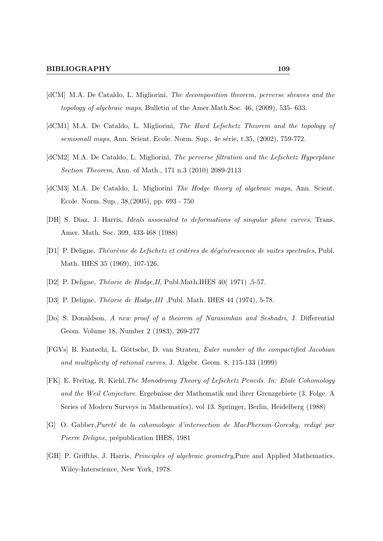- [dCM] M.A. De Cataldo, L. Migliorini, The decomposition theorem, perverse sheaves and the topology of algebraic maps, Bulletin of the Amer.Math.Soc. 46, (2009), 535-633.
- [dCM1] M.A. De Cataldo, L. Migliorini, The Hard Lefschetz Theorem and the topology of semismall maps, Ann. Scient. Ecole. Norm. Sup., 4e série, t.35, (2002), 759-772.
- [dCM2] M.A. De Cataldo, L. Migliorini, The perverse filtration and the Lefschetz Hyperplane *Section Theorem, Ann. of Math., 171 n.3 (2010) 2089-2113*
- [dCM3] M.A. De Cataldo, L. Migliorini *The Hodge theory of algebraic maps*, Ann. Scient. Ecole. Norm. Sup., 38, (2005), pp. 693 - 750
- [DH] S. Diaz, J. Harris, *Ideals associated to deformations of singular plane curves*, Trans. Amer. Math. Soc. 309, 433-468 (1988)
- [D1] P. Deligne, Théorème de Lefschetz et critères de dégénérescence de suites spectrales, Publ. Math. IHES 35 (1969), 107-126.
- [D2] P. Deligne, *Théorie de Hodge, II*, Publ. Math. IHES 40(1971), 5-57.
- [D3] P. Deligne, *Théorie de Hodge, III*, Publ. Math. IHES 44 (1974), 5-78.
- [Do] S. Donaldson, A new proof of a theorem of Narasimhan and Seshadri, J. Differential Geom. Volume 18, Number 2 (1983), 269-277
- [FGVs] B. Fantechi, L. Göttsche, D. van Straten, Euler number of the compactified Jacobian and multiplicity of rational curves, J. Algebr. Geom. 8, 115-133 (1999)
- [FK] E. Freitag, R. Kiehl, The Monodromy Theory of Lefschetz Pencils. In: Etale Cohomology and the Weil Conjecture. Ergebnisse der Mathematik und ihrer Grenzgebiete (3. Folge. A Series of Modern Surveys in Mathematics), vol 13. Springer, Berlin, Heidelberg (1988)
- [G] O. Gabber, Pureté de la cohomologie d'intersection de MacPherson-Goresky, redigé par *Pierre Deligne*, prépublication IHES, 1981
- [GH] P. Griffths, J. Harris, *Principles of algebraic geometry*, Pure and Applied Mathematics. Wiley-Interscience, New York, 1978.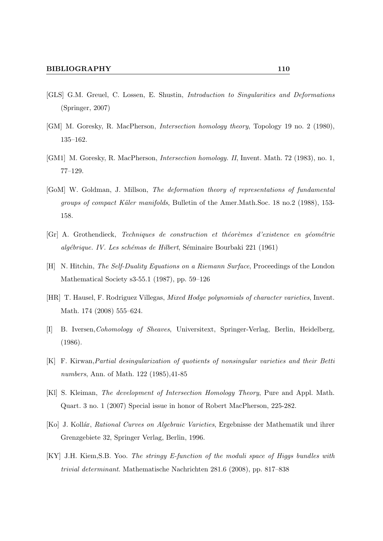- [GLS] G.M. Greuel, C. Lossen, E. Shustin, Introduction to Singularities and Deformations (Springer, 2007)
- [GM] M. Goresky, R. MacPherson, Intersection homology theory, Topology 19 no. 2 (1980), 135–162.
- [GM1] M. Goresky, R. MacPherson, Intersection homology. II, Invent. Math. 72 (1983), no. 1, 77–129.
- [GoM] W. Goldman, J. Millson, The deformation theory of representations of fundamental groups of compact Käler manifolds, Bulletin of the Amer.Math.Soc. 18 no.2 (1988), 153-158.
- $[Gr]$  A. Grothendieck, Techniques de construction et théorèmes d'existence en géométrie algébrique. IV. Les schémas de Hilbert, Séminaire Bourbaki 221 (1961)
- [H] N. Hitchin, The Self-Duality Equations on a Riemann Surface, Proceedings of the London Mathematical Society s3-55.1 (1987), pp. 59–126
- [HR] T. Hausel, F. Rodriguez Villegas, Mixed Hodge polynomials of character varieties, Invent. Math. 174 (2008) 555–624.
- [I] B. Iversen,Cohomology of Sheaves, Universitext, Springer-Verlag, Berlin, Heidelberg, (1986).
- [K] F. Kirwan,Partial desingularization of quotients of nonsingular varieties and their Betti numbers, Ann. of Math. 122 (1985),41-85
- [Kl] S. Kleiman, The development of Intersection Homology Theory, Pure and Appl. Math. Quart. 3 no. 1 (2007) Special issue in honor of Robert MacPherson, 225-282.
- [Ko] J. Koll´ar, Rational Curves on Algebraic Varieties, Ergebnisse der Mathematik und ihrer Grenzgebiete 32, Springer Verlag, Berlin, 1996.
- [KY] J.H. Kiem,S.B. Yoo. The stringy E-function of the moduli space of Higgs bundles with trivial determinant. Mathematische Nachrichten 281.6 (2008), pp. 817–838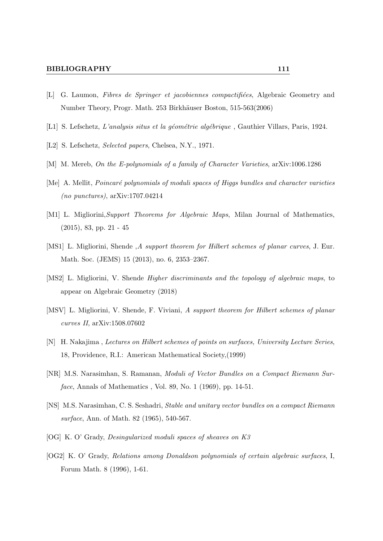## BIBLIOGRAPHY 111

- [L] G. Laumon, Fibres de Springer et jacobiennes compactifiées, Algebraic Geometry and Number Theory, Progr. Math. 253 Birkhäuser Boston, 515-563(2006)
- [L1] S. Lefschetz, L'analysis situs et la géométrie algébrique, Gauthier Villars, Paris, 1924.
- [L2] S. Lefschetz, *Selected papers*, Chelsea, N.Y., 1971.
- [M] M. Mereb, On the E-polynomials of a family of Character Varieties, arXiv:1006.1286
- [Me] A. Mellit, *Poincaré polynomials of moduli spaces of Higgs bundles and character varieties* (no punctures), arXiv:1707.04214
- [M1] L. Migliorini,Support Theorems for Algebraic Maps, Milan Journal of Mathematics, (2015), 83, pp. 21 - 45
- [MS1] L. Migliorini, Shende , A support theorem for Hilbert schemes of planar curves, J. Eur. Math. Soc. (JEMS) 15 (2013), no. 6, 2353–2367.
- [MS2] L. Migliorini, V. Shende Higher discriminants and the topology of algebraic maps, to appear on Algebraic Geometry (2018)
- [MSV] L. Migliorini, V. Shende, F. Viviani, A support theorem for Hilbert schemes of planar curves II, arXiv:1508.07602
- [N] H. Nakajima , Lectures on Hilbert schemes of points on surfaces, University Lecture Series, 18, Providence, R.I.: American Mathematical Society,(1999)
- [NR] M.S. Narasimhan, S. Ramanan, Moduli of Vector Bundles on a Compact Riemann Surface, Annals of Mathematics , Vol. 89, No. 1 (1969), pp. 14-51.
- [NS] M.S. Narasimhan, C. S. Seshadri, Stable and unitary vector bundles on a compact Riemann surface, Ann. of Math. 82 (1965), 540-567.
- [OG] K. O' Grady, Desingularized moduli spaces of sheaves on K3
- [OG2] K. O' Grady, Relations among Donaldson polynomials of certain algebraic surfaces, I, Forum Math. 8 (1996), 1-61.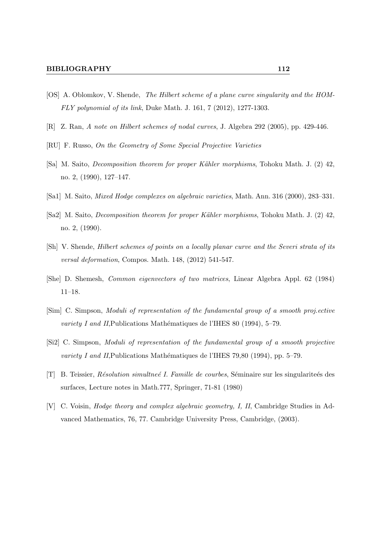- [OS] A. Oblomkov, V. Shende, The Hilbert scheme of a plane curve singularity and the HOM-FLY polynomial of its link, Duke Math. J. 161, 7 (2012), 1277-1303.
- [R] Z. Ran, A note on Hilbert schemes of nodal curves, J. Algebra 292 (2005), pp. 429-446.
- [RU] F. Russo, On the Geometry of Some Special Projective Varieties
- [Sa] M. Saito, *Decomposition theorem for proper Kähler morphisms*, Tohoku Math. J. (2) 42, no. 2, (1990), 127–147.
- [Sa1] M. Saito, Mixed Hodge complexes on algebraic varieties, Math. Ann. 316 (2000), 283–331.
- [Sa2] M. Saito, *Decomposition theorem for proper Kähler morphisms*, Tohoku Math. J. (2) 42, no. 2, (1990).
- [Sh] V. Shende, Hilbert schemes of points on a locally planar curve and the Severi strata of its versal deformation, Compos. Math. 148, (2012) 541-547.
- [She] D. Shemesh, Common eigenvectors of two matrices, Linear Algebra Appl. 62 (1984) 11–18.
- [Sim] C. Simpson, Moduli of representation of the fundamental group of a smooth proj.ective variety I and II, Publications Mathématiques de l'IHES 80 (1994), 5–79.
- [Si2] C. Simpson, Moduli of representation of the fundamental group of a smooth projective variety I and II, Publications Mathématiques de l'IHES 79,80 (1994), pp. 5–79.
- $[T]$  B. Teissier, Résolution simultneé I. Famille de courbes, Séminaire sur les singulariteés des surfaces, Lecture notes in Math.777, Springer, 71-81 (1980)
- [V] C. Voisin, Hodge theory and complex algebraic geometry, I, II, Cambridge Studies in Advanced Mathematics, 76, 77. Cambridge University Press, Cambridge, (2003).